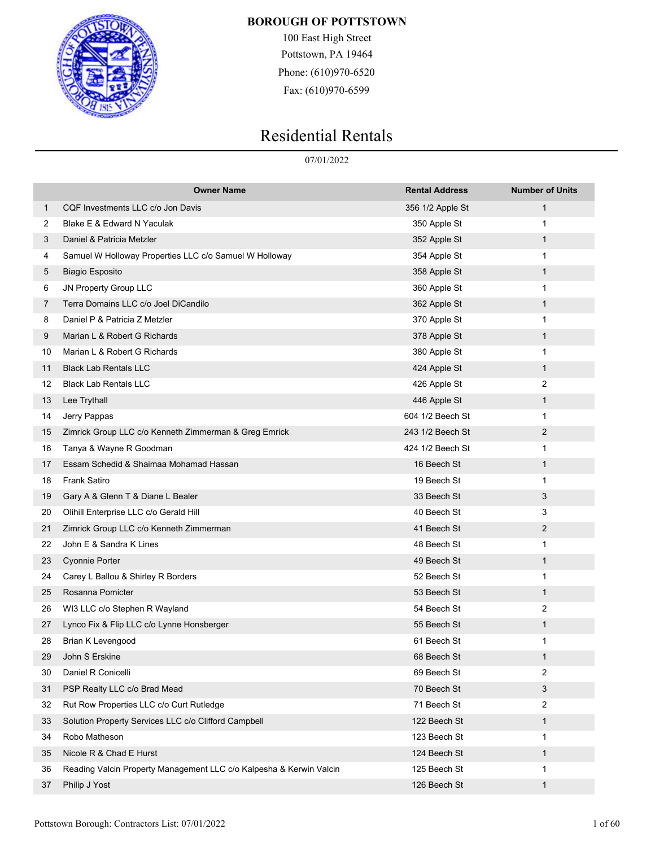

100 East High Street Pottstown, PA 19464 Phone: (610)970-6520 Fax: (610)970-6599

# Residential Rentals

07/01/2022

|    | <b>Owner Name</b>                                                   | <b>Rental Address</b> | <b>Number of Units</b> |
|----|---------------------------------------------------------------------|-----------------------|------------------------|
| 1  | CQF Investments LLC c/o Jon Davis                                   | 356 1/2 Apple St      | 1                      |
| 2  | Blake E & Edward N Yaculak                                          | 350 Apple St          | 1                      |
| 3  | Daniel & Patricia Metzler                                           | 352 Apple St          | 1                      |
| 4  | Samuel W Holloway Properties LLC c/o Samuel W Holloway              | 354 Apple St          | 1                      |
| 5  | <b>Biagio Esposito</b>                                              | 358 Apple St          | $\mathbf{1}$           |
| 6  | JN Property Group LLC                                               | 360 Apple St          | 1                      |
| 7  | Terra Domains LLC c/o Joel DiCandilo                                | 362 Apple St          | 1                      |
| 8  | Daniel P & Patricia Z Metzler                                       | 370 Apple St          | 1                      |
| 9  | Marian L & Robert G Richards                                        | 378 Apple St          | $\mathbf{1}$           |
| 10 | Marian L & Robert G Richards                                        | 380 Apple St          | 1                      |
| 11 | <b>Black Lab Rentals LLC</b>                                        | 424 Apple St          | 1                      |
| 12 | <b>Black Lab Rentals LLC</b>                                        | 426 Apple St          | 2                      |
| 13 | Lee Trythall                                                        | 446 Apple St          | 1                      |
| 14 | Jerry Pappas                                                        | 604 1/2 Beech St      | 1                      |
| 15 | Zimrick Group LLC c/o Kenneth Zimmerman & Greg Emrick               | 243 1/2 Beech St      | 2                      |
| 16 | Tanya & Wayne R Goodman                                             | 424 1/2 Beech St      | 1                      |
| 17 | Essam Schedid & Shaimaa Mohamad Hassan                              | 16 Beech St           | $\mathbf{1}$           |
| 18 | <b>Frank Satiro</b>                                                 | 19 Beech St           | 1                      |
| 19 | Gary A & Glenn T & Diane L Bealer                                   | 33 Beech St           | 3                      |
| 20 | Olihill Enterprise LLC c/o Gerald Hill                              | 40 Beech St           | 3                      |
| 21 | Zimrick Group LLC c/o Kenneth Zimmerman                             | 41 Beech St           | $\overline{2}$         |
| 22 | John E & Sandra K Lines                                             | 48 Beech St           | 1                      |
| 23 | <b>Cyonnie Porter</b>                                               | 49 Beech St           | 1                      |
| 24 | Carey L Ballou & Shirley R Borders                                  | 52 Beech St           | 1                      |
| 25 | Rosanna Pomicter                                                    | 53 Beech St           | $\mathbf{1}$           |
| 26 | WI3 LLC c/o Stephen R Wayland                                       | 54 Beech St           | 2                      |
| 27 | Lynco Fix & Flip LLC c/o Lynne Honsberger                           | 55 Beech St           | 1                      |
| 28 | <b>Brian K Levengood</b>                                            | 61 Beech St           | 1                      |
| 29 | John S Erskine                                                      | 68 Beech St           |                        |
| 30 | Daniel R Conicelli                                                  | 69 Beech St           | 2                      |
| 31 | PSP Realty LLC c/o Brad Mead                                        | 70 Beech St           | 3                      |
| 32 | Rut Row Properties LLC c/o Curt Rutledge                            | 71 Beech St           | $\overline{2}$         |
| 33 | Solution Property Services LLC c/o Clifford Campbell                | 122 Beech St          | $\mathbf{1}$           |
| 34 | Robo Matheson                                                       | 123 Beech St          | 1                      |
| 35 | Nicole R & Chad E Hurst                                             | 124 Beech St          | $\mathbf{1}$           |
| 36 | Reading Valcin Property Management LLC c/o Kalpesha & Kerwin Valcin | 125 Beech St          | 1                      |
| 37 | Philip J Yost                                                       | 126 Beech St          | 1                      |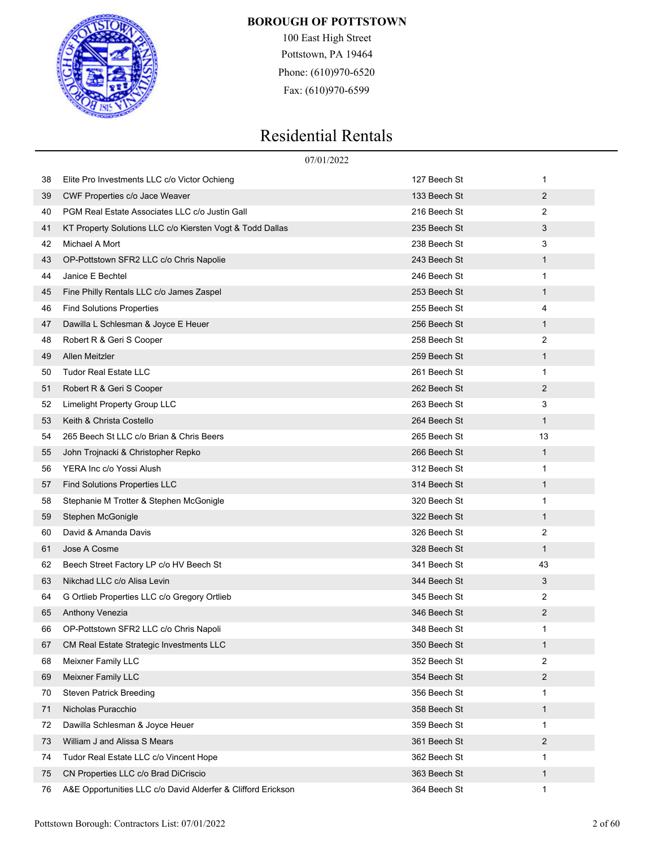

100 East High Street Pottstown, PA 19464 Phone: (610)970-6520 Fax: (610)970-6599

|    | 07/01/2022                                                   |              |                |
|----|--------------------------------------------------------------|--------------|----------------|
| 38 | Elite Pro Investments LLC c/o Victor Ochieng                 | 127 Beech St | 1              |
| 39 | <b>CWF Properties c/o Jace Weaver</b>                        | 133 Beech St | $\overline{2}$ |
| 40 | PGM Real Estate Associates LLC c/o Justin Gall               | 216 Beech St | 2              |
| 41 | KT Property Solutions LLC c/o Kiersten Vogt & Todd Dallas    | 235 Beech St | 3              |
| 42 | Michael A Mort                                               | 238 Beech St | 3              |
| 43 | OP-Pottstown SFR2 LLC c/o Chris Napolie                      | 243 Beech St | 1              |
| 44 | Janice E Bechtel                                             | 246 Beech St | 1              |
| 45 | Fine Philly Rentals LLC c/o James Zaspel                     | 253 Beech St | $\mathbf{1}$   |
| 46 | <b>Find Solutions Properties</b>                             | 255 Beech St | 4              |
| 47 | Dawilla L Schlesman & Joyce E Heuer                          | 256 Beech St | 1              |
| 48 | Robert R & Geri S Cooper                                     | 258 Beech St | 2              |
| 49 | Allen Meitzler                                               | 259 Beech St | 1              |
| 50 | <b>Tudor Real Estate LLC</b>                                 | 261 Beech St | 1              |
| 51 | Robert R & Geri S Cooper                                     | 262 Beech St | $\overline{2}$ |
| 52 | Limelight Property Group LLC                                 | 263 Beech St | 3              |
| 53 | Keith & Christa Costello                                     | 264 Beech St | $\mathbf{1}$   |
| 54 | 265 Beech St LLC c/o Brian & Chris Beers                     | 265 Beech St | 13             |
| 55 | John Trojnacki & Christopher Repko                           | 266 Beech St | 1              |
| 56 | YERA Inc c/o Yossi Alush                                     | 312 Beech St | 1              |
| 57 | <b>Find Solutions Properties LLC</b>                         | 314 Beech St | 1              |
| 58 | Stephanie M Trotter & Stephen McGonigle                      | 320 Beech St | 1              |
| 59 | Stephen McGonigle                                            | 322 Beech St | $\mathbf{1}$   |
| 60 | David & Amanda Davis                                         | 326 Beech St | 2              |
| 61 | Jose A Cosme                                                 | 328 Beech St | 1              |
| 62 | Beech Street Factory LP c/o HV Beech St                      | 341 Beech St | 43             |
| 63 | Nikchad LLC c/o Alisa Levin                                  | 344 Beech St | 3              |
| 64 | G Ortlieb Properties LLC c/o Gregory Ortlieb                 | 345 Beech St | 2              |
| 65 | Anthony Venezia                                              | 346 Beech St | $\overline{2}$ |
| 66 | OP-Pottstown SFR2 LLC c/o Chris Napoli                       | 348 Beech St | 1              |
| 67 | CM Real Estate Strategic Investments LLC                     | 350 Beech St | 1              |
| 68 | Meixner Family LLC                                           | 352 Beech St | 2              |
| 69 | <b>Meixner Family LLC</b>                                    | 354 Beech St | 2              |
| 70 | <b>Steven Patrick Breeding</b>                               | 356 Beech St | 1              |
| 71 | Nicholas Puracchio                                           | 358 Beech St | 1              |
| 72 | Dawilla Schlesman & Joyce Heuer                              | 359 Beech St | 1              |
| 73 | William J and Alissa S Mears                                 | 361 Beech St | 2              |
| 74 | Tudor Real Estate LLC c/o Vincent Hope                       | 362 Beech St | 1              |
| 75 | CN Properties LLC c/o Brad DiCriscio                         | 363 Beech St | 1              |
| 76 | A&E Opportunities LLC c/o David Alderfer & Clifford Erickson | 364 Beech St | 1              |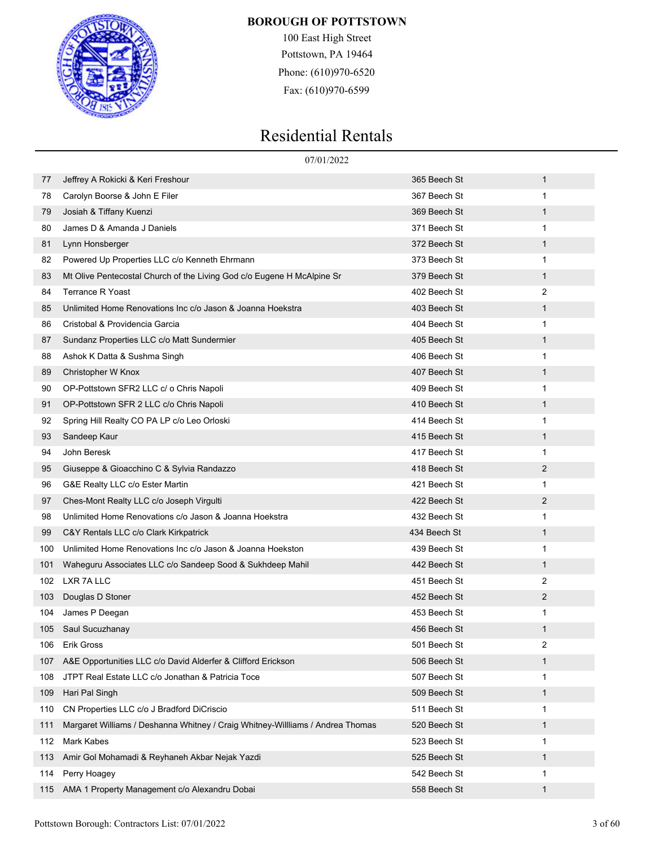

100 East High Street Pottstown, PA 19464 Phone: (610)970-6520 Fax: (610)970-6599

|     | 07/01/2022                                                                     |              |                |
|-----|--------------------------------------------------------------------------------|--------------|----------------|
| 77  | Jeffrey A Rokicki & Keri Freshour                                              | 365 Beech St | 1              |
| 78  | Carolyn Boorse & John E Filer                                                  | 367 Beech St | 1              |
| 79  | Josiah & Tiffany Kuenzi                                                        | 369 Beech St | $\mathbf{1}$   |
| 80  | James D & Amanda J Daniels                                                     | 371 Beech St | 1              |
| 81  | Lynn Honsberger                                                                | 372 Beech St | 1              |
| 82  | Powered Up Properties LLC c/o Kenneth Ehrmann                                  | 373 Beech St | $\mathbf{1}$   |
| 83  | Mt Olive Pentecostal Church of the Living God c/o Eugene H McAlpine Sr         | 379 Beech St | $\mathbf{1}$   |
| 84  | <b>Terrance R Yoast</b>                                                        | 402 Beech St | 2              |
| 85  | Unlimited Home Renovations Inc c/o Jason & Joanna Hoekstra                     | 403 Beech St | 1              |
| 86  | Cristobal & Providencia Garcia                                                 | 404 Beech St | 1              |
| 87  | Sundanz Properties LLC c/o Matt Sundermier                                     | 405 Beech St | $\mathbf{1}$   |
| 88  | Ashok K Datta & Sushma Singh                                                   | 406 Beech St | 1              |
| 89  | Christopher W Knox                                                             | 407 Beech St | 1              |
| 90  | OP-Pottstown SFR2 LLC c/ o Chris Napoli                                        | 409 Beech St | 1              |
| 91  | OP-Pottstown SFR 2 LLC c/o Chris Napoli                                        | 410 Beech St | $\mathbf{1}$   |
| 92  | Spring Hill Realty CO PA LP c/o Leo Orloski                                    | 414 Beech St | 1              |
| 93  | Sandeep Kaur                                                                   | 415 Beech St | 1              |
| 94  | John Beresk                                                                    | 417 Beech St | 1              |
| 95  | Giuseppe & Gioacchino C & Sylvia Randazzo                                      | 418 Beech St | $\overline{2}$ |
| 96  | G&E Realty LLC c/o Ester Martin                                                | 421 Beech St | 1              |
| 97  | Ches-Mont Realty LLC c/o Joseph Virgulti                                       | 422 Beech St | $\overline{2}$ |
| 98  | Unlimited Home Renovations c/o Jason & Joanna Hoekstra                         | 432 Beech St | 1              |
| 99  | C&Y Rentals LLC c/o Clark Kirkpatrick                                          | 434 Beech St | $\mathbf{1}$   |
| 100 | Unlimited Home Renovations Inc c/o Jason & Joanna Hoekston                     | 439 Beech St | 1              |
| 101 | Waheguru Associates LLC c/o Sandeep Sood & Sukhdeep Mahil                      | 442 Beech St | $\mathbf{1}$   |
| 102 | LXR 7A LLC                                                                     | 451 Beech St | $\overline{2}$ |
| 103 | Douglas D Stoner                                                               | 452 Beech St | $\overline{2}$ |
| 104 | James P Deegan                                                                 | 453 Beech St | 1              |
| 105 | Saul Sucuzhanay                                                                | 456 Beech St | 1              |
| 106 | <b>Erik Gross</b>                                                              | 501 Beech St | 2              |
| 107 | A&E Opportunities LLC c/o David Alderfer & Clifford Erickson                   | 506 Beech St | 1              |
| 108 | JTPT Real Estate LLC c/o Jonathan & Patricia Toce                              | 507 Beech St | 1              |
| 109 | Hari Pal Singh                                                                 | 509 Beech St | 1              |
| 110 | CN Properties LLC c/o J Bradford DiCriscio                                     | 511 Beech St | 1              |
| 111 | Margaret Williams / Deshanna Whitney / Craig Whitney-Willliams / Andrea Thomas | 520 Beech St | 1              |
| 112 | Mark Kabes                                                                     | 523 Beech St | 1              |
| 113 | Amir Gol Mohamadi & Reyhaneh Akbar Nejak Yazdi                                 | 525 Beech St | 1              |
| 114 | Perry Hoagey                                                                   | 542 Beech St | 1              |
| 115 | AMA 1 Property Management c/o Alexandru Dobai                                  | 558 Beech St | 1              |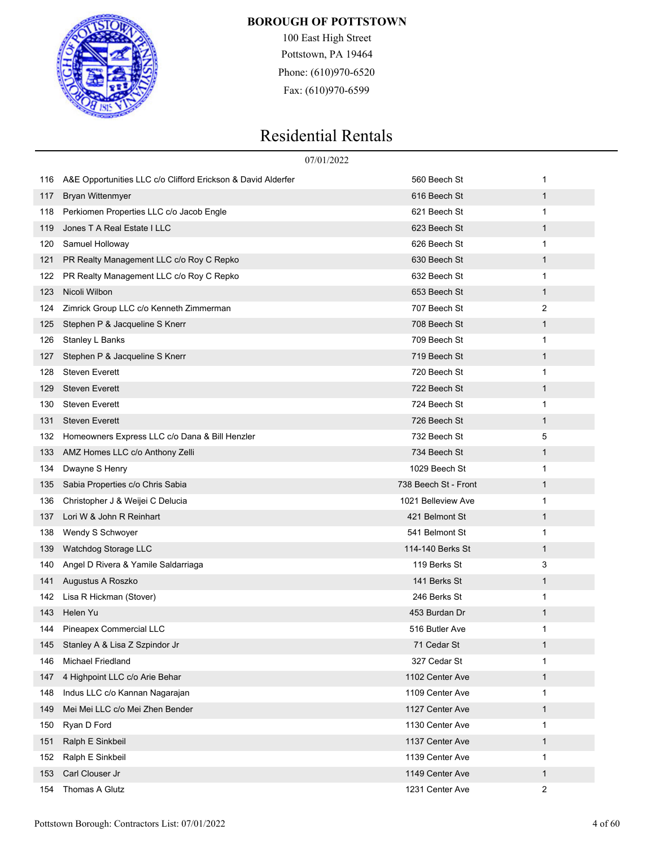

100 East High Street Pottstown, PA 19464 Phone: (610)970-6520 Fax: (610)970-6599

|     |                                                              | 07/01/2022           |              |
|-----|--------------------------------------------------------------|----------------------|--------------|
| 116 | A&E Opportunities LLC c/o Clifford Erickson & David Alderfer | 560 Beech St         | 1            |
| 117 | <b>Bryan Wittenmyer</b>                                      | 616 Beech St         | $\mathbf{1}$ |
| 118 | Perkiomen Properties LLC c/o Jacob Engle                     | 621 Beech St         | 1            |
| 119 | Jones T A Real Estate I LLC                                  | 623 Beech St         | $\mathbf{1}$ |
| 120 | Samuel Holloway                                              | 626 Beech St         | 1            |
| 121 | PR Realty Management LLC c/o Roy C Repko                     | 630 Beech St         | $\mathbf{1}$ |
| 122 | PR Realty Management LLC c/o Roy C Repko                     | 632 Beech St         | 1            |
| 123 | Nicoli Wilbon                                                | 653 Beech St         | $\mathbf{1}$ |
| 124 | Zimrick Group LLC c/o Kenneth Zimmerman                      | 707 Beech St         | 2            |
| 125 | Stephen P & Jacqueline S Knerr                               | 708 Beech St         | $\mathbf{1}$ |
| 126 | Stanley L Banks                                              | 709 Beech St         | 1            |
| 127 | Stephen P & Jacqueline S Knerr                               | 719 Beech St         | $\mathbf{1}$ |
| 128 | <b>Steven Everett</b>                                        | 720 Beech St         | 1            |
| 129 | <b>Steven Everett</b>                                        | 722 Beech St         | $\mathbf{1}$ |
| 130 | <b>Steven Everett</b>                                        | 724 Beech St         | 1            |
| 131 | <b>Steven Everett</b>                                        | 726 Beech St         | $\mathbf{1}$ |
| 132 | Homeowners Express LLC c/o Dana & Bill Henzler               | 732 Beech St         | 5            |
| 133 | AMZ Homes LLC c/o Anthony Zelli                              | 734 Beech St         | $\mathbf{1}$ |
| 134 | Dwayne S Henry                                               | 1029 Beech St        | 1            |
| 135 | Sabia Properties c/o Chris Sabia                             | 738 Beech St - Front | $\mathbf{1}$ |
| 136 | Christopher J & Weijei C Delucia                             | 1021 Belleview Ave   | 1            |
| 137 | Lori W & John R Reinhart                                     | 421 Belmont St       | $\mathbf{1}$ |
| 138 | Wendy S Schwoyer                                             | 541 Belmont St       | 1            |
| 139 | Watchdog Storage LLC                                         | 114-140 Berks St     | $\mathbf{1}$ |
| 140 | Angel D Rivera & Yamile Saldarriaga                          | 119 Berks St         | 3            |
| 141 | Augustus A Roszko                                            | 141 Berks St         | $\mathbf{1}$ |
| 142 | Lisa R Hickman (Stover)                                      | 246 Berks St         | 1            |
| 143 | Helen Yu                                                     | 453 Burdan Dr        | $\mathbf{1}$ |
| 144 | Pineapex Commercial LLC                                      | 516 Butler Ave       | 1            |
| 145 | Stanley A & Lisa Z Szpindor Jr                               | 71 Cedar St          | $\mathbf{1}$ |
| 146 | Michael Friedland                                            | 327 Cedar St         | 1            |
| 147 | 4 Highpoint LLC c/o Arie Behar                               | 1102 Center Ave      | $\mathbf{1}$ |
| 148 | Indus LLC c/o Kannan Nagarajan                               | 1109 Center Ave      | 1            |
| 149 | Mei Mei LLC c/o Mei Zhen Bender                              | 1127 Center Ave      | $\mathbf{1}$ |
| 150 | Ryan D Ford                                                  | 1130 Center Ave      | 1            |
| 151 | Ralph E Sinkbeil                                             | 1137 Center Ave      | $\mathbf{1}$ |
| 152 | Ralph E Sinkbeil                                             | 1139 Center Ave      | 1            |
| 153 | Carl Clouser Jr                                              | 1149 Center Ave      | $\mathbf{1}$ |
| 154 | Thomas A Glutz                                               | 1231 Center Ave      | 2            |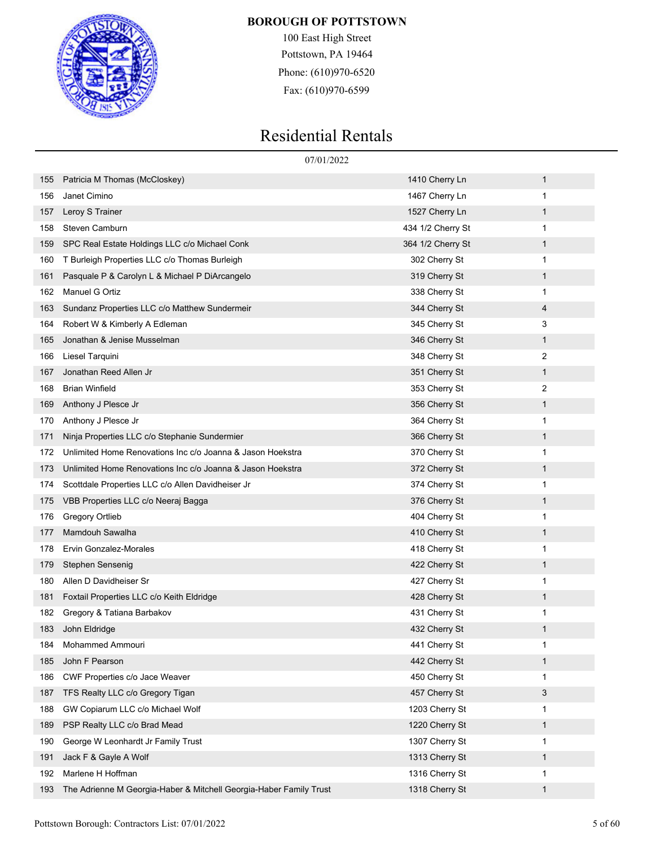

100 East High Street Pottstown, PA 19464 Phone: (610)970-6520 Fax: (610)970-6599

|     | 07/01/2022                                                         |                   |   |
|-----|--------------------------------------------------------------------|-------------------|---|
| 155 | Patricia M Thomas (McCloskey)                                      | 1410 Cherry Ln    | 1 |
| 156 | Janet Cimino                                                       | 1467 Cherry Ln    | 1 |
| 157 | Leroy S Trainer                                                    | 1527 Cherry Ln    | 1 |
| 158 | Steven Camburn                                                     | 434 1/2 Cherry St | 1 |
| 159 | SPC Real Estate Holdings LLC c/o Michael Conk                      | 364 1/2 Cherry St | 1 |
| 160 | T Burleigh Properties LLC c/o Thomas Burleigh                      | 302 Cherry St     | 1 |
| 161 | Pasquale P & Carolyn L & Michael P DiArcangelo                     | 319 Cherry St     | 1 |
| 162 | Manuel G Ortiz                                                     | 338 Cherry St     | 1 |
| 163 | Sundanz Properties LLC c/o Matthew Sundermeir                      | 344 Cherry St     | 4 |
| 164 | Robert W & Kimberly A Edleman                                      | 345 Cherry St     | 3 |
| 165 | Jonathan & Jenise Musselman                                        | 346 Cherry St     | 1 |
| 166 | Liesel Tarquini                                                    | 348 Cherry St     | 2 |
| 167 | Jonathan Reed Allen Jr                                             | 351 Cherry St     | 1 |
| 168 | <b>Brian Winfield</b>                                              | 353 Cherry St     | 2 |
| 169 | Anthony J Plesce Jr                                                | 356 Cherry St     | 1 |
| 170 | Anthony J Plesce Jr                                                | 364 Cherry St     | 1 |
| 171 | Ninja Properties LLC c/o Stephanie Sundermier                      | 366 Cherry St     | 1 |
| 172 | Unlimited Home Renovations Inc c/o Joanna & Jason Hoekstra         | 370 Cherry St     | 1 |
| 173 | Unlimited Home Renovations Inc c/o Joanna & Jason Hoekstra         | 372 Cherry St     | 1 |
| 174 | Scottdale Properties LLC c/o Allen Davidheiser Jr                  | 374 Cherry St     | 1 |
| 175 | VBB Properties LLC c/o Neeraj Bagga                                | 376 Cherry St     | 1 |
| 176 | <b>Gregory Ortlieb</b>                                             | 404 Cherry St     | 1 |
| 177 | Mamdouh Sawalha                                                    | 410 Cherry St     | 1 |
| 178 | Ervin Gonzalez-Morales                                             | 418 Cherry St     | 1 |
| 179 | Stephen Sensenig                                                   | 422 Cherry St     | 1 |
| 180 | Allen D Davidheiser Sr                                             | 427 Cherry St     | 1 |
| 181 | Foxtail Properties LLC c/o Keith Eldridge                          | 428 Cherry St     | 1 |
| 182 | Gregory & Tatiana Barbakov                                         | 431 Cherry St     | 1 |
| 183 | John Eldridge                                                      | 432 Cherry St     | 1 |
| 184 | Mohammed Ammouri                                                   | 441 Cherry St     | 1 |
| 185 | John F Pearson                                                     | 442 Cherry St     | 1 |
| 186 | CWF Properties c/o Jace Weaver                                     | 450 Cherry St     | 1 |
| 187 | TFS Realty LLC c/o Gregory Tigan                                   | 457 Cherry St     | 3 |
| 188 | GW Copiarum LLC c/o Michael Wolf                                   | 1203 Cherry St    | 1 |
| 189 | PSP Realty LLC c/o Brad Mead                                       | 1220 Cherry St    | 1 |
| 190 | George W Leonhardt Jr Family Trust                                 | 1307 Cherry St    | 1 |
| 191 | Jack F & Gayle A Wolf                                              | 1313 Cherry St    | 1 |
| 192 | Marlene H Hoffman                                                  | 1316 Cherry St    | 1 |
| 193 | The Adrienne M Georgia-Haber & Mitchell Georgia-Haber Family Trust | 1318 Cherry St    | 1 |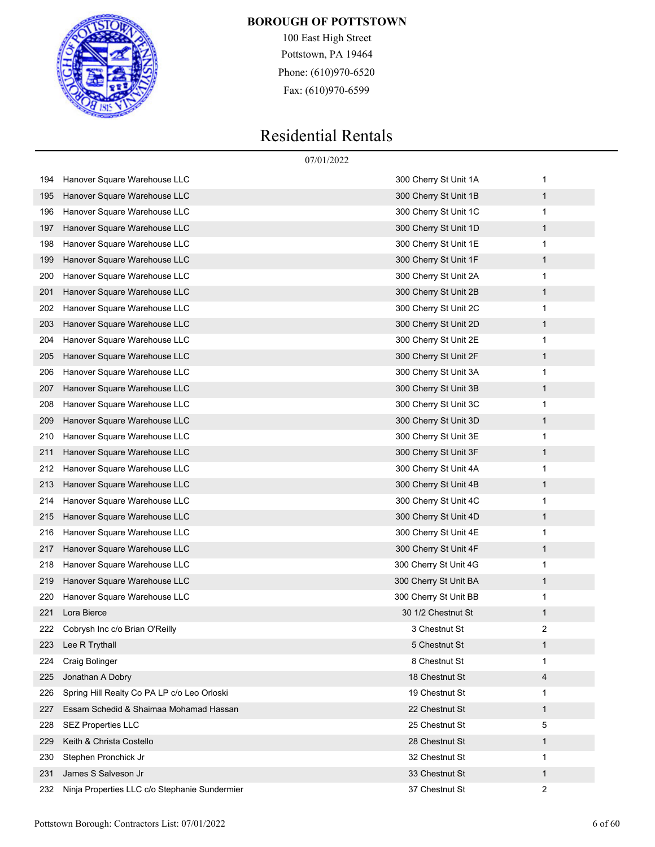

100 East High Street Pottstown, PA 19464 Phone: (610)970-6520 Fax: (610)970-6599

|     |                                               | 07/01/2022            |   |
|-----|-----------------------------------------------|-----------------------|---|
| 194 | Hanover Square Warehouse LLC                  | 300 Cherry St Unit 1A | 1 |
| 195 | Hanover Square Warehouse LLC                  | 300 Cherry St Unit 1B | 1 |
| 196 | Hanover Square Warehouse LLC                  | 300 Cherry St Unit 1C | 1 |
| 197 | Hanover Square Warehouse LLC                  | 300 Cherry St Unit 1D | 1 |
| 198 | Hanover Square Warehouse LLC                  | 300 Cherry St Unit 1E | 1 |
| 199 | Hanover Square Warehouse LLC                  | 300 Cherry St Unit 1F | 1 |
| 200 | Hanover Square Warehouse LLC                  | 300 Cherry St Unit 2A | 1 |
| 201 | Hanover Square Warehouse LLC                  | 300 Cherry St Unit 2B | 1 |
| 202 | Hanover Square Warehouse LLC                  | 300 Cherry St Unit 2C | 1 |
| 203 | Hanover Square Warehouse LLC                  | 300 Cherry St Unit 2D | 1 |
| 204 | Hanover Square Warehouse LLC                  | 300 Cherry St Unit 2E | 1 |
| 205 | Hanover Square Warehouse LLC                  | 300 Cherry St Unit 2F | 1 |
| 206 | Hanover Square Warehouse LLC                  | 300 Cherry St Unit 3A | 1 |
| 207 | Hanover Square Warehouse LLC                  | 300 Cherry St Unit 3B | 1 |
| 208 | Hanover Square Warehouse LLC                  | 300 Cherry St Unit 3C | 1 |
| 209 | Hanover Square Warehouse LLC                  | 300 Cherry St Unit 3D | 1 |
| 210 | Hanover Square Warehouse LLC                  | 300 Cherry St Unit 3E | 1 |
| 211 | Hanover Square Warehouse LLC                  | 300 Cherry St Unit 3F | 1 |
| 212 | Hanover Square Warehouse LLC                  | 300 Cherry St Unit 4A | 1 |
| 213 | Hanover Square Warehouse LLC                  | 300 Cherry St Unit 4B | 1 |
| 214 | Hanover Square Warehouse LLC                  | 300 Cherry St Unit 4C | 1 |
| 215 | Hanover Square Warehouse LLC                  | 300 Cherry St Unit 4D | 1 |
| 216 | Hanover Square Warehouse LLC                  | 300 Cherry St Unit 4E | 1 |
| 217 | Hanover Square Warehouse LLC                  | 300 Cherry St Unit 4F | 1 |
| 218 | Hanover Square Warehouse LLC                  | 300 Cherry St Unit 4G | 1 |
| 219 | Hanover Square Warehouse LLC                  | 300 Cherry St Unit BA | 1 |
| 220 | Hanover Square Warehouse LLC                  | 300 Cherry St Unit BB | 1 |
| 221 | Lora Bierce                                   | 30 1/2 Chestnut St    | 1 |
|     | Cobrysh Inc c/o Brian O'Reilly                | 3 Chestnut St         | 2 |
| 223 | Lee R Trythall                                | 5 Chestnut St         | 1 |
| 224 | Craig Bolinger                                | 8 Chestnut St         | 1 |
| 225 | Jonathan A Dobry                              | 18 Chestnut St        | 4 |
| 226 | Spring Hill Realty Co PA LP c/o Leo Orloski   | 19 Chestnut St        | 1 |
| 227 | Essam Schedid & Shaimaa Mohamad Hassan        | 22 Chestnut St        | 1 |
| 228 | <b>SEZ Properties LLC</b>                     | 25 Chestnut St        | 5 |
| 229 | Keith & Christa Costello                      | 28 Chestnut St        | 1 |
| 230 | Stephen Pronchick Jr                          | 32 Chestnut St        | 1 |
| 231 | James S Salveson Jr                           | 33 Chestnut St        | 1 |
| 232 | Ninja Properties LLC c/o Stephanie Sundermier | 37 Chestnut St        | 2 |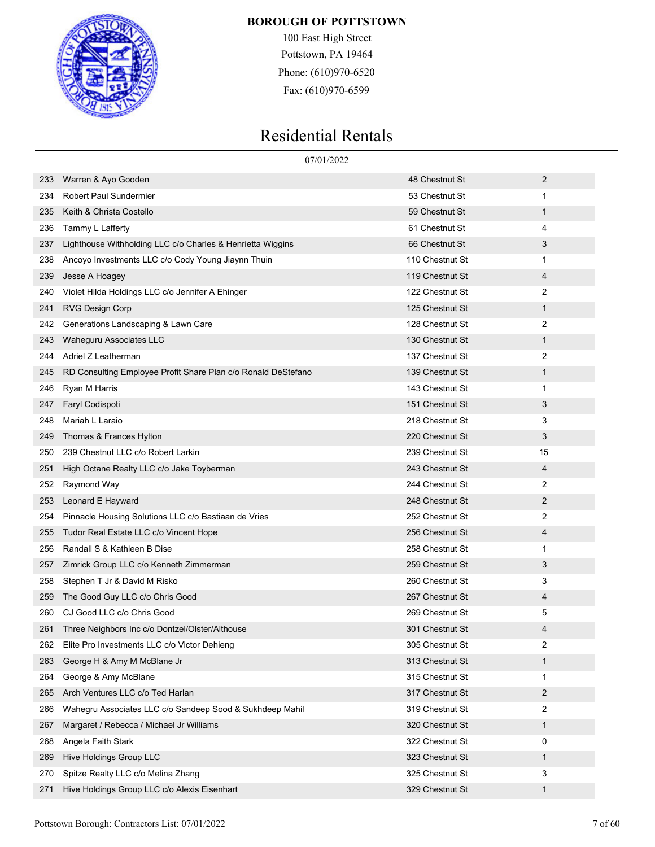

100 East High Street Pottstown, PA 19464 Phone: (610)970-6520 Fax: (610)970-6599

|     | 07/01/2022                                                    |                 |              |
|-----|---------------------------------------------------------------|-----------------|--------------|
| 233 | Warren & Ayo Gooden                                           | 48 Chestnut St  | 2            |
| 234 | <b>Robert Paul Sundermier</b>                                 | 53 Chestnut St  | 1            |
| 235 | Keith & Christa Costello                                      | 59 Chestnut St  | 1            |
| 236 | Tammy L Lafferty                                              | 61 Chestnut St  | 4            |
| 237 | Lighthouse Withholding LLC c/o Charles & Henrietta Wiggins    | 66 Chestnut St  | 3            |
| 238 | Ancoyo Investments LLC c/o Cody Young Jiaynn Thuin            | 110 Chestnut St | 1            |
| 239 | Jesse A Hoagey                                                | 119 Chestnut St | 4            |
| 240 | Violet Hilda Holdings LLC c/o Jennifer A Ehinger              | 122 Chestnut St | 2            |
| 241 | <b>RVG Design Corp</b>                                        | 125 Chestnut St | 1            |
| 242 | Generations Landscaping & Lawn Care                           | 128 Chestnut St | 2            |
| 243 | Waheguru Associates LLC                                       | 130 Chestnut St | 1            |
| 244 | Adriel Z Leatherman                                           | 137 Chestnut St | 2            |
| 245 | RD Consulting Employee Profit Share Plan c/o Ronald DeStefano | 139 Chestnut St | 1            |
| 246 | Ryan M Harris                                                 | 143 Chestnut St | 1            |
| 247 | Faryl Codispoti                                               | 151 Chestnut St | 3            |
| 248 | Mariah L Laraio                                               | 218 Chestnut St | 3            |
| 249 | Thomas & Frances Hylton                                       | 220 Chestnut St | 3            |
| 250 | 239 Chestnut LLC c/o Robert Larkin                            | 239 Chestnut St | 15           |
| 251 | High Octane Realty LLC c/o Jake Toyberman                     | 243 Chestnut St | 4            |
| 252 | Raymond Way                                                   | 244 Chestnut St | 2            |
| 253 | Leonard E Hayward                                             | 248 Chestnut St | 2            |
| 254 | Pinnacle Housing Solutions LLC c/o Bastiaan de Vries          | 252 Chestnut St | 2            |
| 255 | Tudor Real Estate LLC c/o Vincent Hope                        | 256 Chestnut St | 4            |
| 256 | Randall S & Kathleen B Dise                                   | 258 Chestnut St | 1            |
| 257 | Zimrick Group LLC c/o Kenneth Zimmerman                       | 259 Chestnut St | 3            |
| 258 | Stephen T Jr & David M Risko                                  | 260 Chestnut St | 3            |
| 259 | The Good Guy LLC c/o Chris Good                               | 267 Chestnut St | 4            |
| 260 | CJ Good LLC c/o Chris Good                                    | 269 Chestnut St | 5            |
| 261 | Three Neighbors Inc c/o Dontzel/Olster/Althouse               | 301 Chestnut St | 4            |
| 262 | Elite Pro Investments LLC c/o Victor Dehieng                  | 305 Chestnut St | 2            |
| 263 | George H & Amy M McBlane Jr                                   | 313 Chestnut St | $\mathbf{1}$ |
| 264 | George & Amy McBlane                                          | 315 Chestnut St | 1            |
| 265 | Arch Ventures LLC c/o Ted Harlan                              | 317 Chestnut St | 2            |
| 266 | Wahegru Associates LLC c/o Sandeep Sood & Sukhdeep Mahil      | 319 Chestnut St | 2            |
| 267 | Margaret / Rebecca / Michael Jr Williams                      | 320 Chestnut St | $\mathbf{1}$ |
| 268 | Angela Faith Stark                                            | 322 Chestnut St | 0            |
| 269 | Hive Holdings Group LLC                                       | 323 Chestnut St | $\mathbf{1}$ |
| 270 | Spitze Realty LLC c/o Melina Zhang                            | 325 Chestnut St | 3            |
| 271 | Hive Holdings Group LLC c/o Alexis Eisenhart                  | 329 Chestnut St | $\mathbf{1}$ |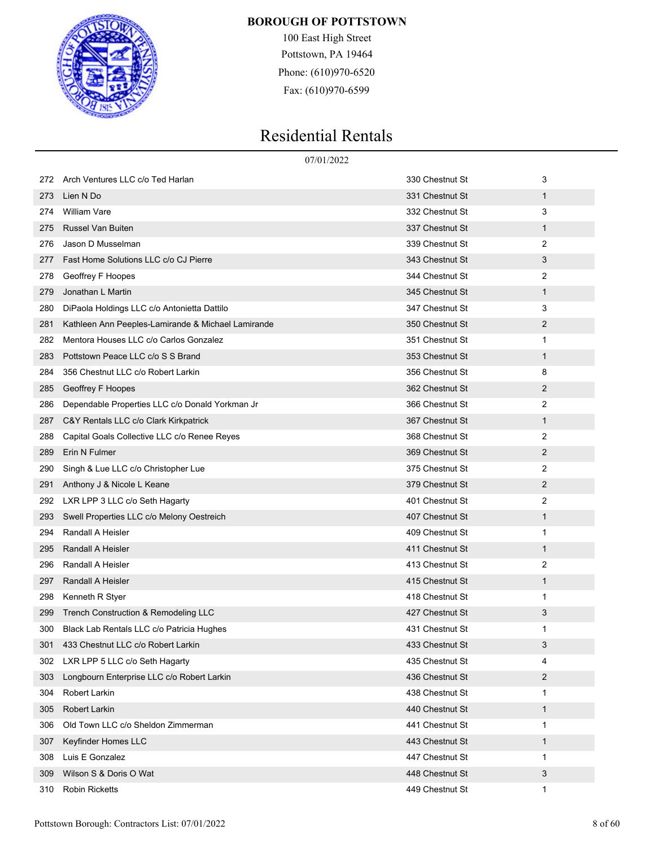

100 East High Street Pottstown, PA 19464 Phone: (610)970-6520 Fax: (610)970-6599

|     | 07/01/2022                                         |                 |              |
|-----|----------------------------------------------------|-----------------|--------------|
| 272 | Arch Ventures LLC c/o Ted Harlan                   | 330 Chestnut St | 3            |
| 273 | Lien N Do                                          | 331 Chestnut St | $\mathbf{1}$ |
| 274 | <b>William Vare</b>                                | 332 Chestnut St | 3            |
| 275 | <b>Russel Van Buiten</b>                           | 337 Chestnut St | $\mathbf{1}$ |
| 276 | Jason D Musselman                                  | 339 Chestnut St | 2            |
| 277 | Fast Home Solutions LLC c/o CJ Pierre              | 343 Chestnut St | 3            |
| 278 | Geoffrey F Hoopes                                  | 344 Chestnut St | 2            |
| 279 | Jonathan L Martin                                  | 345 Chestnut St | $\mathbf{1}$ |
| 280 | DiPaola Holdings LLC c/o Antonietta Dattilo        | 347 Chestnut St | 3            |
| 281 | Kathleen Ann Peeples-Lamirande & Michael Lamirande | 350 Chestnut St | 2            |
| 282 | Mentora Houses LLC c/o Carlos Gonzalez             | 351 Chestnut St | 1            |
| 283 | Pottstown Peace LLC c/o S S Brand                  | 353 Chestnut St | $\mathbf{1}$ |
| 284 | 356 Chestnut LLC c/o Robert Larkin                 | 356 Chestnut St | 8            |
| 285 | Geoffrey F Hoopes                                  | 362 Chestnut St | 2            |
| 286 | Dependable Properties LLC c/o Donald Yorkman Jr    | 366 Chestnut St | 2            |
| 287 | C&Y Rentals LLC c/o Clark Kirkpatrick              | 367 Chestnut St | $\mathbf{1}$ |
| 288 | Capital Goals Collective LLC c/o Renee Reyes       | 368 Chestnut St | 2            |
| 289 | Erin N Fulmer                                      | 369 Chestnut St | 2            |
| 290 | Singh & Lue LLC c/o Christopher Lue                | 375 Chestnut St | 2            |
| 291 | Anthony J & Nicole L Keane                         | 379 Chestnut St | 2            |
| 292 | LXR LPP 3 LLC c/o Seth Hagarty                     | 401 Chestnut St | 2            |
| 293 | Swell Properties LLC c/o Melony Oestreich          | 407 Chestnut St | $\mathbf{1}$ |
| 294 | Randall A Heisler                                  | 409 Chestnut St | 1            |
| 295 | Randall A Heisler                                  | 411 Chestnut St | $\mathbf{1}$ |
| 296 | Randall A Heisler                                  | 413 Chestnut St | 2            |
| 297 | Randall A Heisler                                  | 415 Chestnut St | $\mathbf{1}$ |
| 298 | Kenneth R Styer                                    | 418 Chestnut St | 1            |
| 299 | Trench Construction & Remodeling LLC               | 427 Chestnut St | 3            |
| 300 | Black Lab Rentals LLC c/o Patricia Hughes          | 431 Chestnut St |              |
| 301 | 433 Chestnut LLC c/o Robert Larkin                 | 433 Chestnut St | 3            |
| 302 | LXR LPP 5 LLC c/o Seth Hagarty                     | 435 Chestnut St | 4            |
| 303 | Longbourn Enterprise LLC c/o Robert Larkin         | 436 Chestnut St | 2            |
| 304 | Robert Larkin                                      | 438 Chestnut St | 1            |
| 305 | Robert Larkin                                      | 440 Chestnut St | 1            |
| 306 | Old Town LLC c/o Sheldon Zimmerman                 | 441 Chestnut St | 1            |
| 307 | Keyfinder Homes LLC                                | 443 Chestnut St | $\mathbf{1}$ |
| 308 | Luis E Gonzalez                                    | 447 Chestnut St | 1            |
| 309 | Wilson S & Doris O Wat                             | 448 Chestnut St | 3            |
| 310 | <b>Robin Ricketts</b>                              | 449 Chestnut St | 1            |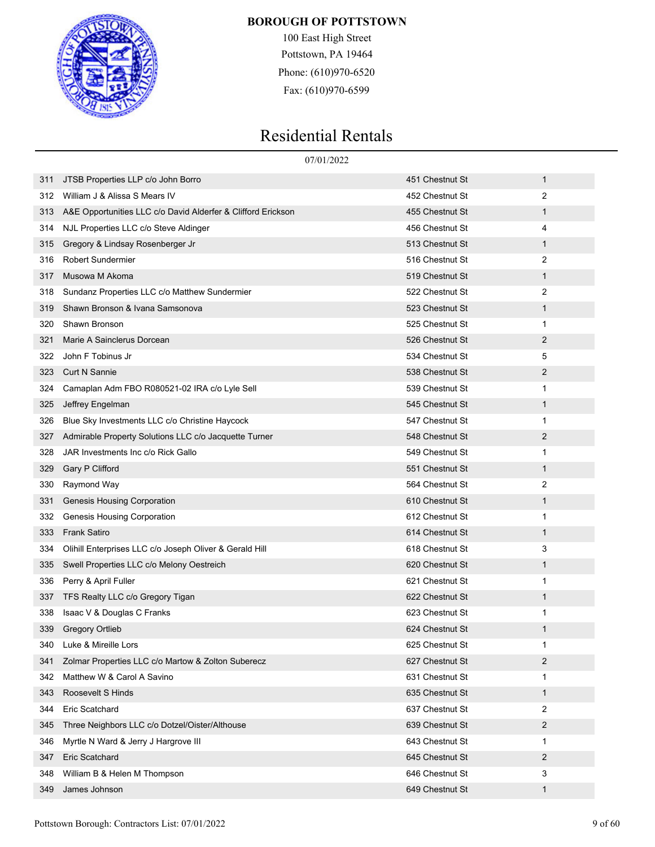

100 East High Street Pottstown, PA 19464 Phone: (610)970-6520 Fax: (610)970-6599

|     | 07/01/2022                                                   |                 |                |
|-----|--------------------------------------------------------------|-----------------|----------------|
| 311 | JTSB Properties LLP c/o John Borro                           | 451 Chestnut St | $\mathbf{1}$   |
| 312 | William J & Alissa S Mears IV                                | 452 Chestnut St | 2              |
| 313 | A&E Opportunities LLC c/o David Alderfer & Clifford Erickson | 455 Chestnut St | 1              |
| 314 | NJL Properties LLC c/o Steve Aldinger                        | 456 Chestnut St | 4              |
| 315 | Gregory & Lindsay Rosenberger Jr                             | 513 Chestnut St | $\mathbf{1}$   |
| 316 | <b>Robert Sundermier</b>                                     | 516 Chestnut St | 2              |
| 317 | Musowa M Akoma                                               | 519 Chestnut St | 1              |
| 318 | Sundanz Properties LLC c/o Matthew Sundermier                | 522 Chestnut St | $\overline{2}$ |
| 319 | Shawn Bronson & Ivana Samsonova                              | 523 Chestnut St | $\mathbf{1}$   |
| 320 | Shawn Bronson                                                | 525 Chestnut St | $\mathbf{1}$   |
| 321 | Marie A Sainclerus Dorcean                                   | 526 Chestnut St | $\overline{2}$ |
| 322 | John F Tobinus Jr                                            | 534 Chestnut St | 5              |
| 323 | <b>Curt N Sannie</b>                                         | 538 Chestnut St | 2              |
| 324 | Camaplan Adm FBO R080521-02 IRA c/o Lyle Sell                | 539 Chestnut St | 1              |
| 325 | Jeffrey Engelman                                             | 545 Chestnut St | $\mathbf 1$    |
| 326 | Blue Sky Investments LLC c/o Christine Haycock               | 547 Chestnut St | 1              |
| 327 | Admirable Property Solutions LLC c/o Jacquette Turner        | 548 Chestnut St | 2              |
| 328 | JAR Investments Inc c/o Rick Gallo                           | 549 Chestnut St | 1              |
| 329 | Gary P Clifford                                              | 551 Chestnut St | $\mathbf{1}$   |
| 330 | Raymond Way                                                  | 564 Chestnut St | 2              |
| 331 | Genesis Housing Corporation                                  | 610 Chestnut St | $\mathbf 1$    |
| 332 | Genesis Housing Corporation                                  | 612 Chestnut St | 1              |
| 333 | <b>Frank Satiro</b>                                          | 614 Chestnut St | $\mathbf 1$    |
| 334 | Olihill Enterprises LLC c/o Joseph Oliver & Gerald Hill      | 618 Chestnut St | 3              |
| 335 | Swell Properties LLC c/o Melony Oestreich                    | 620 Chestnut St | $\mathbf{1}$   |
| 336 | Perry & April Fuller                                         | 621 Chestnut St | 1              |
| 337 | TFS Realty LLC c/o Gregory Tigan                             | 622 Chestnut St | 1              |
| 338 | Isaac V & Douglas C Franks                                   | 623 Chestnut St | 1              |
| 339 | <b>Gregory Ortlieb</b>                                       | 624 Chestnut St | 1              |
| 340 | Luke & Mireille Lors                                         | 625 Chestnut St | 1              |
| 341 | Zolmar Properties LLC c/o Martow & Zolton Suberecz           | 627 Chestnut St | $\overline{2}$ |
| 342 | Matthew W & Carol A Savino                                   | 631 Chestnut St | 1              |
| 343 | Roosevelt S Hinds                                            | 635 Chestnut St | $\mathbf{1}$   |
| 344 | Eric Scatchard                                               | 637 Chestnut St | 2              |
| 345 | Three Neighbors LLC c/o Dotzel/Oister/Althouse               | 639 Chestnut St | 2              |
| 346 | Myrtle N Ward & Jerry J Hargrove III                         | 643 Chestnut St | 1              |
| 347 | Eric Scatchard                                               | 645 Chestnut St | $\overline{2}$ |
| 348 | William B & Helen M Thompson                                 | 646 Chestnut St | 3              |
| 349 | James Johnson                                                | 649 Chestnut St | 1              |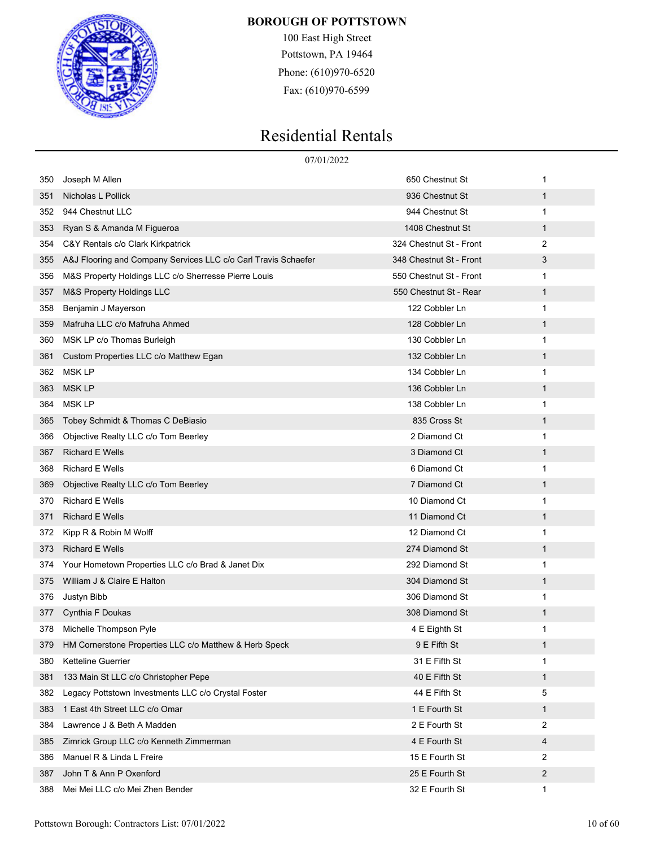

100 East High Street Pottstown, PA 19464 Phone: (610)970-6520 Fax: (610)970-6599

|     | 07/01/2022                                                     |                         |              |
|-----|----------------------------------------------------------------|-------------------------|--------------|
| 350 | Joseph M Allen                                                 | 650 Chestnut St         | 1            |
| 351 | Nicholas L Pollick                                             | 936 Chestnut St         | 1            |
| 352 | 944 Chestnut LLC                                               | 944 Chestnut St         | 1            |
| 353 | Ryan S & Amanda M Figueroa                                     | 1408 Chestnut St        | 1            |
| 354 | C&Y Rentals c/o Clark Kirkpatrick                              | 324 Chestnut St - Front | 2            |
| 355 | A&J Flooring and Company Services LLC c/o Carl Travis Schaefer | 348 Chestnut St - Front | 3            |
| 356 | M&S Property Holdings LLC c/o Sherresse Pierre Louis           | 550 Chestnut St - Front | 1            |
| 357 | M&S Property Holdings LLC                                      | 550 Chestnut St - Rear  | 1            |
| 358 | Benjamin J Mayerson                                            | 122 Cobbler Ln          | 1            |
| 359 | Mafruha LLC c/o Mafruha Ahmed                                  | 128 Cobbler Ln          | 1            |
| 360 | MSK LP c/o Thomas Burleigh                                     | 130 Cobbler Ln          | 1            |
| 361 | Custom Properties LLC c/o Matthew Egan                         | 132 Cobbler Ln          | 1            |
| 362 | <b>MSK LP</b>                                                  | 134 Cobbler Ln          | 1            |
| 363 | <b>MSK LP</b>                                                  | 136 Cobbler Ln          | 1            |
| 364 | <b>MSK LP</b>                                                  | 138 Cobbler Ln          | 1            |
| 365 | Tobey Schmidt & Thomas C DeBiasio                              | 835 Cross St            | 1            |
| 366 | Objective Realty LLC c/o Tom Beerley                           | 2 Diamond Ct            | 1            |
| 367 | <b>Richard E Wells</b>                                         | 3 Diamond Ct            | 1            |
| 368 | <b>Richard E Wells</b>                                         | 6 Diamond Ct            | 1            |
| 369 | Objective Realty LLC c/o Tom Beerley                           | 7 Diamond Ct            | 1            |
| 370 | <b>Richard E Wells</b>                                         | 10 Diamond Ct           | 1            |
| 371 | <b>Richard E Wells</b>                                         | 11 Diamond Ct           | 1            |
| 372 | Kipp R & Robin M Wolff                                         | 12 Diamond Ct           | 1            |
| 373 | <b>Richard E Wells</b>                                         | 274 Diamond St          | 1            |
| 374 | Your Hometown Properties LLC c/o Brad & Janet Dix              | 292 Diamond St          | 1            |
| 375 | William J & Claire E Halton                                    | 304 Diamond St          | 1            |
| 376 | Justyn Bibb                                                    | 306 Diamond St          | 1            |
| 377 | Cynthia F Doukas                                               | 308 Diamond St          | 1            |
| 378 | Michelle Thompson Pyle                                         | 4 E Eighth St           | 1            |
| 379 | HM Cornerstone Properties LLC c/o Matthew & Herb Speck         | 9 E Fifth St            | 1            |
| 380 | Ketteline Guerrier                                             | 31 E Fifth St           | 1            |
| 381 | 133 Main St LLC c/o Christopher Pepe                           | 40 E Fifth St           | 1            |
| 382 | Legacy Pottstown Investments LLC c/o Crystal Foster            | 44 E Fifth St           | 5            |
| 383 | 1 East 4th Street LLC c/o Omar                                 | 1 E Fourth St           | $\mathbf{1}$ |
| 384 | Lawrence J & Beth A Madden                                     | 2 E Fourth St           | 2            |
| 385 | Zimrick Group LLC c/o Kenneth Zimmerman                        | 4 E Fourth St           | 4            |
| 386 | Manuel R & Linda L Freire                                      | 15 E Fourth St          | 2            |
| 387 | John T & Ann P Oxenford                                        | 25 E Fourth St          | 2            |
| 388 | Mei Mei LLC c/o Mei Zhen Bender                                | 32 E Fourth St          | $\mathbf{1}$ |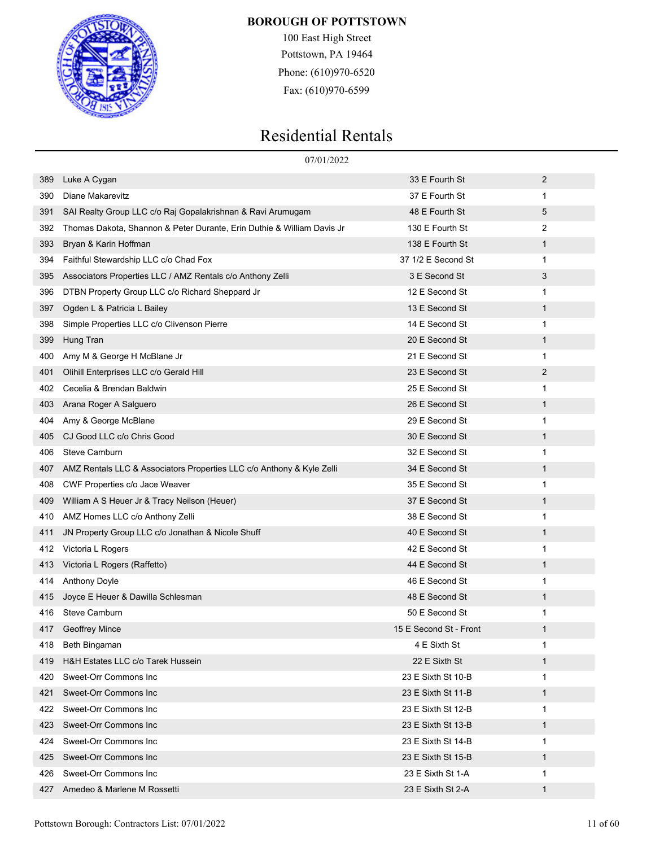

100 East High Street Pottstown, PA 19464 Phone: (610)970-6520 Fax: (610)970-6599

|     | 07/01/2022                                                             |                        |              |
|-----|------------------------------------------------------------------------|------------------------|--------------|
| 389 | Luke A Cygan                                                           | 33 E Fourth St         | 2            |
| 390 | Diane Makarevitz                                                       | 37 E Fourth St         | 1            |
| 391 | SAI Realty Group LLC c/o Raj Gopalakrishnan & Ravi Arumugam            | 48 E Fourth St         | 5            |
| 392 | Thomas Dakota, Shannon & Peter Durante, Erin Duthie & William Davis Jr | 130 E Fourth St        | 2            |
| 393 | Bryan & Karin Hoffman                                                  | 138 E Fourth St        | 1            |
| 394 | Faithful Stewardship LLC c/o Chad Fox                                  | 37 1/2 E Second St     | $\mathbf{1}$ |
| 395 | Associators Properties LLC / AMZ Rentals c/o Anthony Zelli             | 3 E Second St          | 3            |
| 396 | DTBN Property Group LLC c/o Richard Sheppard Jr                        | 12 E Second St         | 1            |
| 397 | Ogden L & Patricia L Bailey                                            | 13 E Second St         | 1            |
| 398 | Simple Properties LLC c/o Clivenson Pierre                             | 14 E Second St         | 1            |
| 399 | Hung Tran                                                              | 20 E Second St         | 1            |
| 400 | Amy M & George H McBlane Jr                                            | 21 E Second St         | 1            |
| 401 | Olihill Enterprises LLC c/o Gerald Hill                                | 23 E Second St         | 2            |
| 402 | Cecelia & Brendan Baldwin                                              | 25 E Second St         | 1            |
| 403 | Arana Roger A Salguero                                                 | 26 E Second St         | 1            |
| 404 | Amy & George McBlane                                                   | 29 E Second St         | 1            |
| 405 | CJ Good LLC c/o Chris Good                                             | 30 E Second St         | 1            |
| 406 | Steve Camburn                                                          | 32 E Second St         | 1            |
| 407 | AMZ Rentals LLC & Associators Properties LLC c/o Anthony & Kyle Zelli  | 34 E Second St         | 1            |
| 408 | CWF Properties c/o Jace Weaver                                         | 35 E Second St         | 1            |
| 409 | William A S Heuer Jr & Tracy Neilson (Heuer)                           | 37 E Second St         | 1            |
| 410 | AMZ Homes LLC c/o Anthony Zelli                                        | 38 E Second St         | 1            |
| 411 | JN Property Group LLC c/o Jonathan & Nicole Shuff                      | 40 E Second St         | 1            |
| 412 | Victoria L Rogers                                                      | 42 E Second St         | 1            |
| 413 | Victoria L Rogers (Raffetto)                                           | 44 E Second St         | 1            |
| 414 | <b>Anthony Doyle</b>                                                   | 46 E Second St         | 1            |
| 415 | Joyce E Heuer & Dawilla Schlesman                                      | 48 E Second St         | 1            |
| 416 | <b>Steve Camburn</b>                                                   | 50 E Second St         | 1            |
| 417 | <b>Geoffrey Mince</b>                                                  | 15 E Second St - Front | 1            |
| 418 | Beth Bingaman                                                          | 4 E Sixth St           | 1            |
| 419 | H&H Estates LLC c/o Tarek Hussein                                      | 22 E Sixth St          | 1            |
| 420 | Sweet-Orr Commons Inc                                                  | 23 E Sixth St 10-B     | 1            |
| 421 | Sweet-Orr Commons Inc                                                  | 23 E Sixth St 11-B     | 1            |
| 422 | Sweet-Orr Commons Inc                                                  | 23 E Sixth St 12-B     | 1            |
| 423 | Sweet-Orr Commons Inc                                                  | 23 E Sixth St 13-B     | 1            |
| 424 | Sweet-Orr Commons Inc                                                  | 23 E Sixth St 14-B     | 1            |
| 425 | Sweet-Orr Commons Inc                                                  | 23 E Sixth St 15-B     | $\mathbf 1$  |
| 426 | Sweet-Orr Commons Inc                                                  | 23 E Sixth St 1-A      | 1            |
| 427 | Amedeo & Marlene M Rossetti                                            | 23 E Sixth St 2-A      | $\mathbf{1}$ |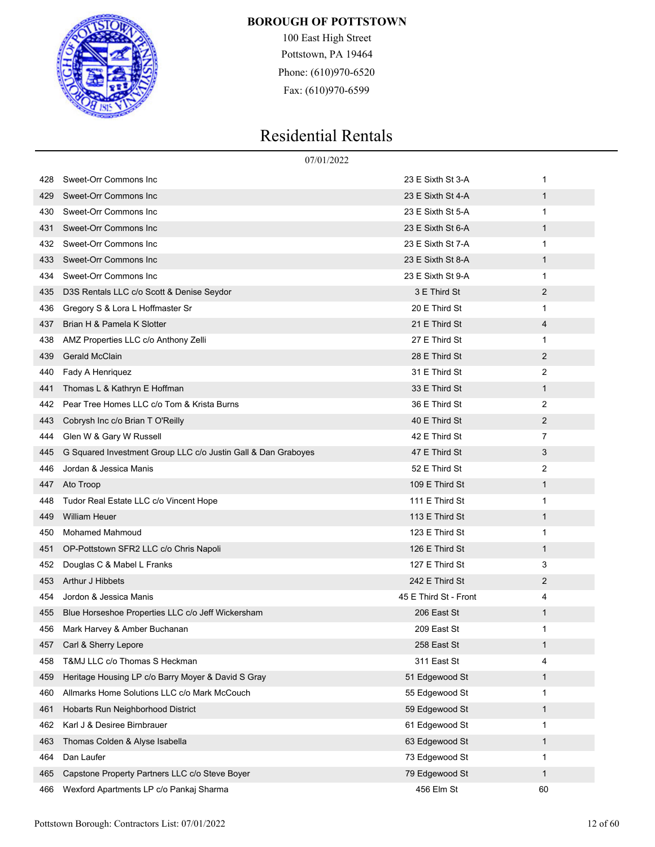

100 East High Street Pottstown, PA 19464 Phone: (610)970-6520 Fax: (610)970-6599

|     | 07/01/2022                                                    |                       |                |
|-----|---------------------------------------------------------------|-----------------------|----------------|
| 428 | Sweet-Orr Commons Inc                                         | 23 E Sixth St 3-A     | 1              |
| 429 | Sweet-Orr Commons Inc                                         | 23 E Sixth St 4-A     | 1              |
| 430 | Sweet-Orr Commons Inc                                         | 23 E Sixth St 5-A     | 1              |
| 431 | Sweet-Orr Commons Inc                                         | 23 E Sixth St 6-A     | 1              |
| 432 | Sweet-Orr Commons Inc                                         | 23 E Sixth St 7-A     | 1              |
| 433 | Sweet-Orr Commons Inc                                         | 23 E Sixth St 8-A     | 1              |
| 434 | Sweet-Orr Commons Inc                                         | 23 E Sixth St 9-A     | 1              |
| 435 | D3S Rentals LLC c/o Scott & Denise Seydor                     | 3 E Third St          | 2              |
| 436 | Gregory S & Lora L Hoffmaster Sr                              | 20 E Third St         | 1              |
| 437 | Brian H & Pamela K Slotter                                    | 21 E Third St         | 4              |
| 438 | AMZ Properties LLC c/o Anthony Zelli                          | 27 E Third St         | 1              |
| 439 | <b>Gerald McClain</b>                                         | 28 E Third St         | $\overline{2}$ |
| 440 | Fady A Henriquez                                              | 31 E Third St         | $\overline{2}$ |
| 441 | Thomas L & Kathryn E Hoffman                                  | 33 E Third St         | 1              |
| 442 | Pear Tree Homes LLC c/o Tom & Krista Burns                    | 36 E Third St         | $\overline{2}$ |
| 443 | Cobrysh Inc c/o Brian T O'Reilly                              | 40 E Third St         | 2              |
| 444 | Glen W & Gary W Russell                                       | 42 E Third St         | $\overline{7}$ |
| 445 | G Squared Investment Group LLC c/o Justin Gall & Dan Graboyes | 47 E Third St         | 3              |
| 446 | Jordan & Jessica Manis                                        | 52 E Third St         | $\overline{2}$ |
| 447 | Ato Troop                                                     | 109 E Third St        | 1              |
| 448 | Tudor Real Estate LLC c/o Vincent Hope                        | 111 E Third St        | 1              |
| 449 | <b>William Heuer</b>                                          | 113 E Third St        | 1              |
| 450 | <b>Mohamed Mahmoud</b>                                        | 123 E Third St        | 1              |
| 451 | OP-Pottstown SFR2 LLC c/o Chris Napoli                        | 126 E Third St        | 1              |
| 452 | Douglas C & Mabel L Franks                                    | 127 E Third St        | 3              |
| 453 | Arthur J Hibbets                                              | 242 E Third St        | 2              |
| 454 | Jordon & Jessica Manis                                        | 45 E Third St - Front | 4              |
| 455 | Blue Horseshoe Properties LLC c/o Jeff Wickersham             | 206 East St           | 1              |
| 456 | Mark Harvey & Amber Buchanan                                  | 209 East St           | 1              |
| 457 | Carl & Sherry Lepore                                          | 258 East St           | 1              |
| 458 | T&MJ LLC c/o Thomas S Heckman                                 | 311 East St           | 4              |
| 459 | Heritage Housing LP c/o Barry Moyer & David S Gray            | 51 Edgewood St        | $\mathbf{1}$   |
| 460 | Allmarks Home Solutions LLC c/o Mark McCouch                  | 55 Edgewood St        | 1              |
| 461 | Hobarts Run Neighborhood District                             | 59 Edgewood St        | 1              |
| 462 | Karl J & Desiree Birnbrauer                                   | 61 Edgewood St        | 1              |
| 463 | Thomas Colden & Alyse Isabella                                | 63 Edgewood St        | $\mathbf{1}$   |
| 464 | Dan Laufer                                                    | 73 Edgewood St        | 1              |
| 465 | Capstone Property Partners LLC c/o Steve Boyer                | 79 Edgewood St        | 1              |
| 466 | Wexford Apartments LP c/o Pankaj Sharma                       | 456 Elm St            | 60             |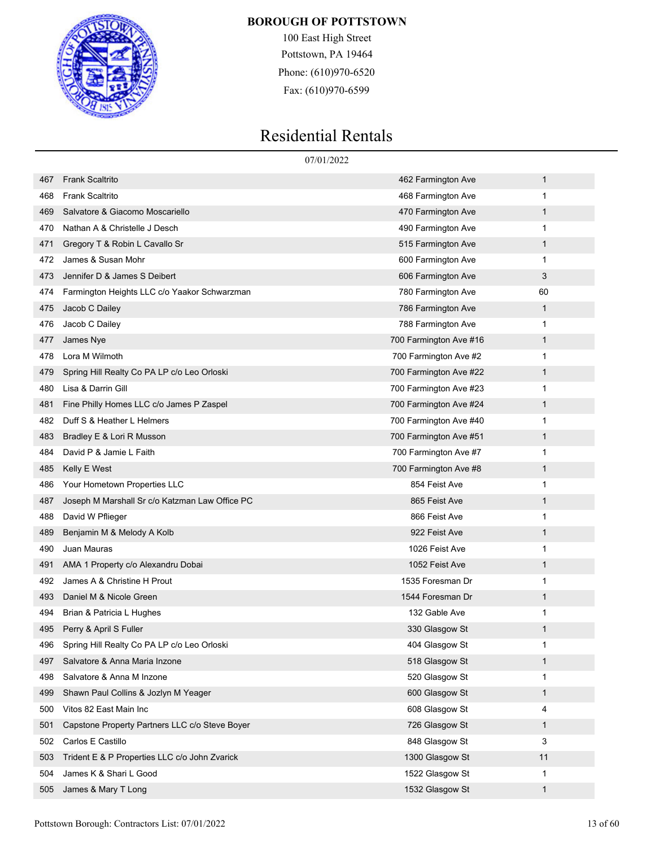

100 East High Street Pottstown, PA 19464 Phone: (610)970-6520 Fax: (610)970-6599

|     |                                                | 07/01/2022             |              |
|-----|------------------------------------------------|------------------------|--------------|
| 467 | <b>Frank Scaltrito</b>                         | 462 Farmington Ave     | 1            |
| 468 | <b>Frank Scaltrito</b>                         | 468 Farmington Ave     | 1            |
| 469 | Salvatore & Giacomo Moscariello                | 470 Farmington Ave     | 1            |
| 470 | Nathan A & Christelle J Desch                  | 490 Farmington Ave     | 1            |
| 471 | Gregory T & Robin L Cavallo Sr                 | 515 Farmington Ave     | 1            |
| 472 | James & Susan Mohr                             | 600 Farmington Ave     | 1            |
| 473 | Jennifer D & James S Deibert                   | 606 Farmington Ave     | 3            |
| 474 | Farmington Heights LLC c/o Yaakor Schwarzman   | 780 Farmington Ave     | 60           |
| 475 | Jacob C Dailey                                 | 786 Farmington Ave     | 1            |
| 476 | Jacob C Dailey                                 | 788 Farmington Ave     | 1            |
| 477 | James Nye                                      | 700 Farmington Ave #16 | 1            |
| 478 | Lora M Wilmoth                                 | 700 Farmington Ave #2  | 1            |
| 479 | Spring Hill Realty Co PA LP c/o Leo Orloski    | 700 Farmington Ave #22 | 1            |
| 480 | Lisa & Darrin Gill                             | 700 Farmington Ave #23 | 1            |
| 481 | Fine Philly Homes LLC c/o James P Zaspel       | 700 Farmington Ave #24 | 1            |
| 482 | Duff S & Heather L Helmers                     | 700 Farmington Ave #40 | 1            |
| 483 | Bradley E & Lori R Musson                      | 700 Farmington Ave #51 | 1            |
| 484 | David P & Jamie L Faith                        | 700 Farmington Ave #7  | 1            |
| 485 | Kelly E West                                   | 700 Farmington Ave #8  | 1            |
| 486 | Your Hometown Properties LLC                   | 854 Feist Ave          | 1            |
| 487 | Joseph M Marshall Sr c/o Katzman Law Office PC | 865 Feist Ave          | 1            |
| 488 | David W Pflieger                               | 866 Feist Ave          | 1            |
| 489 | Benjamin M & Melody A Kolb                     | 922 Feist Ave          | 1            |
| 490 | Juan Mauras                                    | 1026 Feist Ave         | 1            |
| 491 | AMA 1 Property c/o Alexandru Dobai             | 1052 Feist Ave         | 1            |
| 492 | James A & Christine H Prout                    | 1535 Foresman Dr       | 1            |
| 493 | Daniel M & Nicole Green                        | 1544 Foresman Dr       | 1            |
| 494 | Brian & Patricia L Hughes                      | 132 Gable Ave          | 1            |
| 495 | Perry & April S Fuller                         | 330 Glasgow St         | 1            |
| 496 | Spring Hill Realty Co PA LP c/o Leo Orloski    | 404 Glasgow St         | 1            |
| 497 | Salvatore & Anna Maria Inzone                  | 518 Glasgow St         | $\mathbf{1}$ |
| 498 | Salvatore & Anna M Inzone                      | 520 Glasgow St         | 1            |
| 499 | Shawn Paul Collins & Jozlyn M Yeager           | 600 Glasgow St         | $\mathbf{1}$ |
| 500 | Vitos 82 East Main Inc                         | 608 Glasgow St         | 4            |
| 501 | Capstone Property Partners LLC c/o Steve Boyer | 726 Glasgow St         | $\mathbf{1}$ |
| 502 | Carlos E Castillo                              | 848 Glasgow St         | 3            |
| 503 | Trident E & P Properties LLC c/o John Zvarick  | 1300 Glasgow St        | 11           |
| 504 | James K & Shari L Good                         | 1522 Glasgow St        | 1            |
| 505 | James & Mary T Long                            | 1532 Glasgow St        | $\mathbf{1}$ |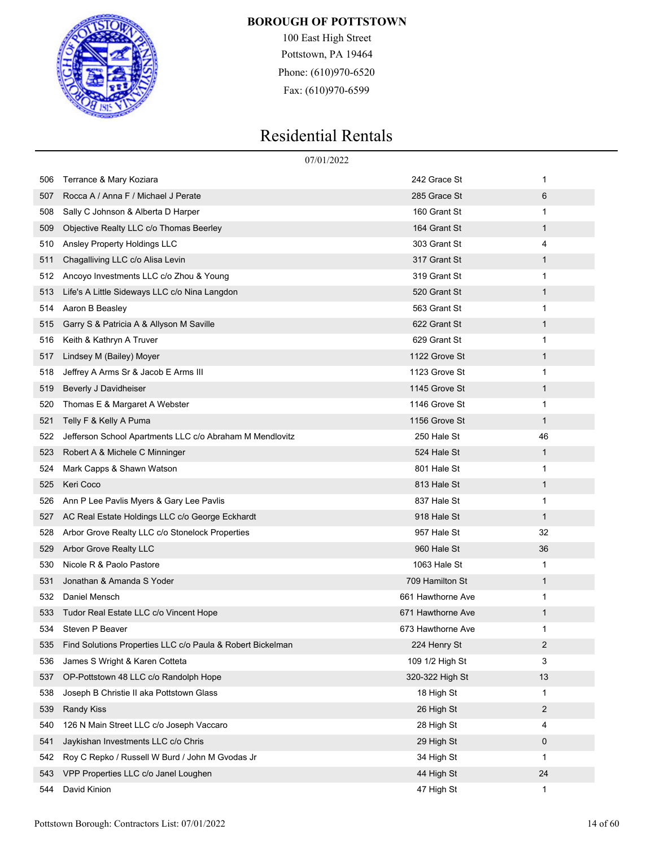

100 East High Street Pottstown, PA 19464 Phone: (610)970-6520 Fax: (610)970-6599

|     | 07/01/2022                                                 |                   |    |  |
|-----|------------------------------------------------------------|-------------------|----|--|
| 506 | Terrance & Mary Koziara                                    | 242 Grace St      | 1  |  |
| 507 | Rocca A / Anna F / Michael J Perate                        | 285 Grace St      | 6  |  |
| 508 | Sally C Johnson & Alberta D Harper                         | 160 Grant St      | 1  |  |
| 509 | Objective Realty LLC c/o Thomas Beerley                    | 164 Grant St      | 1  |  |
| 510 | Ansley Property Holdings LLC                               | 303 Grant St      | 4  |  |
| 511 | Chagalliving LLC c/o Alisa Levin                           | 317 Grant St      | 1  |  |
| 512 | Ancoyo Investments LLC c/o Zhou & Young                    | 319 Grant St      | 1  |  |
| 513 | Life's A Little Sideways LLC c/o Nina Langdon              | 520 Grant St      | 1  |  |
| 514 | Aaron B Beasley                                            | 563 Grant St      | 1  |  |
| 515 | Garry S & Patricia A & Allyson M Saville                   | 622 Grant St      | 1  |  |
| 516 | Keith & Kathryn A Truver                                   | 629 Grant St      | 1  |  |
| 517 | Lindsey M (Bailey) Moyer                                   | 1122 Grove St     | 1  |  |
| 518 | Jeffrey A Arms Sr & Jacob E Arms III                       | 1123 Grove St     | 1  |  |
| 519 | Beverly J Davidheiser                                      | 1145 Grove St     | 1  |  |
| 520 | Thomas E & Margaret A Webster                              | 1146 Grove St     | 1  |  |
| 521 | Telly F & Kelly A Puma                                     | 1156 Grove St     | 1  |  |
| 522 | Jefferson School Apartments LLC c/o Abraham M Mendlovitz   | 250 Hale St       | 46 |  |
| 523 | Robert A & Michele C Minninger                             | 524 Hale St       | 1  |  |
| 524 | Mark Capps & Shawn Watson                                  | 801 Hale St       | 1  |  |
| 525 | Keri Coco                                                  | 813 Hale St       | 1  |  |
| 526 | Ann P Lee Pavlis Myers & Gary Lee Pavlis                   | 837 Hale St       | 1  |  |
| 527 | AC Real Estate Holdings LLC c/o George Eckhardt            | 918 Hale St       | 1  |  |
| 528 | Arbor Grove Realty LLC c/o Stonelock Properties            | 957 Hale St       | 32 |  |
| 529 | Arbor Grove Realty LLC                                     | 960 Hale St       | 36 |  |
| 530 | Nicole R & Paolo Pastore                                   | 1063 Hale St      | 1  |  |
| 531 | Jonathan & Amanda S Yoder                                  | 709 Hamilton St   | 1  |  |
| 532 | Daniel Mensch                                              | 661 Hawthorne Ave | 1  |  |
| 533 | Tudor Real Estate LLC c/o Vincent Hope                     | 671 Hawthorne Ave | 1  |  |
| 534 | Steven P Beaver                                            | 673 Hawthorne Ave | 1  |  |
| 535 | Find Solutions Properties LLC c/o Paula & Robert Bickelman | 224 Henry St      | 2  |  |
| 536 | James S Wright & Karen Cotteta                             | 109 1/2 High St   | 3  |  |
| 537 | OP-Pottstown 48 LLC c/o Randolph Hope                      | 320-322 High St   | 13 |  |
| 538 | Joseph B Christie II aka Pottstown Glass                   | 18 High St        | 1  |  |
| 539 | <b>Randy Kiss</b>                                          | 26 High St        | 2  |  |
| 540 | 126 N Main Street LLC c/o Joseph Vaccaro                   | 28 High St        | 4  |  |
| 541 | Jaykishan Investments LLC c/o Chris                        | 29 High St        | 0  |  |
| 542 | Roy C Repko / Russell W Burd / John M Gvodas Jr            | 34 High St        | 1  |  |
| 543 | VPP Properties LLC c/o Janel Loughen                       | 44 High St        | 24 |  |
| 544 | David Kinion                                               | 47 High St        | 1  |  |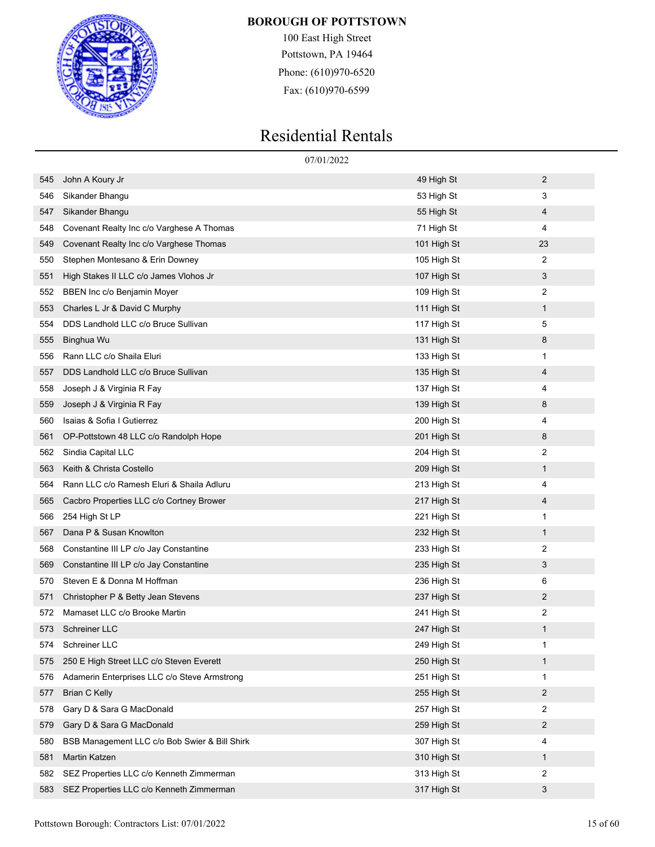

100 East High Street Pottstown, PA 19464 Phone: (610)970-6520 Fax: (610)970-6599

|     | 07/01/2022                                    |             |              |  |
|-----|-----------------------------------------------|-------------|--------------|--|
| 545 | John A Koury Jr                               | 49 High St  | 2            |  |
| 546 | Sikander Bhangu                               | 53 High St  | 3            |  |
| 547 | Sikander Bhangu                               | 55 High St  | 4            |  |
| 548 | Covenant Realty Inc c/o Varghese A Thomas     | 71 High St  | 4            |  |
| 549 | Covenant Realty Inc c/o Varghese Thomas       | 101 High St | 23           |  |
| 550 | Stephen Montesano & Erin Downey               | 105 High St | 2            |  |
| 551 | High Stakes II LLC c/o James Vlohos Jr        | 107 High St | 3            |  |
| 552 | BBEN Inc c/o Benjamin Moyer                   | 109 High St | 2            |  |
| 553 | Charles L Jr & David C Murphy                 | 111 High St | $\mathbf{1}$ |  |
| 554 | DDS Landhold LLC c/o Bruce Sullivan           | 117 High St | 5            |  |
| 555 | Binghua Wu                                    | 131 High St | 8            |  |
| 556 | Rann LLC c/o Shaila Eluri                     | 133 High St | 1            |  |
| 557 | DDS Landhold LLC c/o Bruce Sullivan           | 135 High St | 4            |  |
| 558 | Joseph J & Virginia R Fay                     | 137 High St | 4            |  |
| 559 | Joseph J & Virginia R Fay                     | 139 High St | 8            |  |
| 560 | Isaias & Sofia I Gutierrez                    | 200 High St | 4            |  |
| 561 | OP-Pottstown 48 LLC c/o Randolph Hope         | 201 High St | 8            |  |
| 562 | Sindia Capital LLC                            | 204 High St | 2            |  |
| 563 | Keith & Christa Costello                      | 209 High St | $\mathbf{1}$ |  |
| 564 | Rann LLC c/o Ramesh Eluri & Shaila Adluru     | 213 High St | 4            |  |
| 565 | Cacbro Properties LLC c/o Cortney Brower      | 217 High St | 4            |  |
| 566 | 254 High St LP                                | 221 High St | 1            |  |
| 567 | Dana P & Susan Knowlton                       | 232 High St | $\mathbf{1}$ |  |
| 568 | Constantine III LP c/o Jay Constantine        | 233 High St | 2            |  |
| 569 | Constantine III LP c/o Jay Constantine        | 235 High St | 3            |  |
| 570 | Steven E & Donna M Hoffman                    | 236 High St | 6            |  |
| 571 | Christopher P & Betty Jean Stevens            | 237 High St | 2            |  |
| 572 | Mamaset LLC c/o Brooke Martin                 | 241 High St | 2            |  |
| 573 | Schreiner LLC                                 | 247 High St | $\mathbf{1}$ |  |
| 574 | Schreiner LLC                                 | 249 High St | 1            |  |
| 575 | 250 E High Street LLC c/o Steven Everett      | 250 High St | $\mathbf{1}$ |  |
| 576 | Adamerin Enterprises LLC c/o Steve Armstrong  | 251 High St | 1            |  |
| 577 | <b>Brian C Kelly</b>                          | 255 High St | 2            |  |
| 578 | Gary D & Sara G MacDonald                     | 257 High St | 2            |  |
| 579 | Gary D & Sara G MacDonald                     | 259 High St | 2            |  |
| 580 | BSB Management LLC c/o Bob Swier & Bill Shirk | 307 High St | 4            |  |
| 581 | Martin Katzen                                 | 310 High St | $\mathbf{1}$ |  |
| 582 | SEZ Properties LLC c/o Kenneth Zimmerman      | 313 High St | 2            |  |
| 583 | SEZ Properties LLC c/o Kenneth Zimmerman      | 317 High St | 3            |  |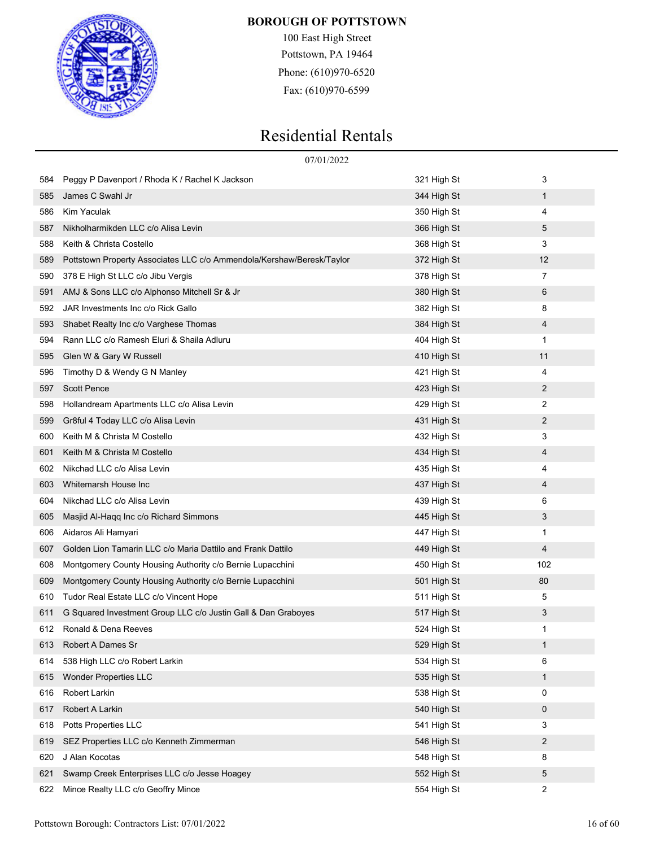

100 East High Street Pottstown, PA 19464 Phone: (610)970-6520 Fax: (610)970-6599

|     | 07/01/2022                                                            |             |     |
|-----|-----------------------------------------------------------------------|-------------|-----|
| 584 | Peggy P Davenport / Rhoda K / Rachel K Jackson                        | 321 High St | 3   |
| 585 | James C Swahl Jr                                                      | 344 High St | 1   |
| 586 | <b>Kim Yaculak</b>                                                    | 350 High St | 4   |
| 587 | Nikholharmikden LLC c/o Alisa Levin                                   | 366 High St | 5   |
| 588 | Keith & Christa Costello                                              | 368 High St | 3   |
| 589 | Pottstown Property Associates LLC c/o Ammendola/Kershaw/Beresk/Taylor | 372 High St | 12  |
| 590 | 378 E High St LLC c/o Jibu Vergis                                     | 378 High St | 7   |
| 591 | AMJ & Sons LLC c/o Alphonso Mitchell Sr & Jr                          | 380 High St | 6   |
| 592 | JAR Investments Inc c/o Rick Gallo                                    | 382 High St | 8   |
| 593 | Shabet Realty Inc c/o Varghese Thomas                                 | 384 High St | 4   |
| 594 | Rann LLC c/o Ramesh Eluri & Shaila Adluru                             | 404 High St | 1   |
| 595 | Glen W & Gary W Russell                                               | 410 High St | 11  |
| 596 | Timothy D & Wendy G N Manley                                          | 421 High St | 4   |
| 597 | <b>Scott Pence</b>                                                    | 423 High St | 2   |
| 598 | Hollandream Apartments LLC c/o Alisa Levin                            | 429 High St | 2   |
| 599 | Gr8ful 4 Today LLC c/o Alisa Levin                                    | 431 High St | 2   |
| 600 | Keith M & Christa M Costello                                          | 432 High St | 3   |
| 601 | Keith M & Christa M Costello                                          | 434 High St | 4   |
| 602 | Nikchad LLC c/o Alisa Levin                                           | 435 High St | 4   |
| 603 | Whitemarsh House Inc                                                  | 437 High St | 4   |
| 604 | Nikchad LLC c/o Alisa Levin                                           | 439 High St | 6   |
| 605 | Masjid Al-Haqq Inc c/o Richard Simmons                                | 445 High St | 3   |
| 606 | Aidaros Ali Hamyari                                                   | 447 High St | 1   |
| 607 | Golden Lion Tamarin LLC c/o Maria Dattilo and Frank Dattilo           | 449 High St | 4   |
| 608 | Montgomery County Housing Authority c/o Bernie Lupacchini             | 450 High St | 102 |
| 609 | Montgomery County Housing Authority c/o Bernie Lupacchini             | 501 High St | 80  |
| 610 | Tudor Real Estate LLC c/o Vincent Hope                                | 511 High St | 5   |
| 611 | G Squared Investment Group LLC c/o Justin Gall & Dan Graboyes         | 517 High St | 3   |
| 612 | Ronald & Dena Reeves                                                  | 524 High St | 1   |
| 613 | Robert A Dames Sr                                                     | 529 High St | 1   |
| 614 | 538 High LLC c/o Robert Larkin                                        | 534 High St | 6   |
| 615 | <b>Wonder Properties LLC</b>                                          | 535 High St | 1   |
| 616 | Robert Larkin                                                         | 538 High St | 0   |
| 617 | Robert A Larkin                                                       | 540 High St | 0   |
| 618 | <b>Potts Properties LLC</b>                                           | 541 High St | 3   |
| 619 | SEZ Properties LLC c/o Kenneth Zimmerman                              | 546 High St | 2   |
| 620 | J Alan Kocotas                                                        | 548 High St | 8   |
| 621 | Swamp Creek Enterprises LLC c/o Jesse Hoagey                          | 552 High St | 5   |
| 622 | Mince Realty LLC c/o Geoffry Mince                                    | 554 High St | 2   |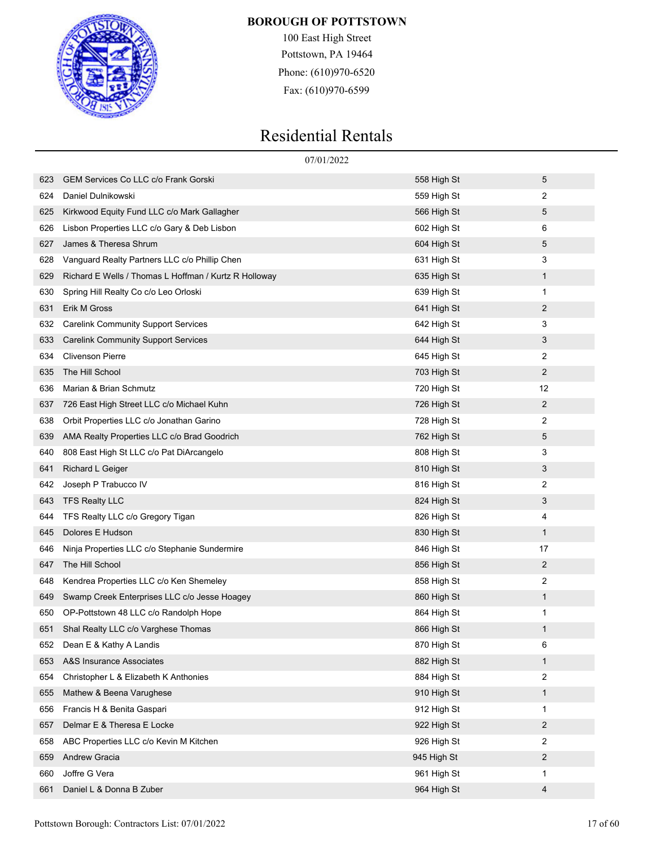

100 East High Street Pottstown, PA 19464 Phone: (610)970-6520 Fax: (610)970-6599

|     | 07/01/2022                                            |             |              |  |  |
|-----|-------------------------------------------------------|-------------|--------------|--|--|
| 623 | GEM Services Co LLC c/o Frank Gorski                  | 558 High St | 5            |  |  |
| 624 | Daniel Dulnikowski                                    | 559 High St | 2            |  |  |
| 625 | Kirkwood Equity Fund LLC c/o Mark Gallagher           | 566 High St | 5            |  |  |
| 626 | Lisbon Properties LLC c/o Gary & Deb Lisbon           | 602 High St | 6            |  |  |
| 627 | James & Theresa Shrum                                 | 604 High St | 5            |  |  |
| 628 | Vanguard Realty Partners LLC c/o Phillip Chen         | 631 High St | 3            |  |  |
| 629 | Richard E Wells / Thomas L Hoffman / Kurtz R Holloway | 635 High St | 1            |  |  |
| 630 | Spring Hill Realty Co c/o Leo Orloski                 | 639 High St | 1            |  |  |
| 631 | Erik M Gross                                          | 641 High St | 2            |  |  |
| 632 | <b>Carelink Community Support Services</b>            | 642 High St | 3            |  |  |
| 633 | <b>Carelink Community Support Services</b>            | 644 High St | 3            |  |  |
| 634 | <b>Clivenson Pierre</b>                               | 645 High St | 2            |  |  |
| 635 | The Hill School                                       | 703 High St | 2            |  |  |
| 636 | Marian & Brian Schmutz                                | 720 High St | 12           |  |  |
| 637 | 726 East High Street LLC c/o Michael Kuhn             | 726 High St | 2            |  |  |
| 638 | Orbit Properties LLC c/o Jonathan Garino              | 728 High St | 2            |  |  |
| 639 | AMA Realty Properties LLC c/o Brad Goodrich           | 762 High St | 5            |  |  |
| 640 | 808 East High St LLC c/o Pat DiArcangelo              | 808 High St | 3            |  |  |
| 641 | <b>Richard L Geiger</b>                               | 810 High St | 3            |  |  |
| 642 | Joseph P Trabucco IV                                  | 816 High St | 2            |  |  |
| 643 | <b>TFS Realty LLC</b>                                 | 824 High St | 3            |  |  |
| 644 | TFS Realty LLC c/o Gregory Tigan                      | 826 High St | 4            |  |  |
| 645 | Dolores E Hudson                                      | 830 High St | $\mathbf{1}$ |  |  |
| 646 | Ninja Properties LLC c/o Stephanie Sundermire         | 846 High St | 17           |  |  |
| 647 | The Hill School                                       | 856 High St | 2            |  |  |
| 648 | Kendrea Properties LLC c/o Ken Shemeley               | 858 High St | 2            |  |  |
| 649 | Swamp Creek Enterprises LLC c/o Jesse Hoagey          | 860 High St | 1            |  |  |
| 650 | OP-Pottstown 48 LLC c/o Randolph Hope                 | 864 High St | 1            |  |  |
| 651 | Shal Realty LLC c/o Varghese Thomas                   | 866 High St | 1            |  |  |
| 652 | Dean E & Kathy A Landis                               | 870 High St | 6            |  |  |
| 653 | A&S Insurance Associates                              | 882 High St | $\mathbf{1}$ |  |  |
| 654 | Christopher L & Elizabeth K Anthonies                 | 884 High St | 2            |  |  |
| 655 | Mathew & Beena Varughese                              | 910 High St | $\mathbf{1}$ |  |  |
| 656 | Francis H & Benita Gaspari                            | 912 High St | 1            |  |  |
| 657 | Delmar E & Theresa E Locke                            | 922 High St | 2            |  |  |
| 658 | ABC Properties LLC c/o Kevin M Kitchen                | 926 High St | 2            |  |  |
| 659 | <b>Andrew Gracia</b>                                  | 945 High St | 2            |  |  |
| 660 | Joffre G Vera                                         | 961 High St | 1            |  |  |
| 661 | Daniel L & Donna B Zuber                              | 964 High St | 4            |  |  |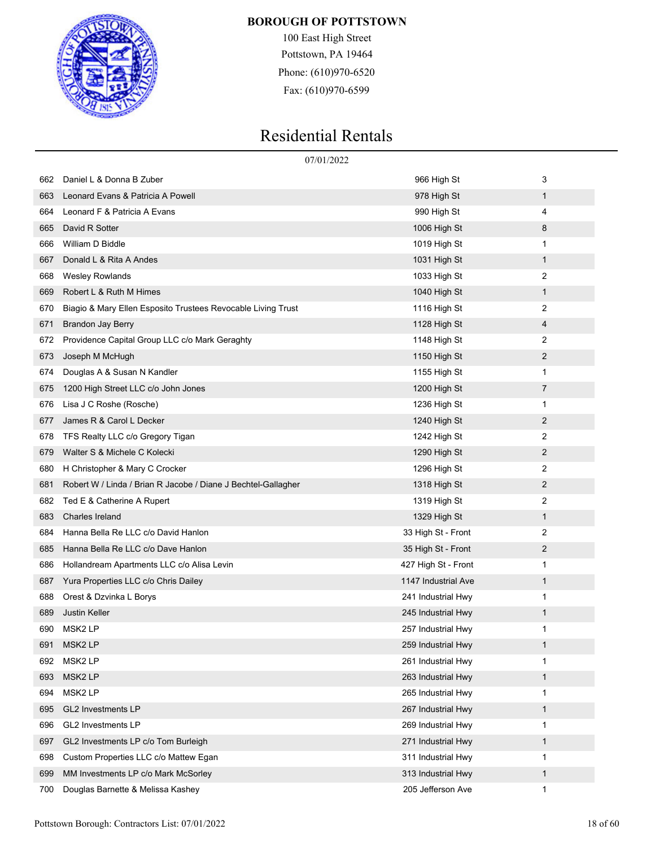

100 East High Street Pottstown, PA 19464 Phone: (610)970-6520 Fax: (610)970-6599

|     | 07/01/2022                                                    |                     |                |
|-----|---------------------------------------------------------------|---------------------|----------------|
| 662 | Daniel L & Donna B Zuber                                      | 966 High St         | 3              |
| 663 | Leonard Evans & Patricia A Powell                             | 978 High St         | 1              |
| 664 | Leonard F & Patricia A Evans                                  | 990 High St         | 4              |
| 665 | David R Sotter                                                | 1006 High St        | 8              |
| 666 | William D Biddle                                              | 1019 High St        | 1              |
| 667 | Donald L & Rita A Andes                                       | 1031 High St        | $\mathbf{1}$   |
| 668 | <b>Wesley Rowlands</b>                                        | 1033 High St        | 2              |
| 669 | Robert L & Ruth M Himes                                       | 1040 High St        | $\mathbf{1}$   |
| 670 | Biagio & Mary Ellen Esposito Trustees Revocable Living Trust  | 1116 High St        | 2              |
| 671 | <b>Brandon Jay Berry</b>                                      | 1128 High St        | 4              |
| 672 | Providence Capital Group LLC c/o Mark Geraghty                | 1148 High St        | 2              |
| 673 | Joseph M McHugh                                               | 1150 High St        | $\overline{2}$ |
| 674 | Douglas A & Susan N Kandler                                   | 1155 High St        | 1              |
| 675 | 1200 High Street LLC c/o John Jones                           | 1200 High St        | 7              |
| 676 | Lisa J C Roshe (Rosche)                                       | 1236 High St        | 1              |
| 677 | James R & Carol L Decker                                      | 1240 High St        | $\overline{2}$ |
| 678 | TFS Realty LLC c/o Gregory Tigan                              | 1242 High St        | 2              |
| 679 | Walter S & Michele C Kolecki                                  | 1290 High St        | $\overline{2}$ |
| 680 | H Christopher & Mary C Crocker                                | 1296 High St        | 2              |
| 681 | Robert W / Linda / Brian R Jacobe / Diane J Bechtel-Gallagher | 1318 High St        | $\overline{2}$ |
| 682 | Ted E & Catherine A Rupert                                    | 1319 High St        | 2              |
| 683 | <b>Charles Ireland</b>                                        | 1329 High St        | 1              |
| 684 | Hanna Bella Re LLC c/o David Hanlon                           | 33 High St - Front  | 2              |
| 685 | Hanna Bella Re LLC c/o Dave Hanlon                            | 35 High St - Front  | $\overline{2}$ |
| 686 | Hollandream Apartments LLC c/o Alisa Levin                    | 427 High St - Front | 1              |
| 687 | Yura Properties LLC c/o Chris Dailey                          | 1147 Industrial Ave | 1              |
| 688 | Orest & Dzvinka L Borys                                       | 241 Industrial Hwy  | 1              |
| 689 | <b>Justin Keller</b>                                          | 245 Industrial Hwy  | 1              |
| 690 | MSK2 LP                                                       | 257 Industrial Hwy  | 1              |
| 691 | MSK <sub>2</sub> LP                                           | 259 Industrial Hwy  | 1              |
| 692 | MSK2 LP                                                       | 261 Industrial Hwy  | 1              |
| 693 | MSK2 LP                                                       | 263 Industrial Hwy  | 1              |
| 694 | MSK2 LP                                                       | 265 Industrial Hwy  | 1              |
| 695 | GL2 Investments LP                                            | 267 Industrial Hwy  | $\mathbf{1}$   |
| 696 | <b>GL2 Investments LP</b>                                     | 269 Industrial Hwy  | 1              |
| 697 | GL2 Investments LP c/o Tom Burleigh                           | 271 Industrial Hwy  | 1              |
| 698 | Custom Properties LLC c/o Mattew Egan                         | 311 Industrial Hwy  | 1              |
| 699 | MM Investments LP c/o Mark McSorley                           | 313 Industrial Hwy  | 1              |
| 700 | Douglas Barnette & Melissa Kashey                             | 205 Jefferson Ave   | 1              |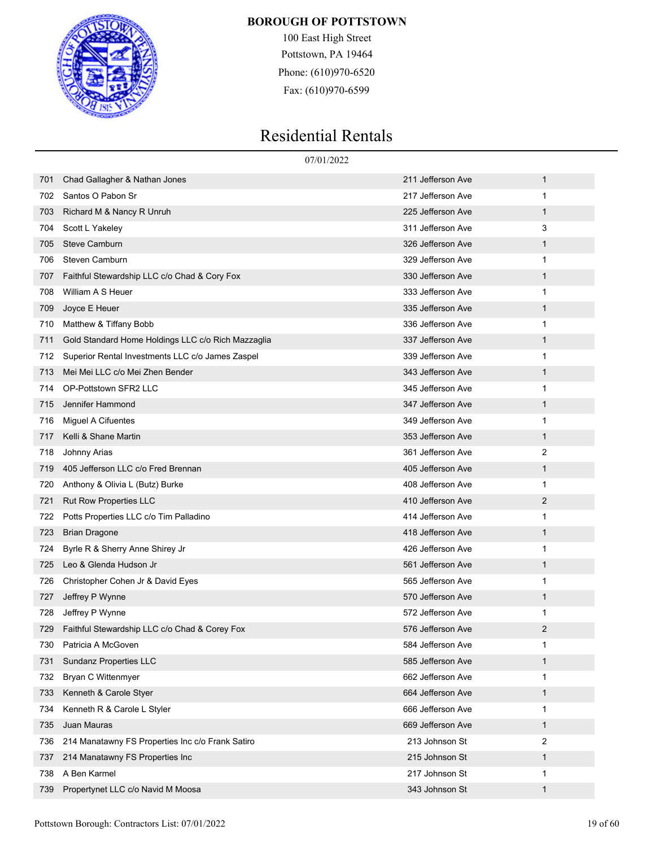

100 East High Street Pottstown, PA 19464 Phone: (610)970-6520 Fax: (610)970-6599

|     | 07/01/2022                                         |                   |   |
|-----|----------------------------------------------------|-------------------|---|
| 701 | Chad Gallagher & Nathan Jones                      | 211 Jefferson Ave | 1 |
| 702 | Santos O Pabon Sr                                  | 217 Jefferson Ave | 1 |
| 703 | Richard M & Nancy R Unruh                          | 225 Jefferson Ave | 1 |
| 704 | Scott L Yakeley                                    | 311 Jefferson Ave | 3 |
| 705 | <b>Steve Camburn</b>                               | 326 Jefferson Ave | 1 |
| 706 | Steven Camburn                                     | 329 Jefferson Ave | 1 |
| 707 | Faithful Stewardship LLC c/o Chad & Cory Fox       | 330 Jefferson Ave | 1 |
| 708 | William A S Heuer                                  | 333 Jefferson Ave | 1 |
| 709 | Joyce E Heuer                                      | 335 Jefferson Ave | 1 |
| 710 | Matthew & Tiffany Bobb                             | 336 Jefferson Ave | 1 |
| 711 | Gold Standard Home Holdings LLC c/o Rich Mazzaglia | 337 Jefferson Ave | 1 |
| 712 | Superior Rental Investments LLC c/o James Zaspel   | 339 Jefferson Ave | 1 |
| 713 | Mei Mei LLC c/o Mei Zhen Bender                    | 343 Jefferson Ave | 1 |
| 714 | OP-Pottstown SFR2 LLC                              | 345 Jefferson Ave | 1 |
| 715 | Jennifer Hammond                                   | 347 Jefferson Ave | 1 |
| 716 | Miguel A Cifuentes                                 | 349 Jefferson Ave | 1 |
| 717 | Kelli & Shane Martin                               | 353 Jefferson Ave | 1 |
| 718 | Johnny Arias                                       | 361 Jefferson Ave | 2 |
| 719 | 405 Jefferson LLC c/o Fred Brennan                 | 405 Jefferson Ave | 1 |
| 720 | Anthony & Olivia L (Butz) Burke                    | 408 Jefferson Ave | 1 |
| 721 | Rut Row Properties LLC                             | 410 Jefferson Ave | 2 |
| 722 | Potts Properties LLC c/o Tim Palladino             | 414 Jefferson Ave | 1 |
| 723 | <b>Brian Dragone</b>                               | 418 Jefferson Ave | 1 |
| 724 | Byrle R & Sherry Anne Shirey Jr                    | 426 Jefferson Ave | 1 |
| 725 | Leo & Glenda Hudson Jr                             | 561 Jefferson Ave | 1 |
| 726 | Christopher Cohen Jr & David Eyes                  | 565 Jefferson Ave | 1 |
| 727 | Jeffrey P Wynne                                    | 570 Jefferson Ave | 1 |
| 728 | Jeffrey P Wynne                                    | 572 Jefferson Ave | 1 |
| 729 | Faithful Stewardship LLC c/o Chad & Corey Fox      | 576 Jefferson Ave | 2 |
| 730 | Patricia A McGoven                                 | 584 Jefferson Ave | 1 |
| 731 | Sundanz Properties LLC                             | 585 Jefferson Ave | 1 |
| 732 | Bryan C Wittenmyer                                 | 662 Jefferson Ave | 1 |
| 733 | Kenneth & Carole Styer                             | 664 Jefferson Ave | 1 |
| 734 | Kenneth R & Carole L Styler                        | 666 Jefferson Ave | 1 |
| 735 | Juan Mauras                                        | 669 Jefferson Ave | 1 |
| 736 | 214 Manatawny FS Properties Inc c/o Frank Satiro   | 213 Johnson St    | 2 |
| 737 | 214 Manatawny FS Properties Inc                    | 215 Johnson St    | 1 |
| 738 | A Ben Karmel                                       | 217 Johnson St    | 1 |
| 739 | Propertynet LLC c/o Navid M Moosa                  | 343 Johnson St    | 1 |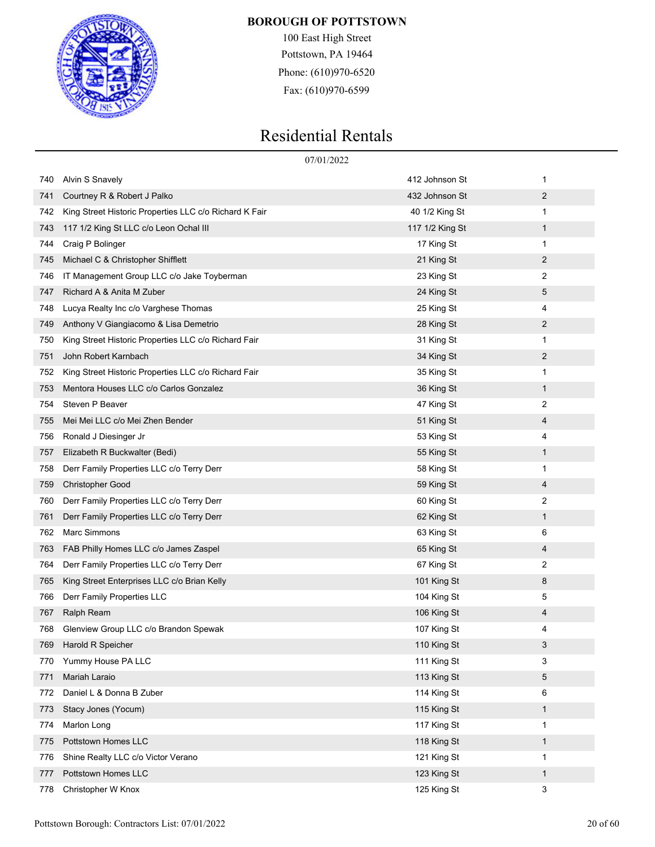

100 East High Street Pottstown, PA 19464 Phone: (610)970-6520 Fax: (610)970-6599

|     | 07/01/2022                                             |                 |                |  |
|-----|--------------------------------------------------------|-----------------|----------------|--|
| 740 | <b>Alvin S Snavely</b>                                 | 412 Johnson St  | 1              |  |
| 741 | Courtney R & Robert J Palko                            | 432 Johnson St  | 2              |  |
| 742 | King Street Historic Properties LLC c/o Richard K Fair | 40 1/2 King St  | 1              |  |
| 743 | 117 1/2 King St LLC c/o Leon Ochal III                 | 117 1/2 King St | $\mathbf{1}$   |  |
| 744 | Craig P Bolinger                                       | 17 King St      | 1              |  |
| 745 | Michael C & Christopher Shifflett                      | 21 King St      | 2              |  |
| 746 | IT Management Group LLC c/o Jake Toyberman             | 23 King St      | 2              |  |
| 747 | Richard A & Anita M Zuber                              | 24 King St      | 5              |  |
| 748 | Lucya Realty Inc c/o Varghese Thomas                   | 25 King St      | 4              |  |
| 749 | Anthony V Giangiacomo & Lisa Demetrio                  | 28 King St      | 2              |  |
| 750 | King Street Historic Properties LLC c/o Richard Fair   | 31 King St      | 1              |  |
| 751 | John Robert Karnbach                                   | 34 King St      | $\overline{2}$ |  |
| 752 | King Street Historic Properties LLC c/o Richard Fair   | 35 King St      | 1              |  |
| 753 | Mentora Houses LLC c/o Carlos Gonzalez                 | 36 King St      | 1              |  |
| 754 | Steven P Beaver                                        | 47 King St      | 2              |  |
| 755 | Mei Mei LLC c/o Mei Zhen Bender                        | 51 King St      | 4              |  |
| 756 | Ronald J Diesinger Jr                                  | 53 King St      | 4              |  |
| 757 | Elizabeth R Buckwalter (Bedi)                          | 55 King St      | 1              |  |
| 758 | Derr Family Properties LLC c/o Terry Derr              | 58 King St      | 1              |  |
| 759 | <b>Christopher Good</b>                                | 59 King St      | 4              |  |
| 760 | Derr Family Properties LLC c/o Terry Derr              | 60 King St      | 2              |  |
| 761 | Derr Family Properties LLC c/o Terry Derr              | 62 King St      | 1              |  |
| 762 | Marc Simmons                                           | 63 King St      | 6              |  |
| 763 | FAB Philly Homes LLC c/o James Zaspel                  | 65 King St      | 4              |  |
| 764 | Derr Family Properties LLC c/o Terry Derr              | 67 King St      | 2              |  |
| 765 | King Street Enterprises LLC c/o Brian Kelly            | 101 King St     | 8              |  |
| 766 | Derr Family Properties LLC                             | 104 King St     | 5              |  |
| 767 | Ralph Ream                                             | 106 King St     | 4              |  |
| 768 | Glenview Group LLC c/o Brandon Spewak                  | 107 King St     | 4              |  |
| 769 | Harold R Speicher                                      | 110 King St     | 3              |  |
| 770 | Yummy House PA LLC                                     | 111 King St     | 3              |  |
| 771 | Mariah Laraio                                          | 113 King St     | 5              |  |
| 772 | Daniel L & Donna B Zuber                               | 114 King St     | 6              |  |
| 773 | Stacy Jones (Yocum)                                    | 115 King St     | 1              |  |
| 774 | Marlon Long                                            | 117 King St     | 1              |  |
| 775 | Pottstown Homes LLC                                    | 118 King St     | 1              |  |
| 776 | Shine Realty LLC c/o Victor Verano                     | 121 King St     | 1              |  |
| 777 | Pottstown Homes LLC                                    | 123 King St     | 1              |  |
| 778 | Christopher W Knox                                     | 125 King St     | 3              |  |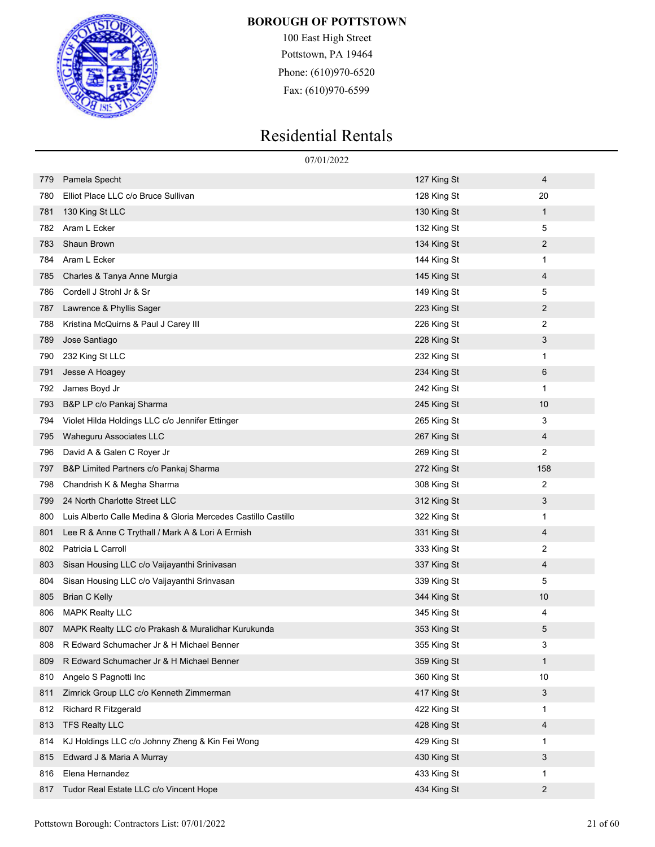

100 East High Street Pottstown, PA 19464 Phone: (610)970-6520 Fax: (610)970-6599

|     | 07/01/2022                                                    |             |              |  |  |
|-----|---------------------------------------------------------------|-------------|--------------|--|--|
| 779 | Pamela Specht                                                 | 127 King St | 4            |  |  |
| 780 | Elliot Place LLC c/o Bruce Sullivan                           | 128 King St | 20           |  |  |
| 781 | 130 King St LLC                                               | 130 King St | 1            |  |  |
| 782 | Aram L Ecker                                                  | 132 King St | 5            |  |  |
| 783 | Shaun Brown                                                   | 134 King St | 2            |  |  |
| 784 | Aram L Ecker                                                  | 144 King St | 1            |  |  |
| 785 | Charles & Tanya Anne Murgia                                   | 145 King St | 4            |  |  |
| 786 | Cordell J Strohl Jr & Sr                                      | 149 King St | 5            |  |  |
| 787 | Lawrence & Phyllis Sager                                      | 223 King St | 2            |  |  |
| 788 | Kristina McQuirns & Paul J Carey III                          | 226 King St | 2            |  |  |
| 789 | Jose Santiago                                                 | 228 King St | 3            |  |  |
| 790 | 232 King St LLC                                               | 232 King St | 1            |  |  |
| 791 | Jesse A Hoagey                                                | 234 King St | 6            |  |  |
| 792 | James Boyd Jr                                                 | 242 King St | 1            |  |  |
| 793 | B&P LP c/o Pankaj Sharma                                      | 245 King St | 10           |  |  |
| 794 | Violet Hilda Holdings LLC c/o Jennifer Ettinger               | 265 King St | 3            |  |  |
| 795 | Waheguru Associates LLC                                       | 267 King St | 4            |  |  |
| 796 | David A & Galen C Royer Jr                                    | 269 King St | 2            |  |  |
| 797 | B&P Limited Partners c/o Pankaj Sharma                        | 272 King St | 158          |  |  |
| 798 | Chandrish K & Megha Sharma                                    | 308 King St | 2            |  |  |
| 799 | 24 North Charlotte Street LLC                                 | 312 King St | 3            |  |  |
| 800 | Luis Alberto Calle Medina & Gloria Mercedes Castillo Castillo | 322 King St | 1            |  |  |
| 801 | Lee R & Anne C Trythall / Mark A & Lori A Ermish              | 331 King St | 4            |  |  |
| 802 | Patricia L Carroll                                            | 333 King St | 2            |  |  |
| 803 | Sisan Housing LLC c/o Vaijayanthi Srinivasan                  | 337 King St | 4            |  |  |
| 804 | Sisan Housing LLC c/o Vaijayanthi Srinvasan                   | 339 King St | 5            |  |  |
| 805 | <b>Brian C Kelly</b>                                          | 344 King St | 10           |  |  |
| 806 | <b>MAPK Realty LLC</b>                                        | 345 King St | 4            |  |  |
| 807 | MAPK Realty LLC c/o Prakash & Muralidhar Kurukunda            | 353 King St | 5            |  |  |
| 808 | R Edward Schumacher Jr & H Michael Benner                     | 355 King St | 3            |  |  |
| 809 | R Edward Schumacher Jr & H Michael Benner                     | 359 King St | $\mathbf{1}$ |  |  |
| 810 | Angelo S Pagnotti Inc                                         | 360 King St | 10           |  |  |
| 811 | Zimrick Group LLC c/o Kenneth Zimmerman                       | 417 King St | 3            |  |  |
| 812 | <b>Richard R Fitzgerald</b>                                   | 422 King St | 1            |  |  |
| 813 | <b>TFS Realty LLC</b>                                         | 428 King St | 4            |  |  |
| 814 | KJ Holdings LLC c/o Johnny Zheng & Kin Fei Wong               | 429 King St | 1            |  |  |
| 815 | Edward J & Maria A Murray                                     | 430 King St | 3            |  |  |
| 816 | Elena Hernandez                                               | 433 King St | 1            |  |  |
| 817 | Tudor Real Estate LLC c/o Vincent Hope                        | 434 King St | 2            |  |  |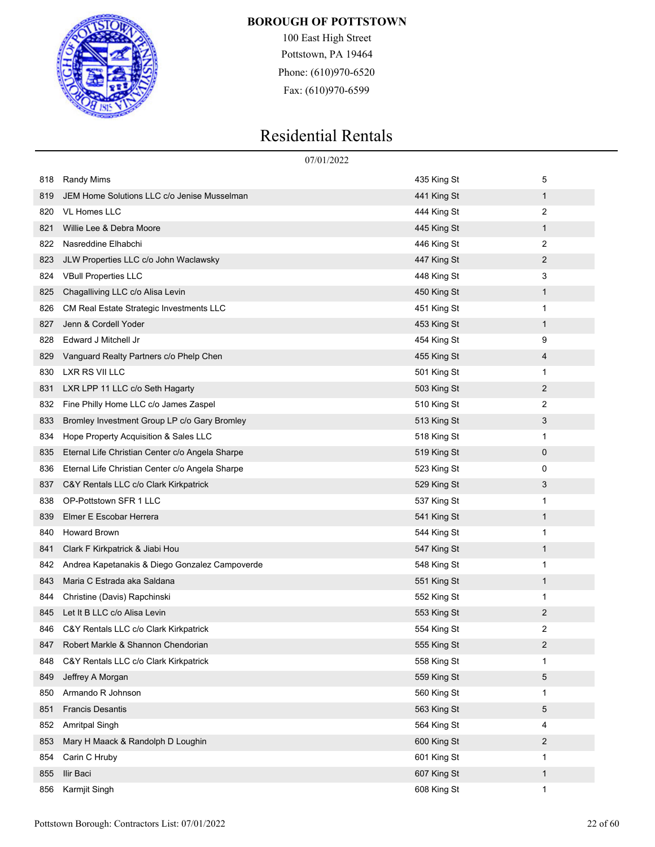

100 East High Street Pottstown, PA 19464 Phone: (610)970-6520 Fax: (610)970-6599

|     |                                                 | 07/01/2022  |                |
|-----|-------------------------------------------------|-------------|----------------|
| 818 | <b>Randy Mims</b>                               | 435 King St | 5              |
| 819 | JEM Home Solutions LLC c/o Jenise Musselman     | 441 King St | 1              |
| 820 | <b>VL Homes LLC</b>                             | 444 King St | 2              |
| 821 | Willie Lee & Debra Moore                        | 445 King St | 1              |
| 822 | Nasreddine Elhabchi                             | 446 King St | $\overline{2}$ |
| 823 | JLW Properties LLC c/o John Waclawsky           | 447 King St | 2              |
| 824 | <b>VBull Properties LLC</b>                     | 448 King St | 3              |
| 825 | Chagalliving LLC c/o Alisa Levin                | 450 King St | 1              |
| 826 | CM Real Estate Strategic Investments LLC        | 451 King St | 1              |
| 827 | Jenn & Cordell Yoder                            | 453 King St | 1              |
| 828 | Edward J Mitchell Jr                            | 454 King St | 9              |
| 829 | Vanguard Realty Partners c/o Phelp Chen         | 455 King St | 4              |
| 830 | LXR RS VII LLC                                  | 501 King St | 1              |
| 831 | LXR LPP 11 LLC c/o Seth Hagarty                 | 503 King St | 2              |
| 832 | Fine Philly Home LLC c/o James Zaspel           | 510 King St | 2              |
| 833 | Bromley Investment Group LP c/o Gary Bromley    | 513 King St | 3              |
| 834 | Hope Property Acquisition & Sales LLC           | 518 King St | 1              |
| 835 | Eternal Life Christian Center c/o Angela Sharpe | 519 King St | 0              |
| 836 | Eternal Life Christian Center c/o Angela Sharpe | 523 King St | 0              |
| 837 | C&Y Rentals LLC c/o Clark Kirkpatrick           | 529 King St | 3              |
| 838 | OP-Pottstown SFR 1 LLC                          | 537 King St | 1              |
| 839 | Elmer E Escobar Herrera                         | 541 King St | $\mathbf{1}$   |
| 840 | <b>Howard Brown</b>                             | 544 King St | 1              |
| 841 | Clark F Kirkpatrick & Jiabi Hou                 | 547 King St | 1              |
| 842 | Andrea Kapetanakis & Diego Gonzalez Campoverde  | 548 King St | 1              |
| 843 | Maria C Estrada aka Saldana                     | 551 King St | $\mathbf{1}$   |
| 844 | Christine (Davis) Rapchinski                    | 552 King St | 1              |
| 845 | Let It B LLC c/o Alisa Levin                    | 553 King St | 2              |
| 846 | C&Y Rentals LLC c/o Clark Kirkpatrick           | 554 King St | 2              |
| 847 | Robert Markle & Shannon Chendorian              | 555 King St | 2              |
| 848 | C&Y Rentals LLC c/o Clark Kirkpatrick           | 558 King St | 1              |
| 849 | Jeffrey A Morgan                                | 559 King St | 5              |
| 850 | Armando R Johnson                               | 560 King St | 1              |
| 851 | <b>Francis Desantis</b>                         | 563 King St | 5              |
| 852 | Amritpal Singh                                  | 564 King St | 4              |
| 853 | Mary H Maack & Randolph D Loughin               | 600 King St | 2              |
| 854 | Carin C Hruby                                   | 601 King St | 1              |
| 855 | Ilir Baci                                       | 607 King St | 1              |
| 856 | Karmjit Singh                                   | 608 King St | 1              |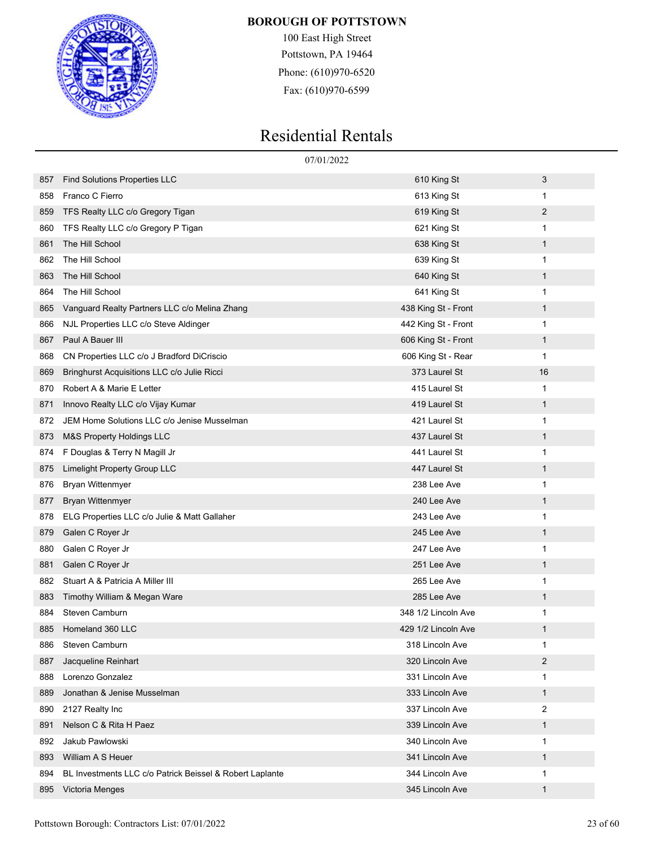

100 East High Street Pottstown, PA 19464 Phone: (610)970-6520 Fax: (610)970-6599

|     | 07/01/2022                                               |                     |                |  |
|-----|----------------------------------------------------------|---------------------|----------------|--|
| 857 | <b>Find Solutions Properties LLC</b>                     | 610 King St         | 3              |  |
| 858 | Franco C Fierro                                          | 613 King St         | 1              |  |
| 859 | TFS Realty LLC c/o Gregory Tigan                         | 619 King St         | 2              |  |
| 860 | TFS Realty LLC c/o Gregory P Tigan                       | 621 King St         | 1              |  |
| 861 | The Hill School                                          | 638 King St         | $\mathbf{1}$   |  |
| 862 | The Hill School                                          | 639 King St         | 1              |  |
| 863 | The Hill School                                          | 640 King St         | 1              |  |
| 864 | The Hill School                                          | 641 King St         | 1              |  |
| 865 | Vanguard Realty Partners LLC c/o Melina Zhang            | 438 King St - Front | 1              |  |
| 866 | NJL Properties LLC c/o Steve Aldinger                    | 442 King St - Front | 1              |  |
| 867 | Paul A Bauer III                                         | 606 King St - Front | 1              |  |
| 868 | CN Properties LLC c/o J Bradford DiCriscio               | 606 King St - Rear  | 1              |  |
| 869 | Bringhurst Acquisitions LLC c/o Julie Ricci              | 373 Laurel St       | 16             |  |
| 870 | Robert A & Marie E Letter                                | 415 Laurel St       | 1              |  |
| 871 | Innovo Realty LLC c/o Vijay Kumar                        | 419 Laurel St       | 1              |  |
| 872 | JEM Home Solutions LLC c/o Jenise Musselman              | 421 Laurel St       | 1              |  |
| 873 | <b>M&amp;S Property Holdings LLC</b>                     | 437 Laurel St       | 1              |  |
| 874 | F Douglas & Terry N Magill Jr                            | 441 Laurel St       | 1              |  |
| 875 | Limelight Property Group LLC                             | 447 Laurel St       | 1              |  |
| 876 | <b>Bryan Wittenmyer</b>                                  | 238 Lee Ave         | 1              |  |
| 877 | <b>Bryan Wittenmyer</b>                                  | 240 Lee Ave         | 1              |  |
| 878 | ELG Properties LLC c/o Julie & Matt Gallaher             | 243 Lee Ave         | 1              |  |
| 879 | Galen C Royer Jr                                         | 245 Lee Ave         | 1              |  |
| 880 | Galen C Royer Jr                                         | 247 Lee Ave         | 1              |  |
| 881 | Galen C Royer Jr                                         | 251 Lee Ave         | 1              |  |
| 882 | Stuart A & Patricia A Miller III                         | 265 Lee Ave         | 1              |  |
| 883 | Timothy William & Megan Ware                             | 285 Lee Ave         | 1              |  |
| 884 | Steven Camburn                                           | 348 1/2 Lincoln Ave | 1              |  |
| 885 | Homeland 360 LLC                                         | 429 1/2 Lincoln Ave | 1              |  |
| 886 | Steven Camburn                                           | 318 Lincoln Ave     | 1              |  |
| 887 | Jacqueline Reinhart                                      | 320 Lincoln Ave     | $\overline{2}$ |  |
| 888 | Lorenzo Gonzalez                                         | 331 Lincoln Ave     | 1              |  |
| 889 | Jonathan & Jenise Musselman                              | 333 Lincoln Ave     | $\mathbf{1}$   |  |
| 890 | 2127 Realty Inc                                          | 337 Lincoln Ave     | $\overline{2}$ |  |
| 891 | Nelson C & Rita H Paez                                   | 339 Lincoln Ave     | 1              |  |
| 892 | Jakub Pawlowski                                          | 340 Lincoln Ave     | 1              |  |
| 893 | William A S Heuer                                        | 341 Lincoln Ave     | $\mathbf{1}$   |  |
| 894 | BL Investments LLC c/o Patrick Beissel & Robert Laplante | 344 Lincoln Ave     | 1              |  |
| 895 | Victoria Menges                                          | 345 Lincoln Ave     | $\mathbf{1}$   |  |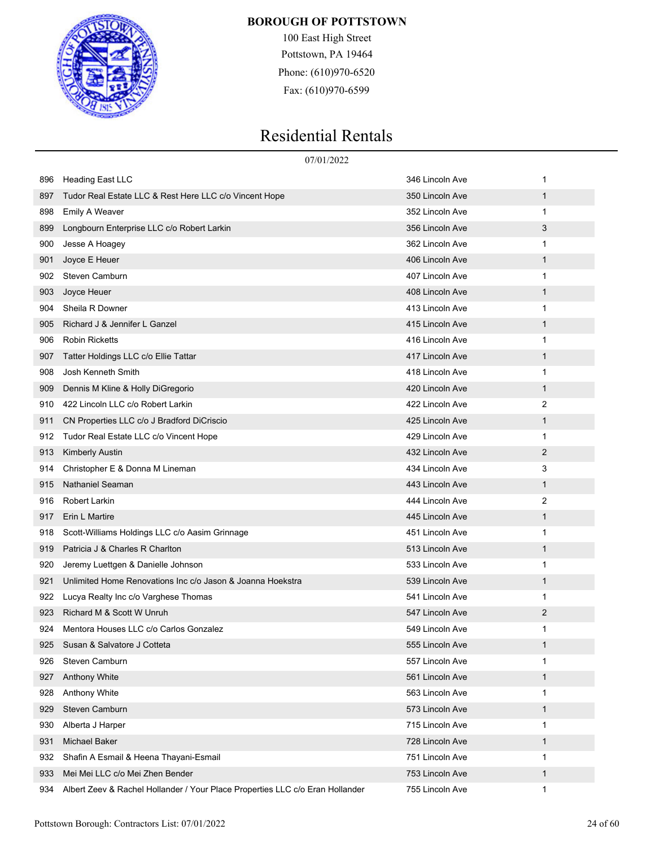

100 East High Street Pottstown, PA 19464 Phone: (610)970-6520 Fax: (610)970-6599

|     | 07/01/2022                                                                    |                 |              |
|-----|-------------------------------------------------------------------------------|-----------------|--------------|
| 896 | Heading East LLC                                                              | 346 Lincoln Ave | 1            |
| 897 | Tudor Real Estate LLC & Rest Here LLC c/o Vincent Hope                        | 350 Lincoln Ave | $\mathbf{1}$ |
| 898 | Emily A Weaver                                                                | 352 Lincoln Ave | 1            |
| 899 | Longbourn Enterprise LLC c/o Robert Larkin                                    | 356 Lincoln Ave | 3            |
| 900 | Jesse A Hoagey                                                                | 362 Lincoln Ave | 1            |
| 901 | Joyce E Heuer                                                                 | 406 Lincoln Ave | $\mathbf{1}$ |
| 902 | Steven Camburn                                                                | 407 Lincoln Ave | 1            |
| 903 | Joyce Heuer                                                                   | 408 Lincoln Ave | $\mathbf{1}$ |
| 904 | Sheila R Downer                                                               | 413 Lincoln Ave | 1            |
| 905 | Richard J & Jennifer L Ganzel                                                 | 415 Lincoln Ave | $\mathbf{1}$ |
| 906 | <b>Robin Ricketts</b>                                                         | 416 Lincoln Ave | $\mathbf{1}$ |
| 907 | Tatter Holdings LLC c/o Ellie Tattar                                          | 417 Lincoln Ave | $\mathbf{1}$ |
| 908 | Josh Kenneth Smith                                                            | 418 Lincoln Ave | 1            |
| 909 | Dennis M Kline & Holly DiGregorio                                             | 420 Lincoln Ave | $\mathbf{1}$ |
| 910 | 422 Lincoln LLC c/o Robert Larkin                                             | 422 Lincoln Ave | 2            |
| 911 | CN Properties LLC c/o J Bradford DiCriscio                                    | 425 Lincoln Ave | $\mathbf{1}$ |
| 912 | Tudor Real Estate LLC c/o Vincent Hope                                        | 429 Lincoln Ave | 1            |
| 913 | <b>Kimberly Austin</b>                                                        | 432 Lincoln Ave | 2            |
| 914 | Christopher E & Donna M Lineman                                               | 434 Lincoln Ave | 3            |
| 915 | Nathaniel Seaman                                                              | 443 Lincoln Ave | $\mathbf{1}$ |
| 916 | Robert Larkin                                                                 | 444 Lincoln Ave | 2            |
| 917 | Erin L Martire                                                                | 445 Lincoln Ave | $\mathbf{1}$ |
| 918 | Scott-Williams Holdings LLC c/o Aasim Grinnage                                | 451 Lincoln Ave | 1            |
| 919 | Patricia J & Charles R Charlton                                               | 513 Lincoln Ave | $\mathbf{1}$ |
| 920 | Jeremy Luettgen & Danielle Johnson                                            | 533 Lincoln Ave | 1            |
| 921 | Unlimited Home Renovations Inc c/o Jason & Joanna Hoekstra                    | 539 Lincoln Ave | $\mathbf{1}$ |
| 922 | Lucya Realty Inc c/o Varghese Thomas                                          | 541 Lincoln Ave | 1            |
| 923 | Richard M & Scott W Unruh                                                     | 547 Lincoln Ave | 2            |
| 924 | Mentora Houses LLC c/o Carlos Gonzalez                                        | 549 Lincoln Ave | 1            |
| 925 | Susan & Salvatore J Cotteta                                                   | 555 Lincoln Ave | $\mathbf{1}$ |
| 926 | Steven Camburn                                                                | 557 Lincoln Ave | 1            |
| 927 | Anthony White                                                                 | 561 Lincoln Ave | $\mathbf{1}$ |
| 928 | Anthony White                                                                 | 563 Lincoln Ave | 1            |
| 929 | Steven Camburn                                                                | 573 Lincoln Ave | $\mathbf{1}$ |
| 930 | Alberta J Harper                                                              | 715 Lincoln Ave | 1            |
| 931 | <b>Michael Baker</b>                                                          | 728 Lincoln Ave | $\mathbf{1}$ |
| 932 | Shafin A Esmail & Heena Thayani-Esmail                                        | 751 Lincoln Ave | 1            |
| 933 | Mei Mei LLC c/o Mei Zhen Bender                                               | 753 Lincoln Ave | $\mathbf{1}$ |
| 934 | Albert Zeev & Rachel Hollander / Your Place Properties LLC c/o Eran Hollander | 755 Lincoln Ave | $\mathbf{1}$ |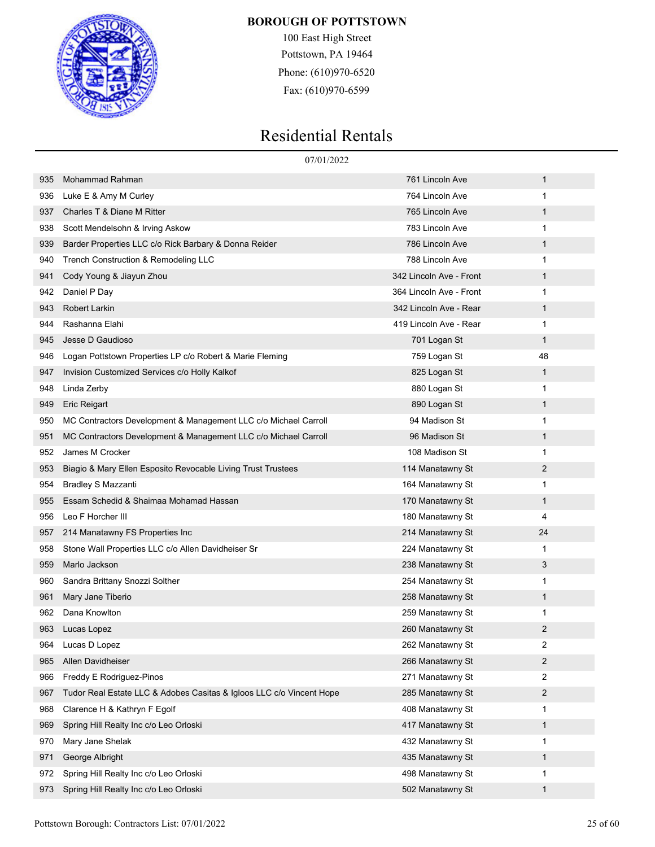

100 East High Street Pottstown, PA 19464 Phone: (610)970-6520 Fax: (610)970-6599

|     | 07/01/2022                                                           |                         |              |  |
|-----|----------------------------------------------------------------------|-------------------------|--------------|--|
| 935 | Mohammad Rahman                                                      | 761 Lincoln Ave         | 1            |  |
| 936 | Luke E & Amy M Curley                                                | 764 Lincoln Ave         | 1            |  |
| 937 | Charles T & Diane M Ritter                                           | 765 Lincoln Ave         | 1            |  |
| 938 | Scott Mendelsohn & Irving Askow                                      | 783 Lincoln Ave         | 1            |  |
| 939 | Barder Properties LLC c/o Rick Barbary & Donna Reider                | 786 Lincoln Ave         | 1            |  |
| 940 | Trench Construction & Remodeling LLC                                 | 788 Lincoln Ave         | 1            |  |
| 941 | Cody Young & Jiayun Zhou                                             | 342 Lincoln Ave - Front | 1            |  |
| 942 | Daniel P Day                                                         | 364 Lincoln Ave - Front | 1            |  |
| 943 | <b>Robert Larkin</b>                                                 | 342 Lincoln Ave - Rear  | 1            |  |
| 944 | Rashanna Elahi                                                       | 419 Lincoln Ave - Rear  | 1            |  |
| 945 | Jesse D Gaudioso                                                     | 701 Logan St            | 1            |  |
| 946 | Logan Pottstown Properties LP c/o Robert & Marie Fleming             | 759 Logan St            | 48           |  |
| 947 | Invision Customized Services c/o Holly Kalkof                        | 825 Logan St            | 1            |  |
| 948 | Linda Zerby                                                          | 880 Logan St            | 1            |  |
| 949 | <b>Eric Reigart</b>                                                  | 890 Logan St            | 1            |  |
| 950 | MC Contractors Development & Management LLC c/o Michael Carroll      | 94 Madison St           | 1            |  |
| 951 | MC Contractors Development & Management LLC c/o Michael Carroll      | 96 Madison St           | 1            |  |
| 952 | James M Crocker                                                      | 108 Madison St          | 1            |  |
| 953 | Biagio & Mary Ellen Esposito Revocable Living Trust Trustees         | 114 Manatawny St        | 2            |  |
| 954 | <b>Bradley S Mazzanti</b>                                            | 164 Manatawny St        | 1            |  |
| 955 | Essam Schedid & Shaimaa Mohamad Hassan                               | 170 Manatawny St        | 1            |  |
| 956 | Leo F Horcher III                                                    | 180 Manatawny St        | 4            |  |
| 957 | 214 Manatawny FS Properties Inc                                      | 214 Manatawny St        | 24           |  |
| 958 | Stone Wall Properties LLC c/o Allen Davidheiser Sr                   | 224 Manatawny St        | 1            |  |
| 959 | Marlo Jackson                                                        | 238 Manatawny St        | 3            |  |
| 960 | Sandra Brittany Snozzi Solther                                       | 254 Manatawny St        | 1            |  |
| 961 | Mary Jane Tiberio                                                    | 258 Manatawny St        | $\mathbf{1}$ |  |
| 962 | Dana Knowlton                                                        | 259 Manatawny St        | 1            |  |
| 963 | Lucas Lopez                                                          | 260 Manatawny St        | 2            |  |
| 964 | Lucas D Lopez                                                        | 262 Manatawny St        | 2            |  |
| 965 | Allen Davidheiser                                                    | 266 Manatawny St        | 2            |  |
| 966 | Freddy E Rodriguez-Pinos                                             | 271 Manatawny St        | 2            |  |
| 967 | Tudor Real Estate LLC & Adobes Casitas & Igloos LLC c/o Vincent Hope | 285 Manatawny St        | 2            |  |
| 968 | Clarence H & Kathryn F Egolf                                         | 408 Manatawny St        | 1            |  |
| 969 | Spring Hill Realty Inc c/o Leo Orloski                               | 417 Manatawny St        | 1            |  |
| 970 | Mary Jane Shelak                                                     | 432 Manatawny St        | 1            |  |
| 971 | George Albright                                                      | 435 Manatawny St        | 1            |  |
| 972 | Spring Hill Realty Inc c/o Leo Orloski                               | 498 Manatawny St        | 1            |  |
| 973 | Spring Hill Realty Inc c/o Leo Orloski                               | 502 Manatawny St        | $\mathbf{1}$ |  |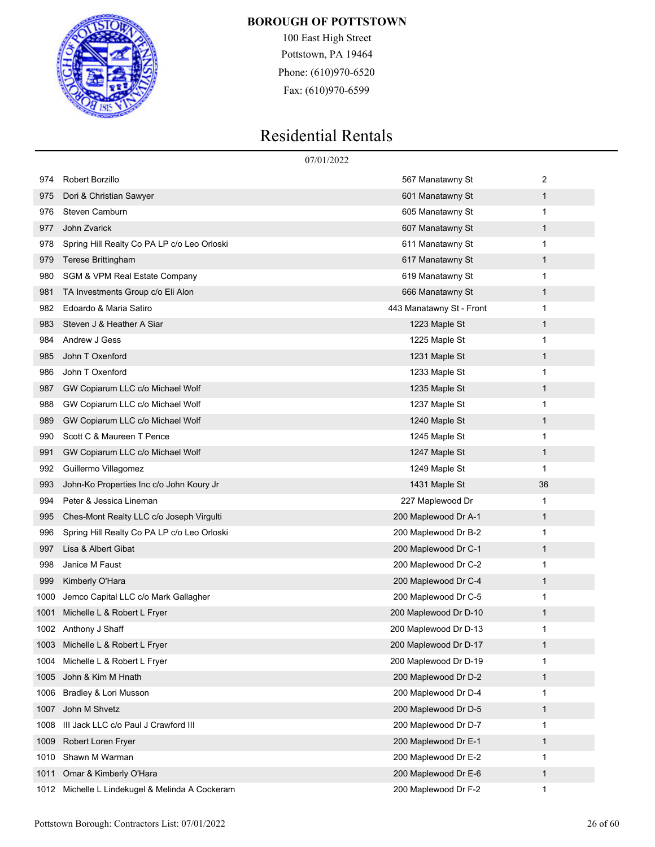

100 East High Street Pottstown, PA 19464 Phone: (610)970-6520 Fax: (610)970-6599

|      |                                                 | 07/01/2022               |              |
|------|-------------------------------------------------|--------------------------|--------------|
| 974  | Robert Borzillo                                 | 567 Manatawny St         | 2            |
| 975  | Dori & Christian Sawyer                         | 601 Manatawny St         | 1            |
| 976  | Steven Camburn                                  | 605 Manatawny St         | 1            |
| 977  | John Zvarick                                    | 607 Manatawny St         | 1            |
| 978  | Spring Hill Realty Co PA LP c/o Leo Orloski     | 611 Manatawny St         | 1            |
| 979  | Terese Brittingham                              | 617 Manatawny St         | 1            |
| 980  | <b>SGM &amp; VPM Real Estate Company</b>        | 619 Manatawny St         | 1            |
| 981  | TA Investments Group c/o Eli Alon               | 666 Manatawny St         | 1            |
| 982  | Edoardo & Maria Satiro                          | 443 Manatawny St - Front | 1            |
| 983  | Steven J & Heather A Siar                       | 1223 Maple St            | 1            |
| 984  | Andrew J Gess                                   | 1225 Maple St            | 1            |
| 985  | John T Oxenford                                 | 1231 Maple St            | 1            |
| 986  | John T Oxenford                                 | 1233 Maple St            | 1            |
| 987  | GW Copiarum LLC c/o Michael Wolf                | 1235 Maple St            | 1            |
| 988  | GW Copiarum LLC c/o Michael Wolf                | 1237 Maple St            | 1            |
| 989  | GW Copiarum LLC c/o Michael Wolf                | 1240 Maple St            | 1            |
| 990  | Scott C & Maureen T Pence                       | 1245 Maple St            | 1            |
| 991  | GW Copiarum LLC c/o Michael Wolf                | 1247 Maple St            | 1            |
| 992  | Guillermo Villagomez                            | 1249 Maple St            | 1            |
| 993  | John-Ko Properties Inc c/o John Koury Jr        | 1431 Maple St            | 36           |
| 994  | Peter & Jessica Lineman                         | 227 Maplewood Dr         | 1            |
| 995  | Ches-Mont Realty LLC c/o Joseph Virgulti        | 200 Maplewood Dr A-1     | 1            |
| 996  | Spring Hill Realty Co PA LP c/o Leo Orloski     | 200 Maplewood Dr B-2     | 1            |
| 997  | Lisa & Albert Gibat                             | 200 Maplewood Dr C-1     | 1            |
| 998  | Janice M Faust                                  | 200 Maplewood Dr C-2     | 1            |
| 999  | Kimberly O'Hara                                 | 200 Maplewood Dr C-4     | 1            |
| 1000 | Jemco Capital LLC c/o Mark Gallagher            | 200 Maplewood Dr C-5     | 1            |
| 1001 | Michelle L & Robert L Fryer                     | 200 Maplewood Dr D-10    | 1            |
|      | 1002 Anthony J Shaff                            | 200 Maplewood Dr D-13    | 1            |
| 1003 | Michelle L & Robert L Fryer                     | 200 Maplewood Dr D-17    | 1            |
| 1004 | Michelle L & Robert L Fryer                     | 200 Maplewood Dr D-19    | 1            |
| 1005 | John & Kim M Hnath                              | 200 Maplewood Dr D-2     | 1            |
| 1006 | Bradley & Lori Musson                           | 200 Maplewood Dr D-4     | 1            |
| 1007 | John M Shvetz                                   | 200 Maplewood Dr D-5     | $\mathbf{1}$ |
| 1008 | III Jack LLC c/o Paul J Crawford III            | 200 Maplewood Dr D-7     | 1            |
| 1009 | Robert Loren Fryer                              | 200 Maplewood Dr E-1     | 1            |
| 1010 | Shawn M Warman                                  | 200 Maplewood Dr E-2     | 1            |
| 1011 | Omar & Kimberly O'Hara                          | 200 Maplewood Dr E-6     | 1            |
|      | 1012 Michelle L Lindekugel & Melinda A Cockeram | 200 Maplewood Dr F-2     | 1            |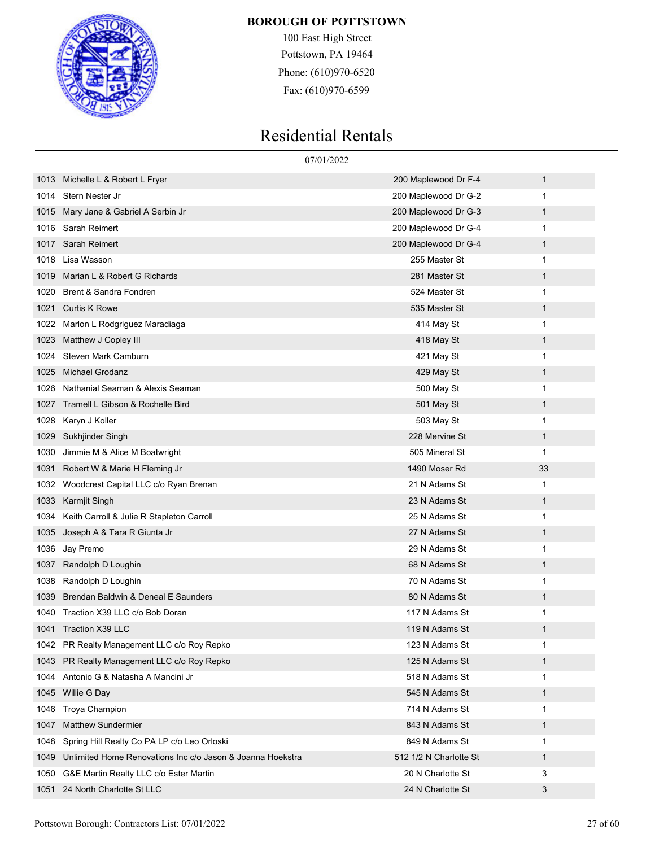

100 East High Street Pottstown, PA 19464 Phone: (610)970-6520 Fax: (610)970-6599

|      |                                                            | 07/01/2022             |              |
|------|------------------------------------------------------------|------------------------|--------------|
| 1013 | Michelle L & Robert L Fryer                                | 200 Maplewood Dr F-4   | $\mathbf{1}$ |
| 1014 | Stern Nester Jr                                            | 200 Maplewood Dr G-2   | 1            |
| 1015 | Mary Jane & Gabriel A Serbin Jr                            | 200 Maplewood Dr G-3   | 1            |
| 1016 | Sarah Reimert                                              | 200 Maplewood Dr G-4   | 1            |
| 1017 | Sarah Reimert                                              | 200 Maplewood Dr G-4   | $\mathbf{1}$ |
| 1018 | Lisa Wasson                                                | 255 Master St          | 1            |
| 1019 | Marian L & Robert G Richards                               | 281 Master St          | 1            |
| 1020 | Brent & Sandra Fondren                                     | 524 Master St          | 1            |
| 1021 | <b>Curtis K Rowe</b>                                       | 535 Master St          | $\mathbf{1}$ |
| 1022 | Marlon L Rodgriguez Maradiaga                              | 414 May St             | 1            |
| 1023 | Matthew J Copley III                                       | 418 May St             | 1            |
| 1024 | Steven Mark Camburn                                        | 421 May St             | 1            |
| 1025 | <b>Michael Grodanz</b>                                     | 429 May St             | 1            |
| 1026 | Nathanial Seaman & Alexis Seaman                           | 500 May St             | 1            |
| 1027 | Tramell L Gibson & Rochelle Bird                           | 501 May St             | 1            |
| 1028 | Karyn J Koller                                             | 503 May St             | 1            |
| 1029 | Sukhjinder Singh                                           | 228 Mervine St         | 1            |
| 1030 | Jimmie M & Alice M Boatwright                              | 505 Mineral St         | 1            |
| 1031 | Robert W & Marie H Fleming Jr                              | 1490 Moser Rd          | 33           |
| 1032 | Woodcrest Capital LLC c/o Ryan Brenan                      | 21 N Adams St          | 1            |
| 1033 | Karmjit Singh                                              | 23 N Adams St          | 1            |
| 1034 | Keith Carroll & Julie R Stapleton Carroll                  | 25 N Adams St          | 1            |
| 1035 | Joseph A & Tara R Giunta Jr                                | 27 N Adams St          | $\mathbf{1}$ |
| 1036 | Jay Premo                                                  | 29 N Adams St          | 1            |
| 1037 | Randolph D Loughin                                         | 68 N Adams St          | 1            |
| 1038 | Randolph D Loughin                                         | 70 N Adams St          | 1            |
| 1039 | Brendan Baldwin & Deneal E Saunders                        | 80 N Adams St          | 1            |
| 1040 | Traction X39 LLC c/o Bob Doran                             | 117 N Adams St         | 1            |
|      | 1041 Traction X39 LLC                                      | 119 N Adams St         | 1            |
| 1042 | PR Realty Management LLC c/o Roy Repko                     | 123 N Adams St         | 1            |
| 1043 | PR Realty Management LLC c/o Roy Repko                     | 125 N Adams St         | $\mathbf{1}$ |
| 1044 | Antonio G & Natasha A Mancini Jr                           | 518 N Adams St         | 1            |
| 1045 | Willie G Day                                               | 545 N Adams St         | $\mathbf{1}$ |
| 1046 | Troya Champion                                             | 714 N Adams St         | 1            |
| 1047 | <b>Matthew Sundermier</b>                                  | 843 N Adams St         | $\mathbf{1}$ |
| 1048 | Spring Hill Realty Co PA LP c/o Leo Orloski                | 849 N Adams St         | 1            |
| 1049 | Unlimited Home Renovations Inc c/o Jason & Joanna Hoekstra | 512 1/2 N Charlotte St | $\mathbf{1}$ |
| 1050 | G&E Martin Realty LLC c/o Ester Martin                     | 20 N Charlotte St      | 3            |
| 1051 | 24 North Charlotte St LLC                                  | 24 N Charlotte St      | 3            |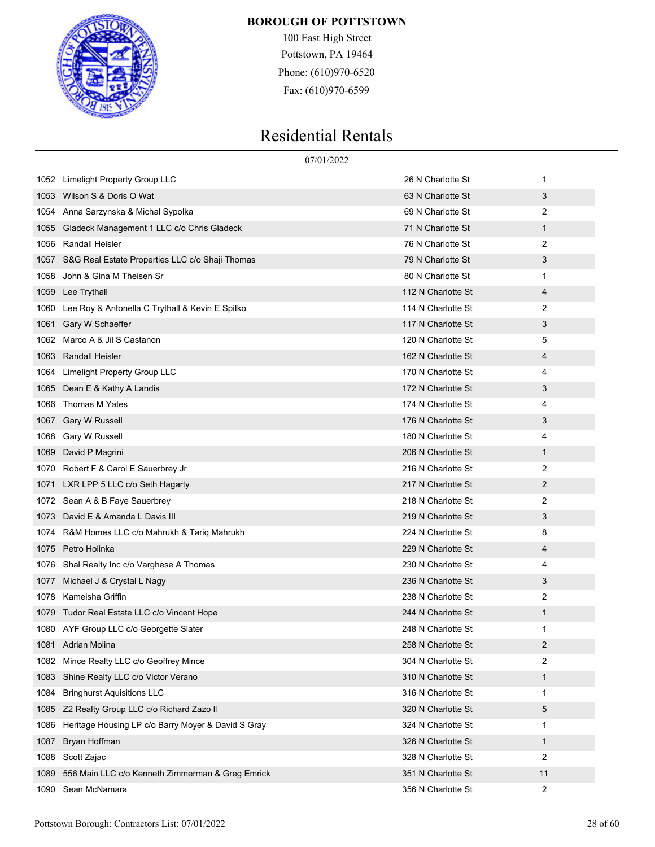

100 East High Street Pottstown, PA 19464 Phone: (610)970-6520 Fax: (610)970-6599

|      | 07/01/2022                                         |                    |              |  |
|------|----------------------------------------------------|--------------------|--------------|--|
| 1052 | Limelight Property Group LLC                       | 26 N Charlotte St  | 1            |  |
| 1053 | Wilson S & Doris O Wat                             | 63 N Charlotte St  | 3            |  |
| 1054 | Anna Sarzynska & Michal Sypolka                    | 69 N Charlotte St  | 2            |  |
| 1055 | Gladeck Management 1 LLC c/o Chris Gladeck         | 71 N Charlotte St  | $\mathbf{1}$ |  |
| 1056 | <b>Randall Heisler</b>                             | 76 N Charlotte St  | 2            |  |
| 1057 | S&G Real Estate Properties LLC c/o Shaji Thomas    | 79 N Charlotte St  | 3            |  |
| 1058 | John & Gina M Theisen Sr                           | 80 N Charlotte St  | 1            |  |
| 1059 | Lee Trythall                                       | 112 N Charlotte St | 4            |  |
| 1060 | Lee Roy & Antonella C Trythall & Kevin E Spitko    | 114 N Charlotte St | 2            |  |
| 1061 | Gary W Schaeffer                                   | 117 N Charlotte St | 3            |  |
| 1062 | Marco A & Jil S Castanon                           | 120 N Charlotte St | 5            |  |
| 1063 | Randall Heisler                                    | 162 N Charlotte St | 4            |  |
| 1064 | Limelight Property Group LLC                       | 170 N Charlotte St | 4            |  |
| 1065 | Dean E & Kathy A Landis                            | 172 N Charlotte St | 3            |  |
| 1066 | Thomas M Yates                                     | 174 N Charlotte St | 4            |  |
| 1067 | <b>Gary W Russell</b>                              | 176 N Charlotte St | 3            |  |
| 1068 | Gary W Russell                                     | 180 N Charlotte St | 4            |  |
| 1069 | David P Magrini                                    | 206 N Charlotte St | $\mathbf{1}$ |  |
| 1070 | Robert F & Carol E Sauerbrey Jr                    | 216 N Charlotte St | 2            |  |
| 1071 | LXR LPP 5 LLC c/o Seth Hagarty                     | 217 N Charlotte St | 2            |  |
| 1072 | Sean A & B Faye Sauerbrey                          | 218 N Charlotte St | 2            |  |
| 1073 | David E & Amanda L Davis III                       | 219 N Charlotte St | 3            |  |
| 1074 | R&M Homes LLC c/o Mahrukh & Tariq Mahrukh          | 224 N Charlotte St | 8            |  |
| 1075 | Petro Holinka                                      | 229 N Charlotte St | 4            |  |
| 1076 | Shal Realty Inc c/o Varghese A Thomas              | 230 N Charlotte St | 4            |  |
| 1077 | Michael J & Crystal L Nagy                         | 236 N Charlotte St | 3            |  |
| 1078 | Kameisha Griffin                                   | 238 N Charlotte St | 2            |  |
| 1079 | Tudor Real Estate LLC c/o Vincent Hope             | 244 N Charlotte St | 1            |  |
|      | 1080 AYF Group LLC c/o Georgette Slater            | 248 N Charlotte St | 1            |  |
|      | 1081 Adrian Molina                                 | 258 N Charlotte St | 2            |  |
| 1082 | Mince Realty LLC c/o Geoffrey Mince                | 304 N Charlotte St | 2            |  |
| 1083 | Shine Realty LLC c/o Victor Verano                 | 310 N Charlotte St | $\mathbf{1}$ |  |
| 1084 | <b>Bringhurst Aquisitions LLC</b>                  | 316 N Charlotte St | 1            |  |
| 1085 | Z2 Realty Group LLC c/o Richard Zazo II            | 320 N Charlotte St | 5            |  |
| 1086 | Heritage Housing LP c/o Barry Moyer & David S Gray | 324 N Charlotte St | 1            |  |
| 1087 | Bryan Hoffman                                      | 326 N Charlotte St | $\mathbf{1}$ |  |
| 1088 | Scott Zajac                                        | 328 N Charlotte St | 2            |  |
| 1089 | 556 Main LLC c/o Kenneth Zimmerman & Greg Emrick   | 351 N Charlotte St | 11           |  |
| 1090 | Sean McNamara                                      | 356 N Charlotte St | 2            |  |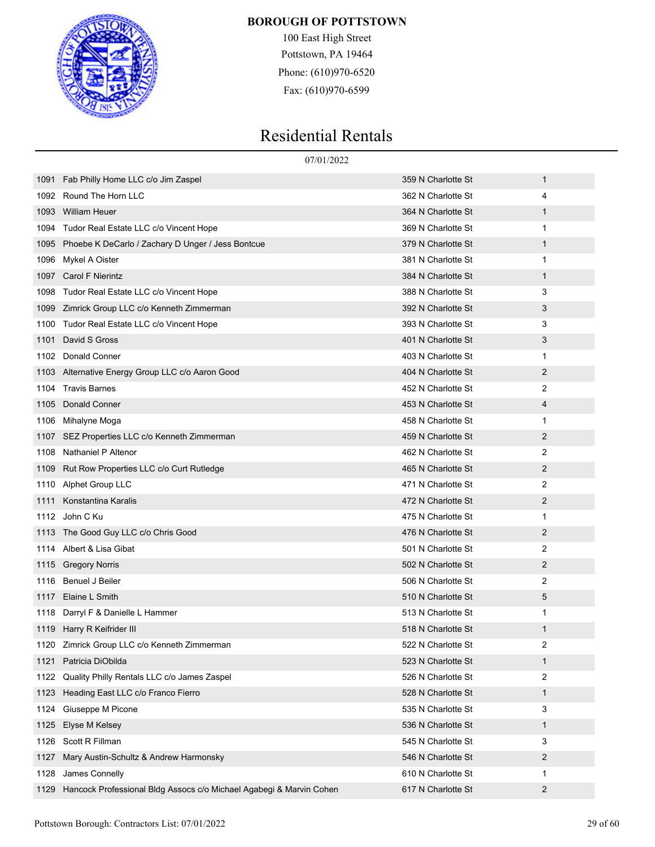

100 East High Street Pottstown, PA 19464 Phone: (610)970-6520 Fax: (610)970-6599

|      | 07/01/2022                                                          |                    |                |  |
|------|---------------------------------------------------------------------|--------------------|----------------|--|
| 1091 | Fab Philly Home LLC c/o Jim Zaspel                                  | 359 N Charlotte St | $\mathbf{1}$   |  |
| 1092 | Round The Horn LLC                                                  | 362 N Charlotte St | 4              |  |
| 1093 | <b>William Heuer</b>                                                | 364 N Charlotte St | 1              |  |
| 1094 | Tudor Real Estate LLC c/o Vincent Hope                              | 369 N Charlotte St | 1              |  |
| 1095 | Phoebe K DeCarlo / Zachary D Unger / Jess Bontcue                   | 379 N Charlotte St | $\mathbf{1}$   |  |
| 1096 | Mykel A Oister                                                      | 381 N Charlotte St | 1              |  |
| 1097 | <b>Carol F Nierintz</b>                                             | 384 N Charlotte St | $\mathbf{1}$   |  |
| 1098 | Tudor Real Estate LLC c/o Vincent Hope                              | 388 N Charlotte St | 3              |  |
| 1099 | Zimrick Group LLC c/o Kenneth Zimmerman                             | 392 N Charlotte St | 3              |  |
| 1100 | Tudor Real Estate LLC c/o Vincent Hope                              | 393 N Charlotte St | 3              |  |
| 1101 | David S Gross                                                       | 401 N Charlotte St | 3              |  |
| 1102 | Donald Conner                                                       | 403 N Charlotte St | 1              |  |
| 1103 | Alternative Energy Group LLC c/o Aaron Good                         | 404 N Charlotte St | 2              |  |
| 1104 | <b>Travis Barnes</b>                                                | 452 N Charlotte St | 2              |  |
| 1105 | <b>Donald Conner</b>                                                | 453 N Charlotte St | 4              |  |
| 1106 | Mihalyne Moga                                                       | 458 N Charlotte St | 1              |  |
| 1107 | SEZ Properties LLC c/o Kenneth Zimmerman                            | 459 N Charlotte St | 2              |  |
| 1108 | Nathaniel P Altenor                                                 | 462 N Charlotte St | 2              |  |
| 1109 | Rut Row Properties LLC c/o Curt Rutledge                            | 465 N Charlotte St | 2              |  |
| 1110 | Alphet Group LLC                                                    | 471 N Charlotte St | 2              |  |
| 1111 | Konstantina Karalis                                                 | 472 N Charlotte St | 2              |  |
| 1112 | John C Ku                                                           | 475 N Charlotte St | 1              |  |
| 1113 | The Good Guy LLC c/o Chris Good                                     | 476 N Charlotte St | 2              |  |
| 1114 | Albert & Lisa Gibat                                                 | 501 N Charlotte St | 2              |  |
| 1115 | <b>Gregory Norris</b>                                               | 502 N Charlotte St | 2              |  |
| 1116 | Benuel J Beiler                                                     | 506 N Charlotte St | 2              |  |
| 1117 | Elaine L Smith                                                      | 510 N Charlotte St | 5              |  |
| 1118 | Darryl F & Danielle L Hammer                                        | 513 N Charlotte St | 1              |  |
|      | 1119 Harry R Keifrider III                                          | 518 N Charlotte St | 1              |  |
|      | 1120 Zimrick Group LLC c/o Kenneth Zimmerman                        | 522 N Charlotte St | 2              |  |
| 1121 | Patricia DiObilda                                                   | 523 N Charlotte St | $\mathbf{1}$   |  |
| 1122 | Quality Philly Rentals LLC c/o James Zaspel                         | 526 N Charlotte St | 2              |  |
| 1123 | Heading East LLC c/o Franco Fierro                                  | 528 N Charlotte St | $\mathbf{1}$   |  |
| 1124 | Giuseppe M Picone                                                   | 535 N Charlotte St | 3              |  |
| 1125 | Elyse M Kelsey                                                      | 536 N Charlotte St | $\mathbf{1}$   |  |
| 1126 | Scott R Fillman                                                     | 545 N Charlotte St | 3              |  |
| 1127 | Mary Austin-Schultz & Andrew Harmonsky                              | 546 N Charlotte St | 2              |  |
| 1128 | James Connelly                                                      | 610 N Charlotte St | 1              |  |
| 1129 | Hancock Professional Bldg Assocs c/o Michael Agabegi & Marvin Cohen | 617 N Charlotte St | $\overline{2}$ |  |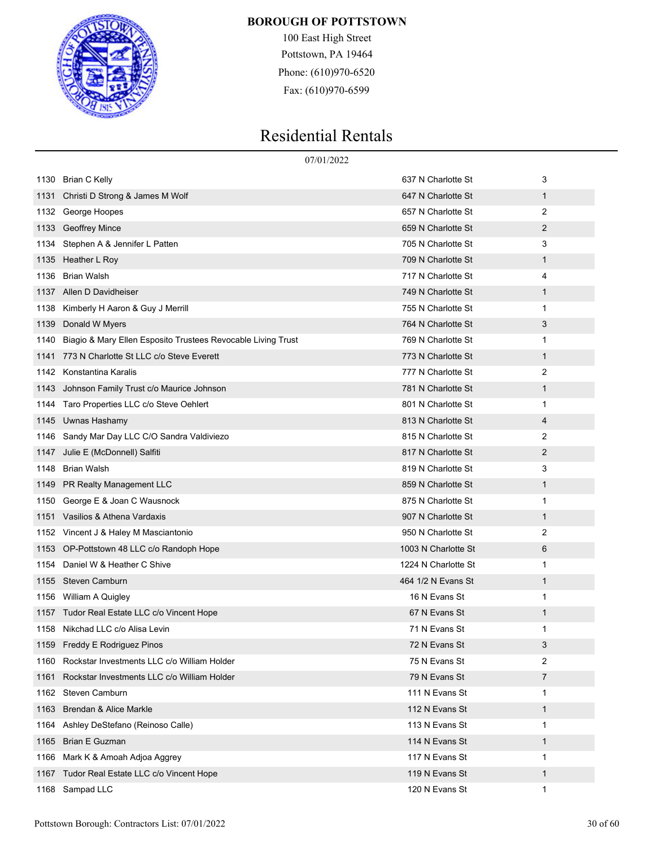

100 East High Street Pottstown, PA 19464 Phone: (610)970-6520 Fax: (610)970-6599

|      |                                                              | 07/01/2022          |                |
|------|--------------------------------------------------------------|---------------------|----------------|
| 1130 | Brian C Kelly                                                | 637 N Charlotte St  | 3              |
| 1131 | Christi D Strong & James M Wolf                              | 647 N Charlotte St  | $\mathbf{1}$   |
| 1132 | George Hoopes                                                | 657 N Charlotte St  | 2              |
| 1133 | <b>Geoffrey Mince</b>                                        | 659 N Charlotte St  | 2              |
| 1134 | Stephen A & Jennifer L Patten                                | 705 N Charlotte St  | 3              |
| 1135 | Heather L Roy                                                | 709 N Charlotte St  | 1              |
| 1136 | <b>Brian Walsh</b>                                           | 717 N Charlotte St  | 4              |
| 1137 | Allen D Davidheiser                                          | 749 N Charlotte St  | 1              |
| 1138 | Kimberly H Aaron & Guy J Merrill                             | 755 N Charlotte St  | 1              |
| 1139 | Donald W Myers                                               | 764 N Charlotte St  | 3              |
| 1140 | Biagio & Mary Ellen Esposito Trustees Revocable Living Trust | 769 N Charlotte St  | 1              |
| 1141 | 773 N Charlotte St LLC c/o Steve Everett                     | 773 N Charlotte St  | $\mathbf{1}$   |
| 1142 | Konstantina Karalis                                          | 777 N Charlotte St  | 2              |
| 1143 | Johnson Family Trust c/o Maurice Johnson                     | 781 N Charlotte St  | 1              |
| 1144 | Taro Properties LLC c/o Steve Oehlert                        | 801 N Charlotte St  | 1              |
| 1145 | Uwnas Hashamy                                                | 813 N Charlotte St  | 4              |
| 1146 | Sandy Mar Day LLC C/O Sandra Valdiviezo                      | 815 N Charlotte St  | 2              |
| 1147 | Julie E (McDonnell) Salfiti                                  | 817 N Charlotte St  | $\overline{2}$ |
| 1148 | <b>Brian Walsh</b>                                           | 819 N Charlotte St  | 3              |
| 1149 | PR Realty Management LLC                                     | 859 N Charlotte St  | 1              |
| 1150 | George E & Joan C Wausnock                                   | 875 N Charlotte St  | 1              |
| 1151 | Vasilios & Athena Vardaxis                                   | 907 N Charlotte St  | 1              |
| 1152 | Vincent J & Haley M Masciantonio                             | 950 N Charlotte St  | 2              |
| 1153 | OP-Pottstown 48 LLC c/o Randoph Hope                         | 1003 N Charlotte St | 6              |
| 1154 | Daniel W & Heather C Shive                                   | 1224 N Charlotte St | 1              |
| 1155 | Steven Camburn                                               | 464 1/2 N Evans St  | 1              |
| 1156 | William A Quigley                                            | 16 N Evans St       | 1              |
| 1157 | Tudor Real Estate LLC c/o Vincent Hope                       | 67 N Evans St       | 1              |
| 1158 | Nikchad LLC c/o Alisa Levin                                  | 71 N Evans St       | 1              |
| 1159 | <b>Freddy E Rodriguez Pinos</b>                              | 72 N Evans St       | 3              |
| 1160 | Rockstar Investments LLC c/o William Holder                  | 75 N Evans St       | 2              |
| 1161 | Rockstar Investments LLC c/o William Holder                  | 79 N Evans St       | 7              |
| 1162 | <b>Steven Camburn</b>                                        | 111 N Evans St      | 1              |
| 1163 | Brendan & Alice Markle                                       | 112 N Evans St      | $\mathbf{1}$   |
| 1164 | Ashley DeStefano (Reinoso Calle)                             | 113 N Evans St      | 1              |
| 1165 | <b>Brian E Guzman</b>                                        | 114 N Evans St      | 1              |
| 1166 | Mark K & Amoah Adjoa Aggrey                                  | 117 N Evans St      | 1              |
| 1167 | Tudor Real Estate LLC c/o Vincent Hope                       | 119 N Evans St      | $\mathbf{1}$   |
|      | 1168 Sampad LLC                                              | 120 N Evans St      | 1              |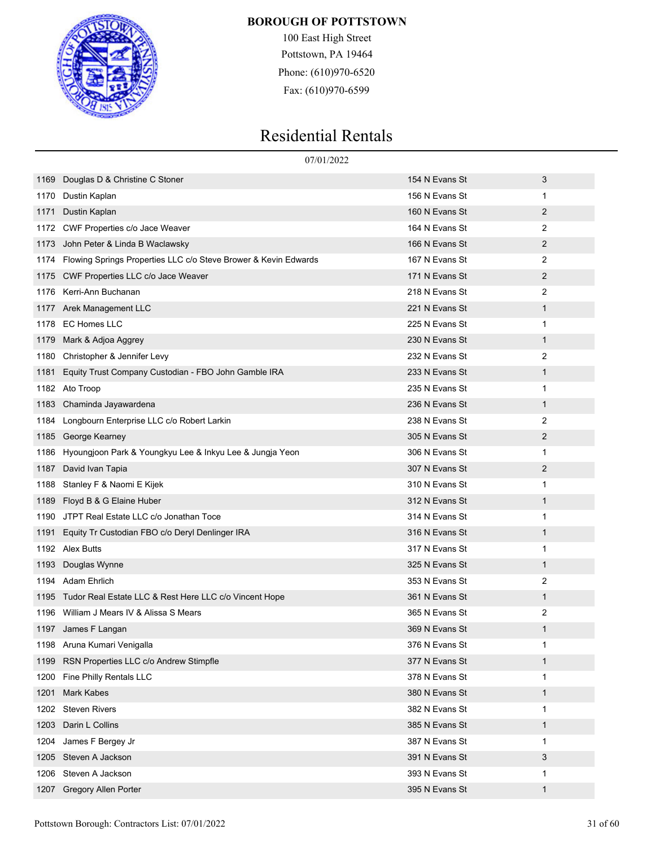

100 East High Street Pottstown, PA 19464 Phone: (610)970-6520 Fax: (610)970-6599

|      | 07/01/2022                                                      |                |                |
|------|-----------------------------------------------------------------|----------------|----------------|
| 1169 | Douglas D & Christine C Stoner                                  | 154 N Evans St | 3              |
| 1170 | Dustin Kaplan                                                   | 156 N Evans St | 1              |
| 1171 | Dustin Kaplan                                                   | 160 N Evans St | 2              |
| 1172 | CWF Properties c/o Jace Weaver                                  | 164 N Evans St | $\overline{2}$ |
| 1173 | John Peter & Linda B Waclawsky                                  | 166 N Evans St | 2              |
| 1174 | Flowing Springs Properties LLC c/o Steve Brower & Kevin Edwards | 167 N Evans St | 2              |
| 1175 | CWF Properties LLC c/o Jace Weaver                              | 171 N Evans St | 2              |
| 1176 | Kerri-Ann Buchanan                                              | 218 N Evans St | 2              |
| 1177 | Arek Management LLC                                             | 221 N Evans St | 1              |
| 1178 | <b>EC Homes LLC</b>                                             | 225 N Evans St | 1              |
| 1179 | Mark & Adjoa Aggrey                                             | 230 N Evans St | 1              |
| 1180 | Christopher & Jennifer Levy                                     | 232 N Evans St | 2              |
| 1181 | Equity Trust Company Custodian - FBO John Gamble IRA            | 233 N Evans St | 1              |
| 1182 | Ato Troop                                                       | 235 N Evans St | 1              |
| 1183 | Chaminda Jayawardena                                            | 236 N Evans St | $\mathbf{1}$   |
| 1184 | Longbourn Enterprise LLC c/o Robert Larkin                      | 238 N Evans St | 2              |
| 1185 | George Kearney                                                  | 305 N Evans St | 2              |
| 1186 | Hyoungjoon Park & Youngkyu Lee & Inkyu Lee & Jungja Yeon        | 306 N Evans St | 1              |
| 1187 | David Ivan Tapia                                                | 307 N Evans St | 2              |
| 1188 | Stanley F & Naomi E Kijek                                       | 310 N Evans St | 1              |
| 1189 | Floyd B & G Elaine Huber                                        | 312 N Evans St | 1              |
| 1190 | JTPT Real Estate LLC c/o Jonathan Toce                          | 314 N Evans St | 1              |
| 1191 | Equity Tr Custodian FBO c/o Deryl Denlinger IRA                 | 316 N Evans St | 1              |
| 1192 | Alex Butts                                                      | 317 N Evans St | 1              |
| 1193 | Douglas Wynne                                                   | 325 N Evans St | 1              |
| 1194 | Adam Ehrlich                                                    | 353 N Evans St | 2              |
| 1195 | Tudor Real Estate LLC & Rest Here LLC c/o Vincent Hope          | 361 N Evans St | 1              |
| 1196 | William J Mears IV & Alissa S Mears                             | 365 N Evans St | 2              |
|      | 1197 James F Langan                                             | 369 N Evans St | 1              |
|      | 1198 Aruna Kumari Venigalla                                     | 376 N Evans St | 1              |
| 1199 | RSN Properties LLC c/o Andrew Stimpfle                          | 377 N Evans St | 1              |
| 1200 | Fine Philly Rentals LLC                                         | 378 N Evans St | 1              |
| 1201 | Mark Kabes                                                      | 380 N Evans St | 1              |
| 1202 | <b>Steven Rivers</b>                                            | 382 N Evans St | 1              |
| 1203 | Darin L Collins                                                 | 385 N Evans St | 1              |
| 1204 | James F Bergey Jr                                               | 387 N Evans St | 1              |
| 1205 | Steven A Jackson                                                | 391 N Evans St | 3              |
| 1206 | Steven A Jackson                                                | 393 N Evans St | 1              |
| 1207 | Gregory Allen Porter                                            | 395 N Evans St | 1              |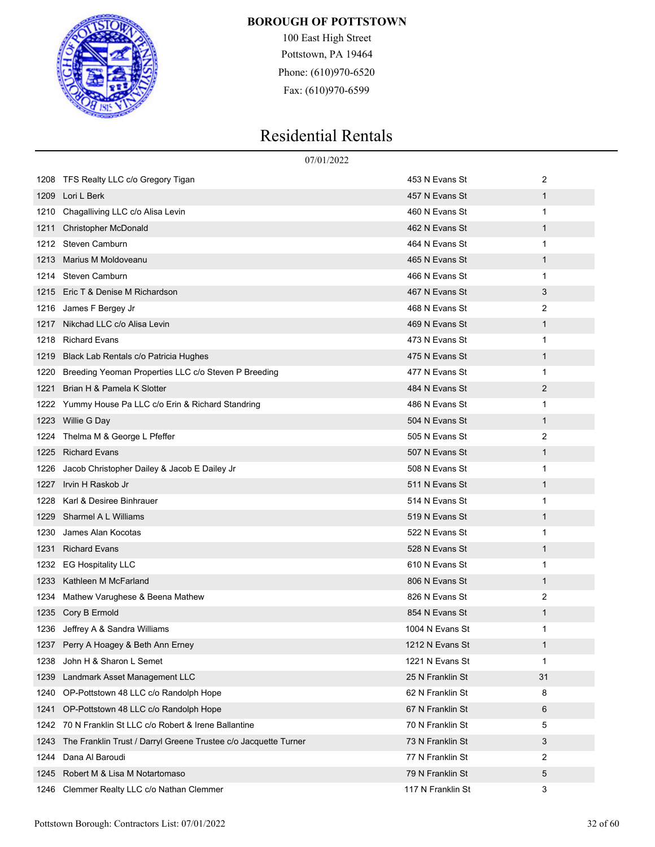

100 East High Street Pottstown, PA 19464 Phone: (610)970-6520 Fax: (610)970-6599

|      | 07/01/2022                                                      |                   |              |
|------|-----------------------------------------------------------------|-------------------|--------------|
| 1208 | TFS Realty LLC c/o Gregory Tigan                                | 453 N Evans St    | 2            |
| 1209 | Lori L Berk                                                     | 457 N Evans St    | 1            |
| 1210 | Chagalliving LLC c/o Alisa Levin                                | 460 N Evans St    | 1            |
| 1211 | <b>Christopher McDonald</b>                                     | 462 N Evans St    | $\mathbf{1}$ |
| 1212 | Steven Camburn                                                  | 464 N Evans St    | 1            |
| 1213 | Marius M Moldoveanu                                             | 465 N Evans St    | 1            |
| 1214 | Steven Camburn                                                  | 466 N Evans St    | 1            |
| 1215 | Eric T & Denise M Richardson                                    | 467 N Evans St    | 3            |
| 1216 | James F Bergey Jr                                               | 468 N Evans St    | 2            |
| 1217 | Nikchad LLC c/o Alisa Levin                                     | 469 N Evans St    | 1            |
| 1218 | <b>Richard Evans</b>                                            | 473 N Evans St    | 1            |
| 1219 | Black Lab Rentals c/o Patricia Hughes                           | 475 N Evans St    | 1            |
| 1220 | Breeding Yeoman Properties LLC c/o Steven P Breeding            | 477 N Evans St    | 1            |
| 1221 | Brian H & Pamela K Slotter                                      | 484 N Evans St    | 2            |
| 1222 | Yummy House Pa LLC c/o Erin & Richard Standring                 | 486 N Evans St    | 1            |
| 1223 | Willie G Day                                                    | 504 N Evans St    | $\mathbf{1}$ |
| 1224 | Thelma M & George L Pfeffer                                     | 505 N Evans St    | 2            |
| 1225 | <b>Richard Evans</b>                                            | 507 N Evans St    | 1            |
| 1226 | Jacob Christopher Dailey & Jacob E Dailey Jr                    | 508 N Evans St    | 1            |
| 1227 | Irvin H Raskob Jr                                               | 511 N Evans St    | 1            |
| 1228 | Karl & Desiree Binhrauer                                        | 514 N Evans St    | 1            |
| 1229 | Sharmel A L Williams                                            | 519 N Evans St    | 1            |
| 1230 | James Alan Kocotas                                              | 522 N Evans St    | 1            |
| 1231 | <b>Richard Evans</b>                                            | 528 N Evans St    | 1            |
| 1232 | <b>EG Hospitality LLC</b>                                       | 610 N Evans St    | 1            |
| 1233 | Kathleen M McFarland                                            | 806 N Evans St    | 1            |
| 1234 | Mathew Varughese & Beena Mathew                                 | 826 N Evans St    | 2            |
| 1235 | Cory B Ermold                                                   | 854 N Evans St    | 1            |
|      | 1236 Jeffrey A & Sandra Williams                                | 1004 N Evans St   | 1            |
|      | 1237 Perry A Hoagey & Beth Ann Erney                            | 1212 N Evans St   | 1            |
| 1238 | John H & Sharon L Semet                                         | 1221 N Evans St   | 1            |
| 1239 | Landmark Asset Management LLC                                   | 25 N Franklin St  | 31           |
| 1240 | OP-Pottstown 48 LLC c/o Randolph Hope                           | 62 N Franklin St  | 8            |
| 1241 | OP-Pottstown 48 LLC c/o Randolph Hope                           | 67 N Franklin St  | 6            |
| 1242 | 70 N Franklin St LLC c/o Robert & Irene Ballantine              | 70 N Franklin St  | 5            |
| 1243 | The Franklin Trust / Darryl Greene Trustee c/o Jacquette Turner | 73 N Franklin St  | 3            |
| 1244 | Dana Al Baroudi                                                 | 77 N Franklin St  | 2            |
| 1245 | Robert M & Lisa M Notartomaso                                   | 79 N Franklin St  | 5            |
| 1246 | Clemmer Realty LLC c/o Nathan Clemmer                           | 117 N Franklin St | 3            |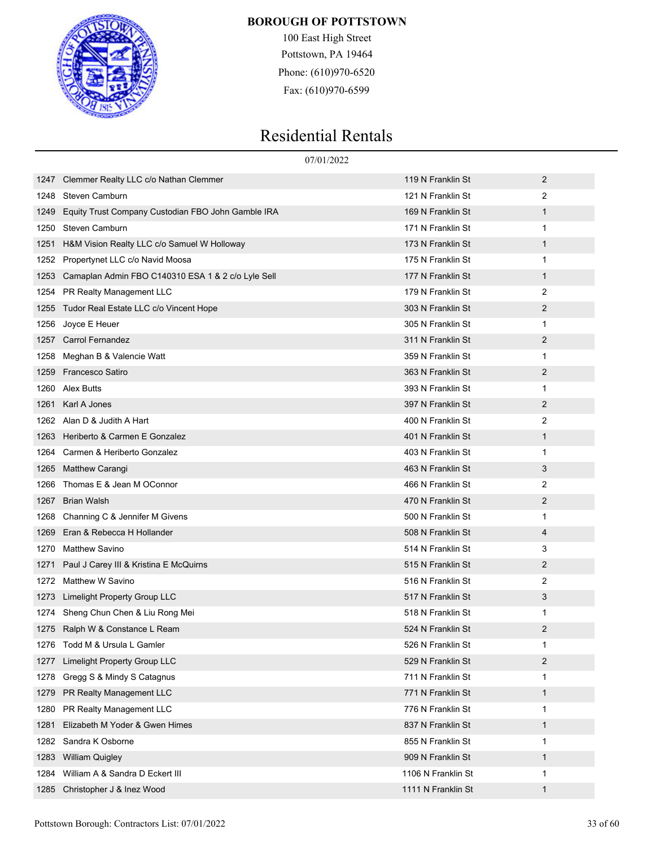

100 East High Street Pottstown, PA 19464 Phone: (610)970-6520 Fax: (610)970-6599

|      | 07/01/2022                                         |                    |                |  |
|------|----------------------------------------------------|--------------------|----------------|--|
| 1247 | Clemmer Realty LLC c/o Nathan Clemmer              | 119 N Franklin St  | 2              |  |
| 1248 | Steven Camburn                                     | 121 N Franklin St  | 2              |  |
| 1249 | Equity Trust Company Custodian FBO John Gamble IRA | 169 N Franklin St  | $\mathbf{1}$   |  |
| 1250 | Steven Camburn                                     | 171 N Franklin St  | 1              |  |
| 1251 | H&M Vision Realty LLC c/o Samuel W Holloway        | 173 N Franklin St  | $\mathbf{1}$   |  |
| 1252 | Propertynet LLC c/o Navid Moosa                    | 175 N Franklin St  | 1              |  |
| 1253 | Camaplan Admin FBO C140310 ESA 1 & 2 c/o Lyle Sell | 177 N Franklin St  | $\mathbf{1}$   |  |
| 1254 | PR Realty Management LLC                           | 179 N Franklin St  | 2              |  |
| 1255 | Tudor Real Estate LLC c/o Vincent Hope             | 303 N Franklin St  | $\overline{2}$ |  |
| 1256 | Joyce E Heuer                                      | 305 N Franklin St  | 1              |  |
| 1257 | <b>Carrol Fernandez</b>                            | 311 N Franklin St  | 2              |  |
| 1258 | Meghan B & Valencie Watt                           | 359 N Franklin St  | 1              |  |
| 1259 | <b>Francesco Satiro</b>                            | 363 N Franklin St  | $\overline{2}$ |  |
| 1260 | Alex Butts                                         | 393 N Franklin St  | 1              |  |
| 1261 | Karl A Jones                                       | 397 N Franklin St  | 2              |  |
| 1262 | Alan D & Judith A Hart                             | 400 N Franklin St  | 2              |  |
| 1263 | Heriberto & Carmen E Gonzalez                      | 401 N Franklin St  | $\mathbf{1}$   |  |
| 1264 | Carmen & Heriberto Gonzalez                        | 403 N Franklin St  | 1              |  |
| 1265 | Matthew Carangi                                    | 463 N Franklin St  | 3              |  |
| 1266 | Thomas E & Jean M OConnor                          | 466 N Franklin St  | 2              |  |
| 1267 | <b>Brian Walsh</b>                                 | 470 N Franklin St  | $\overline{2}$ |  |
| 1268 | Channing C & Jennifer M Givens                     | 500 N Franklin St  | 1              |  |
| 1269 | Eran & Rebecca H Hollander                         | 508 N Franklin St  | 4              |  |
| 1270 | <b>Matthew Savino</b>                              | 514 N Franklin St  | 3              |  |
| 1271 | Paul J Carey III & Kristina E McQuirns             | 515 N Franklin St  | 2              |  |
| 1272 | Matthew W Savino                                   | 516 N Franklin St  | 2              |  |
| 1273 | Limelight Property Group LLC                       | 517 N Franklin St  | 3              |  |
| 1274 | Sheng Chun Chen & Liu Rong Mei                     | 518 N Franklin St  | 1              |  |
|      | 1275 Ralph W & Constance L Ream                    | 524 N Franklin St  | 2              |  |
|      | 1276 Todd M & Ursula L Gamler                      | 526 N Franklin St  | 1              |  |
| 1277 | Limelight Property Group LLC                       | 529 N Franklin St  | $\overline{2}$ |  |
| 1278 | Gregg S & Mindy S Catagnus                         | 711 N Franklin St  | 1              |  |
| 1279 | PR Realty Management LLC                           | 771 N Franklin St  | $\mathbf{1}$   |  |
| 1280 | PR Realty Management LLC                           | 776 N Franklin St  | 1              |  |
| 1281 | Elizabeth M Yoder & Gwen Himes                     | 837 N Franklin St  | $\mathbf{1}$   |  |
| 1282 | Sandra K Osborne                                   | 855 N Franklin St  | 1              |  |
| 1283 | <b>William Quigley</b>                             | 909 N Franklin St  | $\mathbf{1}$   |  |
| 1284 | William A & Sandra D Eckert III                    | 1106 N Franklin St | 1              |  |
| 1285 | Christopher J & Inez Wood                          | 1111 N Franklin St | $\mathbf 1$    |  |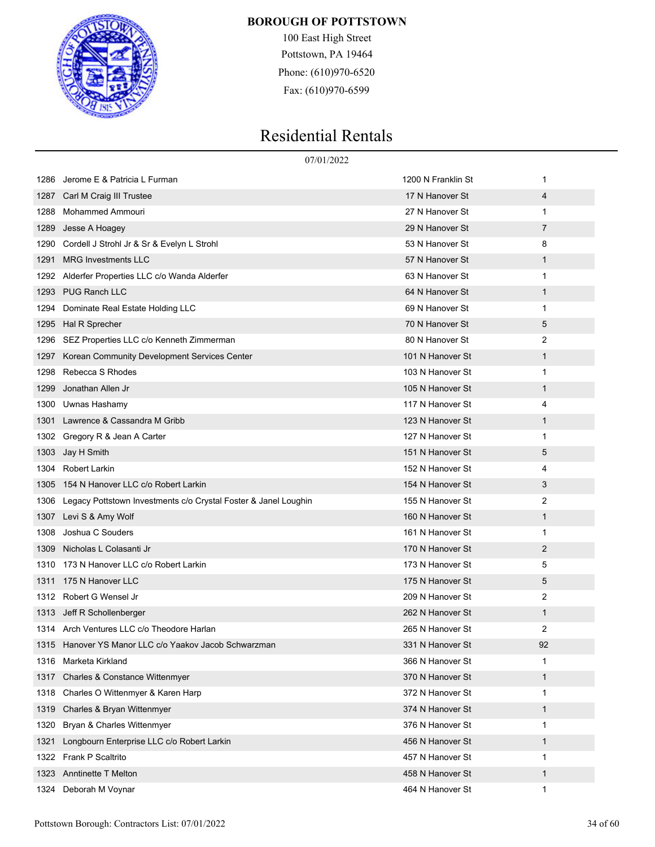

100 East High Street Pottstown, PA 19464 Phone: (610)970-6520 Fax: (610)970-6599

|      | 07/01/2022                                                      |                    |              |  |
|------|-----------------------------------------------------------------|--------------------|--------------|--|
| 1286 | Jerome E & Patricia L Furman                                    | 1200 N Franklin St | 1            |  |
| 1287 | Carl M Craig III Trustee                                        | 17 N Hanover St    | 4            |  |
| 1288 | Mohammed Ammouri                                                | 27 N Hanover St    | 1            |  |
| 1289 | Jesse A Hoagey                                                  | 29 N Hanover St    | 7            |  |
| 1290 | Cordell J Strohl Jr & Sr & Evelyn L Strohl                      | 53 N Hanover St    | 8            |  |
| 1291 | <b>MRG Investments LLC</b>                                      | 57 N Hanover St    | $\mathbf 1$  |  |
| 1292 | Alderfer Properties LLC c/o Wanda Alderfer                      | 63 N Hanover St    | $\mathbf{1}$ |  |
| 1293 | <b>PUG Ranch LLC</b>                                            | 64 N Hanover St    | $\mathbf 1$  |  |
| 1294 | Dominate Real Estate Holding LLC                                | 69 N Hanover St    | 1            |  |
| 1295 | Hal R Sprecher                                                  | 70 N Hanover St    | 5            |  |
| 1296 | SEZ Properties LLC c/o Kenneth Zimmerman                        | 80 N Hanover St    | 2            |  |
| 1297 | Korean Community Development Services Center                    | 101 N Hanover St   | $\mathbf{1}$ |  |
| 1298 | Rebecca S Rhodes                                                | 103 N Hanover St   | 1            |  |
| 1299 | Jonathan Allen Jr                                               | 105 N Hanover St   | $\mathbf 1$  |  |
| 1300 | Uwnas Hashamy                                                   | 117 N Hanover St   | 4            |  |
| 1301 | Lawrence & Cassandra M Gribb                                    | 123 N Hanover St   | $\mathbf{1}$ |  |
| 1302 | Gregory R & Jean A Carter                                       | 127 N Hanover St   | $\mathbf{1}$ |  |
| 1303 | Jay H Smith                                                     | 151 N Hanover St   | 5            |  |
| 1304 | <b>Robert Larkin</b>                                            | 152 N Hanover St   | 4            |  |
| 1305 | 154 N Hanover LLC c/o Robert Larkin                             | 154 N Hanover St   | 3            |  |
| 1306 | Legacy Pottstown Investments c/o Crystal Foster & Janel Loughin | 155 N Hanover St   | 2            |  |
| 1307 | Levi S & Amy Wolf                                               | 160 N Hanover St   | $\mathbf 1$  |  |
| 1308 | Joshua C Souders                                                | 161 N Hanover St   | 1            |  |
| 1309 | Nicholas L Colasanti Jr                                         | 170 N Hanover St   | 2            |  |
| 1310 | 173 N Hanover LLC c/o Robert Larkin                             | 173 N Hanover St   | 5            |  |
| 1311 | 175 N Hanover LLC                                               | 175 N Hanover St   | 5            |  |
| 1312 | Robert G Wensel Jr                                              | 209 N Hanover St   | 2            |  |
| 1313 | Jeff R Schollenberger                                           | 262 N Hanover St   | 1            |  |
|      | 1314 Arch Ventures LLC c/o Theodore Harlan                      | 265 N Hanover St   | 2            |  |
|      | 1315 Hanover YS Manor LLC c/o Yaakov Jacob Schwarzman           | 331 N Hanover St   | 92           |  |
| 1316 | Marketa Kirkland                                                | 366 N Hanover St   | 1            |  |
| 1317 | Charles & Constance Wittenmyer                                  | 370 N Hanover St   | $\mathbf{1}$ |  |
| 1318 | Charles O Wittenmyer & Karen Harp                               | 372 N Hanover St   | 1            |  |
| 1319 | Charles & Bryan Wittenmyer                                      | 374 N Hanover St   | $\mathbf{1}$ |  |
| 1320 | Bryan & Charles Wittenmyer                                      | 376 N Hanover St   | 1            |  |
| 1321 | Longbourn Enterprise LLC c/o Robert Larkin                      | 456 N Hanover St   | $\mathbf{1}$ |  |
| 1322 | <b>Frank P Scaltrito</b>                                        | 457 N Hanover St   | 1            |  |
| 1323 | <b>Anntinette T Melton</b>                                      | 458 N Hanover St   | $\mathbf{1}$ |  |
| 1324 | Deborah M Voynar                                                | 464 N Hanover St   | 1            |  |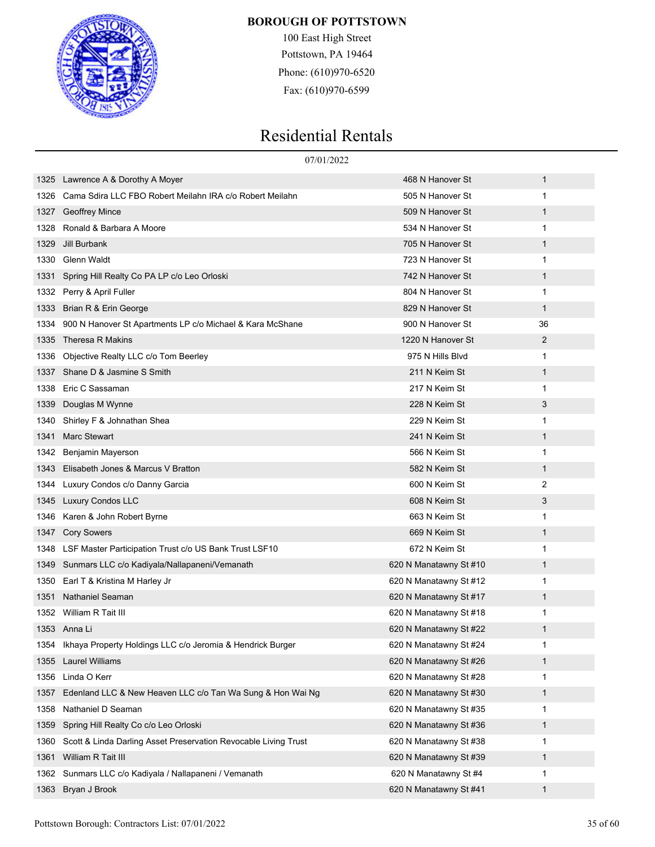

100 East High Street Pottstown, PA 19464 Phone: (610)970-6520 Fax: (610)970-6599

|      |                                                                 | 07/01/2022             |              |
|------|-----------------------------------------------------------------|------------------------|--------------|
| 1325 | Lawrence A & Dorothy A Moyer                                    | 468 N Hanover St       | 1            |
| 1326 | Cama Sdira LLC FBO Robert Meilahn IRA c/o Robert Meilahn        | 505 N Hanover St       | $\mathbf{1}$ |
| 1327 | Geoffrey Mince                                                  | 509 N Hanover St       | 1            |
| 1328 | Ronald & Barbara A Moore                                        | 534 N Hanover St       | 1            |
| 1329 | Jill Burbank                                                    | 705 N Hanover St       | 1            |
| 1330 | Glenn Waldt                                                     | 723 N Hanover St       | $\mathbf{1}$ |
| 1331 | Spring Hill Realty Co PA LP c/o Leo Orloski                     | 742 N Hanover St       | 1            |
| 1332 | Perry & April Fuller                                            | 804 N Hanover St       | $\mathbf{1}$ |
| 1333 | Brian R & Erin George                                           | 829 N Hanover St       | 1            |
| 1334 | 900 N Hanover St Apartments LP c/o Michael & Kara McShane       | 900 N Hanover St       | 36           |
| 1335 | Theresa R Makins                                                | 1220 N Hanover St      | 2            |
| 1336 | Objective Realty LLC c/o Tom Beerley                            | 975 N Hills Blvd       | $\mathbf{1}$ |
| 1337 | Shane D & Jasmine S Smith                                       | 211 N Keim St          | 1            |
| 1338 | Eric C Sassaman                                                 | 217 N Keim St          | $\mathbf{1}$ |
| 1339 | Douglas M Wynne                                                 | 228 N Keim St          | 3            |
| 1340 | Shirley F & Johnathan Shea                                      | 229 N Keim St          | 1            |
| 1341 | <b>Marc Stewart</b>                                             | 241 N Keim St          | 1            |
| 1342 | Benjamin Mayerson                                               | 566 N Keim St          | $\mathbf{1}$ |
| 1343 | Elisabeth Jones & Marcus V Bratton                              | 582 N Keim St          | 1            |
| 1344 | Luxury Condos c/o Danny Garcia                                  | 600 N Keim St          | 2            |
| 1345 | <b>Luxury Condos LLC</b>                                        | 608 N Keim St          | 3            |
| 1346 | Karen & John Robert Byrne                                       | 663 N Keim St          | $\mathbf{1}$ |
| 1347 | <b>Cory Sowers</b>                                              | 669 N Keim St          | 1            |
| 1348 | LSF Master Participation Trust c/o US Bank Trust LSF10          | 672 N Keim St          | 1            |
| 1349 | Sunmars LLC c/o Kadiyala/Nallapaneni/Vemanath                   | 620 N Manatawny St #10 | 1            |
| 1350 | Earl T & Kristina M Harley Jr                                   | 620 N Manatawny St #12 | 1            |
| 1351 | Nathaniel Seaman                                                | 620 N Manatawny St #17 | 1            |
|      | 1352 William R Tait III                                         | 620 N Manatawny St #18 | 1            |
|      | 1353 Anna Li                                                    | 620 N Manatawny St #22 |              |
|      | 1354 Ikhaya Property Holdings LLC c/o Jeromia & Hendrick Burger | 620 N Manatawny St #24 | 1            |
| 1355 | <b>Laurel Williams</b>                                          | 620 N Manatawny St #26 | 1            |
| 1356 | Linda O Kerr                                                    | 620 N Manatawny St #28 | 1            |
| 1357 | Edenland LLC & New Heaven LLC c/o Tan Wa Sung & Hon Wai Ng      | 620 N Manatawny St #30 | $\mathbf{1}$ |
| 1358 | Nathaniel D Seaman                                              | 620 N Manatawny St #35 | 1            |
| 1359 | Spring Hill Realty Co c/o Leo Orloski                           | 620 N Manatawny St #36 | 1            |
| 1360 | Scott & Linda Darling Asset Preservation Revocable Living Trust | 620 N Manatawny St #38 | 1            |
| 1361 | William R Tait III                                              | 620 N Manatawny St #39 | $\mathbf{1}$ |
| 1362 | Sunmars LLC c/o Kadiyala / Nallapaneni / Vemanath               | 620 N Manatawny St #4  | 1            |
| 1363 | Bryan J Brook                                                   | 620 N Manatawny St #41 | 1            |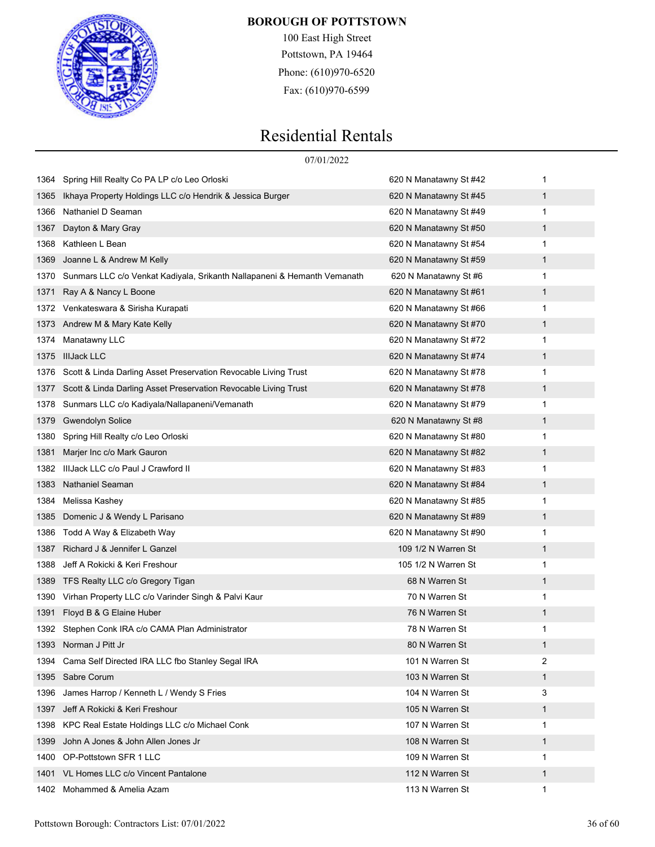

100 East High Street Pottstown, PA 19464 Phone: (610)970-6520 Fax: (610)970-6599

# Residential Rentals

|      | 07/01/2022                                                               |                        |             |
|------|--------------------------------------------------------------------------|------------------------|-------------|
|      | 1364 Spring Hill Realty Co PA LP c/o Leo Orloski                         | 620 N Manatawny St #42 | 1           |
| 1365 | Ikhaya Property Holdings LLC c/o Hendrik & Jessica Burger                | 620 N Manatawny St #45 | $\mathbf 1$ |
| 1366 | Nathaniel D Seaman                                                       | 620 N Manatawny St #49 | 1           |
| 1367 | Dayton & Mary Gray                                                       | 620 N Manatawny St #50 | 1           |
| 1368 | Kathleen L Bean                                                          | 620 N Manatawny St #54 | 1           |
| 1369 | Joanne L & Andrew M Kelly                                                | 620 N Manatawny St #59 | 1           |
| 1370 | Sunmars LLC c/o Venkat Kadiyala, Srikanth Nallapaneni & Hemanth Vemanath | 620 N Manatawny St #6  | 1           |
| 1371 | Ray A & Nancy L Boone                                                    | 620 N Manatawny St #61 | 1           |
|      | 1372 Venkateswara & Sirisha Kurapati                                     | 620 N Manatawny St #66 | 1           |
| 1373 | Andrew M & Mary Kate Kelly                                               | 620 N Manatawny St #70 | 1           |
| 1374 | Manatawny LLC                                                            | 620 N Manatawny St #72 | 1           |
| 1375 | <b>IIIJack LLC</b>                                                       | 620 N Manatawny St #74 | 1           |
| 1376 | Scott & Linda Darling Asset Preservation Revocable Living Trust          | 620 N Manatawny St #78 | 1           |
| 1377 | Scott & Linda Darling Asset Preservation Revocable Living Trust          | 620 N Manatawny St #78 | 1           |
| 1378 | Sunmars LLC c/o Kadiyala/Nallapaneni/Vemanath                            | 620 N Manatawny St #79 | 1           |
| 1379 | <b>Gwendolyn Solice</b>                                                  | 620 N Manatawny St #8  | 1           |
| 1380 | Spring Hill Realty c/o Leo Orloski                                       | 620 N Manatawny St #80 | 1           |
| 1381 | Marjer Inc c/o Mark Gauron                                               | 620 N Manatawny St #82 | 1           |
| 1382 | IIIJack LLC c/o Paul J Crawford II                                       | 620 N Manatawny St #83 | 1           |
| 1383 | Nathaniel Seaman                                                         | 620 N Manatawny St #84 | 1           |
| 1384 | Melissa Kashey                                                           | 620 N Manatawny St #85 | 1           |
| 1385 | Domenic J & Wendy L Parisano                                             | 620 N Manatawny St #89 | 1           |
| 1386 | Todd A Way & Elizabeth Way                                               | 620 N Manatawny St #90 | 1           |
| 1387 | Richard J & Jennifer L Ganzel                                            | 109 1/2 N Warren St    | 1           |
| 1388 | Jeff A Rokicki & Keri Freshour                                           | 105 1/2 N Warren St    | 1           |
| 1389 | TFS Realty LLC c/o Gregory Tigan                                         | 68 N Warren St         | 1           |
| 1390 | Virhan Property LLC c/o Varinder Singh & Palvi Kaur                      | 70 N Warren St         | 1           |
| 1391 | Floyd B & G Elaine Huber                                                 | 76 N Warren St         | 1           |
|      | 1392 Stephen Conk IRA c/o CAMA Plan Administrator                        | 78 N Warren St         | 1           |
|      | 1393 Norman J Pitt Jr                                                    | 80 N Warren St         | 1           |
| 1394 | Cama Self Directed IRA LLC fbo Stanley Segal IRA                         | 101 N Warren St        | 2           |
| 1395 | Sabre Corum                                                              | 103 N Warren St        | 1           |
| 1396 | James Harrop / Kenneth L / Wendy S Fries                                 | 104 N Warren St        | 3           |
| 1397 | Jeff A Rokicki & Keri Freshour                                           | 105 N Warren St        | 1           |
| 1398 | KPC Real Estate Holdings LLC c/o Michael Conk                            | 107 N Warren St        | 1           |
| 1399 | John A Jones & John Allen Jones Jr                                       | 108 N Warren St        | $\mathbf 1$ |
| 1400 | OP-Pottstown SFR 1 LLC                                                   | 109 N Warren St        | 1           |
|      | 1401 VL Homes LLC c/o Vincent Pantalone                                  | 112 N Warren St        | 1           |

1402 Mohammed & Amelia Azam 113 N Warren St 113 N Warren St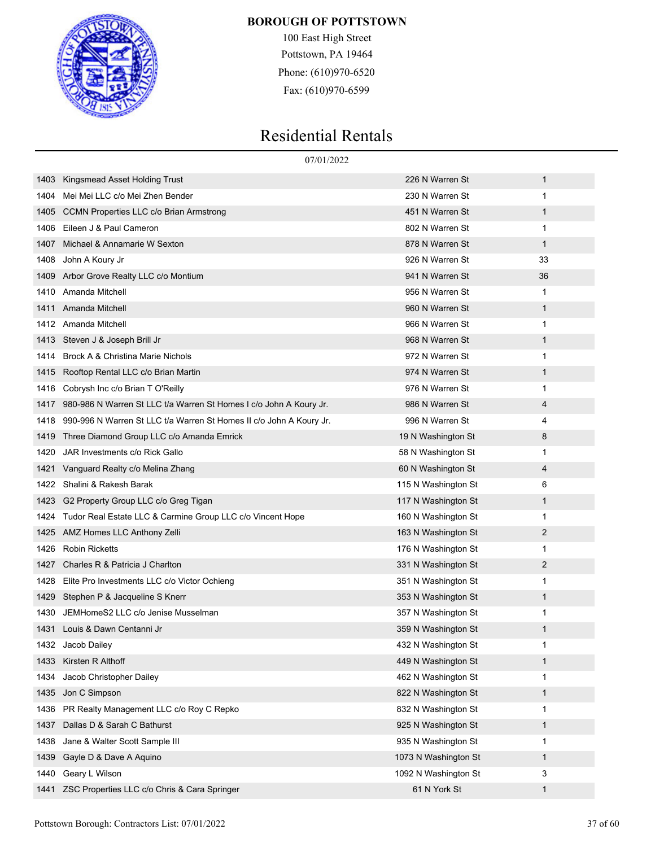

100 East High Street Pottstown, PA 19464 Phone: (610)970-6520 Fax: (610)970-6599

|      | 07/01/2022                                                          |                      |              |  |
|------|---------------------------------------------------------------------|----------------------|--------------|--|
| 1403 | Kingsmead Asset Holding Trust                                       | 226 N Warren St      | $\mathbf{1}$ |  |
| 1404 | Mei Mei LLC c/o Mei Zhen Bender                                     | 230 N Warren St      | 1            |  |
| 1405 | <b>CCMN Properties LLC c/o Brian Armstrong</b>                      | 451 N Warren St      | 1            |  |
| 1406 | Eileen J & Paul Cameron                                             | 802 N Warren St      | 1            |  |
| 1407 | Michael & Annamarie W Sexton                                        | 878 N Warren St      | $\mathbf 1$  |  |
| 1408 | John A Koury Jr                                                     | 926 N Warren St      | 33           |  |
| 1409 | Arbor Grove Realty LLC c/o Montium                                  | 941 N Warren St      | 36           |  |
| 1410 | Amanda Mitchell                                                     | 956 N Warren St      | 1            |  |
| 1411 | Amanda Mitchell                                                     | 960 N Warren St      | $\mathbf 1$  |  |
|      | 1412 Amanda Mitchell                                                | 966 N Warren St      | 1            |  |
| 1413 | Steven J & Joseph Brill Jr                                          | 968 N Warren St      | $\mathbf{1}$ |  |
| 1414 | Brock A & Christina Marie Nichols                                   | 972 N Warren St      | 1            |  |
| 1415 | Rooftop Rental LLC c/o Brian Martin                                 | 974 N Warren St      | 1            |  |
| 1416 | Cobrysh Inc c/o Brian T O'Reilly                                    | 976 N Warren St      | 1            |  |
| 1417 | 980-986 N Warren St LLC t/a Warren St Homes I c/o John A Koury Jr.  | 986 N Warren St      | 4            |  |
| 1418 | 990-996 N Warren St LLC t/a Warren St Homes II c/o John A Koury Jr. | 996 N Warren St      | 4            |  |
| 1419 | Three Diamond Group LLC c/o Amanda Emrick                           | 19 N Washington St   | 8            |  |
| 1420 | JAR Investments c/o Rick Gallo                                      | 58 N Washington St   | 1            |  |
| 1421 | Vanguard Realty c/o Melina Zhang                                    | 60 N Washington St   | 4            |  |
| 1422 | Shalini & Rakesh Barak                                              | 115 N Washington St  | 6            |  |
| 1423 | G2 Property Group LLC c/o Greg Tigan                                | 117 N Washington St  | 1            |  |
| 1424 | Tudor Real Estate LLC & Carmine Group LLC c/o Vincent Hope          | 160 N Washington St  | 1            |  |
| 1425 | AMZ Homes LLC Anthony Zelli                                         | 163 N Washington St  | 2            |  |
| 1426 | <b>Robin Ricketts</b>                                               | 176 N Washington St  | 1            |  |
| 1427 | Charles R & Patricia J Charlton                                     | 331 N Washington St  | 2            |  |
| 1428 | Elite Pro Investments LLC c/o Victor Ochieng                        | 351 N Washington St  | 1            |  |
| 1429 | Stephen P & Jacqueline S Knerr                                      | 353 N Washington St  | 1            |  |
| 1430 | JEMHomeS2 LLC c/o Jenise Musselman                                  | 357 N Washington St  | 1            |  |
|      | 1431 Louis & Dawn Centanni Jr                                       | 359 N Washington St  |              |  |
|      | 1432 Jacob Dailey                                                   | 432 N Washington St  | 1            |  |
| 1433 | Kirsten R Althoff                                                   | 449 N Washington St  | $\mathbf{1}$ |  |
| 1434 | Jacob Christopher Dailey                                            | 462 N Washington St  | 1            |  |
| 1435 | Jon C Simpson                                                       | 822 N Washington St  | $\mathbf{1}$ |  |
| 1436 | PR Realty Management LLC c/o Roy C Repko                            | 832 N Washington St  | 1            |  |
| 1437 | Dallas D & Sarah C Bathurst                                         | 925 N Washington St  | $\mathbf{1}$ |  |
| 1438 | Jane & Walter Scott Sample III                                      | 935 N Washington St  | 1            |  |
| 1439 | Gayle D & Dave A Aquino                                             | 1073 N Washington St | 1            |  |
| 1440 | Geary L Wilson                                                      | 1092 N Washington St | 3            |  |
| 1441 | ZSC Properties LLC c/o Chris & Cara Springer                        | 61 N York St         | $\mathbf{1}$ |  |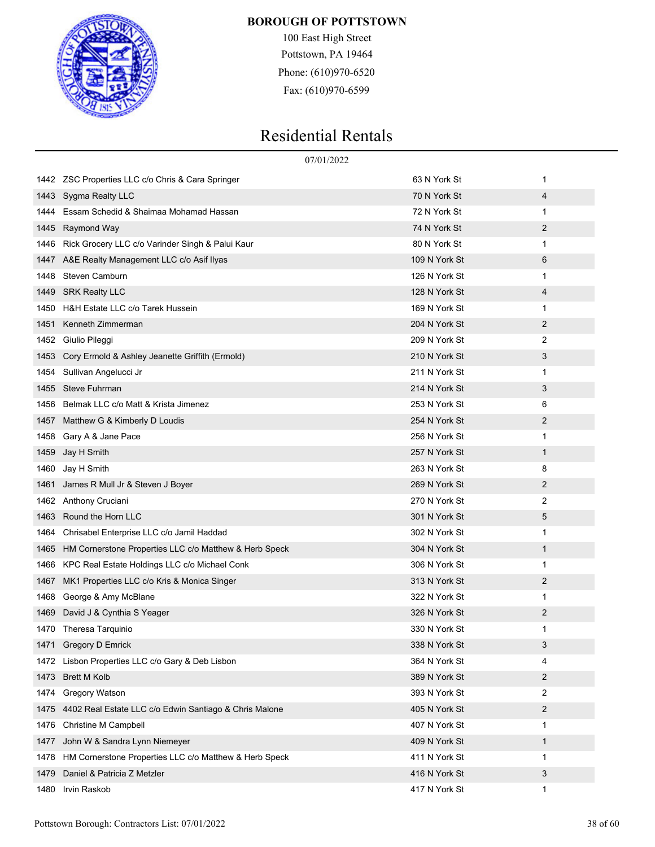

100 East High Street Pottstown, PA 19464 Phone: (610)970-6520 Fax: (610)970-6599

|      |                                                             | 07/01/2022    |              |
|------|-------------------------------------------------------------|---------------|--------------|
| 1442 | ZSC Properties LLC c/o Chris & Cara Springer                | 63 N York St  | 1            |
| 1443 | Sygma Realty LLC                                            | 70 N York St  | 4            |
| 1444 | Essam Schedid & Shaimaa Mohamad Hassan                      | 72 N York St  | 1            |
| 1445 | Raymond Way                                                 | 74 N York St  | 2            |
| 1446 | Rick Grocery LLC c/o Varinder Singh & Palui Kaur            | 80 N York St  | 1            |
| 1447 | A&E Realty Management LLC c/o Asif Ilyas                    | 109 N York St | 6            |
| 1448 | Steven Camburn                                              | 126 N York St | 1            |
| 1449 | <b>SRK Realty LLC</b>                                       | 128 N York St | 4            |
| 1450 | H&H Estate LLC c/o Tarek Hussein                            | 169 N York St | 1            |
| 1451 | Kenneth Zimmerman                                           | 204 N York St | 2            |
| 1452 | Giulio Pileggi                                              | 209 N York St | 2            |
| 1453 | Cory Ermold & Ashley Jeanette Griffith (Ermold)             | 210 N York St | 3            |
| 1454 | Sullivan Angelucci Jr                                       | 211 N York St | 1            |
| 1455 | <b>Steve Fuhrman</b>                                        | 214 N York St | 3            |
| 1456 | Belmak LLC c/o Matt & Krista Jimenez                        | 253 N York St | 6            |
| 1457 | Matthew G & Kimberly D Loudis                               | 254 N York St | 2            |
| 1458 | Gary A & Jane Pace                                          | 256 N York St | 1            |
| 1459 | Jay H Smith                                                 | 257 N York St | $\mathbf{1}$ |
| 1460 | Jay H Smith                                                 | 263 N York St | 8            |
| 1461 | James R Mull Jr & Steven J Boyer                            | 269 N York St | 2            |
| 1462 | Anthony Cruciani                                            | 270 N York St | 2            |
| 1463 | Round the Horn LLC                                          | 301 N York St | 5            |
| 1464 | Chrisabel Enterprise LLC c/o Jamil Haddad                   | 302 N York St | 1            |
| 1465 | HM Cornerstone Properties LLC c/o Matthew & Herb Speck      | 304 N York St | $\mathbf{1}$ |
| 1466 | KPC Real Estate Holdings LLC c/o Michael Conk               | 306 N York St | 1            |
| 1467 | MK1 Properties LLC c/o Kris & Monica Singer                 | 313 N York St | 2            |
| 1468 | George & Amy McBlane                                        | 322 N York St | 1            |
| 1469 | David J & Cynthia S Yeager                                  | 326 N York St | 2            |
|      | 1470 Theresa Tarquinio                                      | 330 N York St | 1            |
|      | 1471 Gregory D Emrick                                       | 338 N York St | 3            |
| 1472 | Lisbon Properties LLC c/o Gary & Deb Lisbon                 | 364 N York St | 4            |
| 1473 | <b>Brett M Kolb</b>                                         | 389 N York St | 2            |
| 1474 | Gregory Watson                                              | 393 N York St | 2            |
|      | 1475 4402 Real Estate LLC c/o Edwin Santiago & Chris Malone | 405 N York St | 2            |
| 1476 | <b>Christine M Campbell</b>                                 | 407 N York St | 1            |
| 1477 | John W & Sandra Lynn Niemeyer                               | 409 N York St | $\mathbf{1}$ |
| 1478 | HM Cornerstone Properties LLC c/o Matthew & Herb Speck      | 411 N York St | 1            |
| 1479 | Daniel & Patricia Z Metzler                                 | 416 N York St | 3            |
| 1480 | Irvin Raskob                                                | 417 N York St | $\mathbf{1}$ |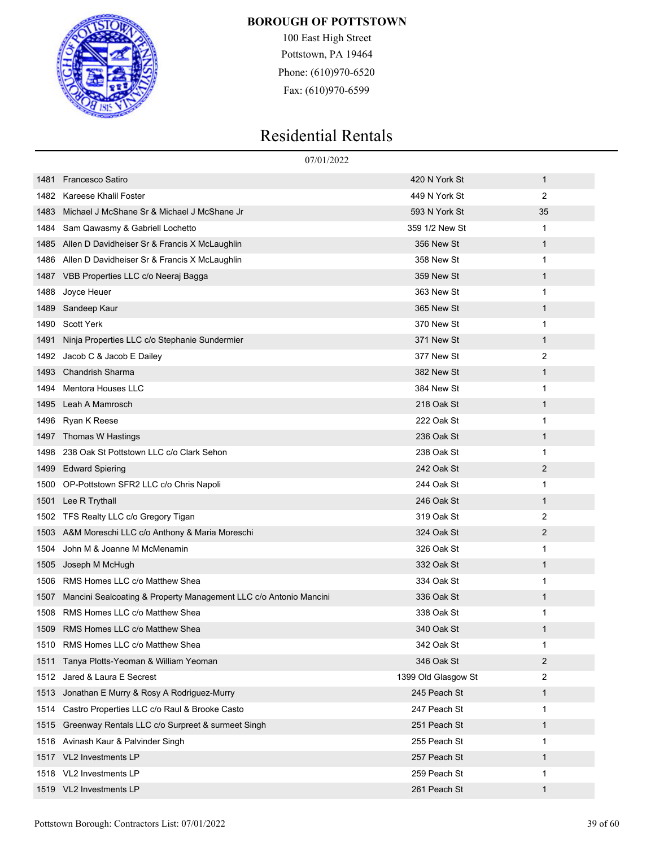

100 East High Street Pottstown, PA 19464 Phone: (610)970-6520 Fax: (610)970-6599

|      | 07/01/2022                                                        |                     |                |  |
|------|-------------------------------------------------------------------|---------------------|----------------|--|
| 1481 | <b>Francesco Satiro</b>                                           | 420 N York St       | $\mathbf{1}$   |  |
| 1482 | Kareese Khalil Foster                                             | 449 N York St       | 2              |  |
| 1483 | Michael J McShane Sr & Michael J McShane Jr                       | 593 N York St       | 35             |  |
| 1484 | Sam Qawasmy & Gabriell Lochetto                                   | 359 1/2 New St      | 1              |  |
| 1485 | Allen D Davidheiser Sr & Francis X McLaughlin                     | 356 New St          | $\mathbf{1}$   |  |
| 1486 | Allen D Davidheiser Sr & Francis X McLaughlin                     | 358 New St          | 1              |  |
| 1487 | VBB Properties LLC c/o Neeraj Bagga                               | 359 New St          | $\mathbf{1}$   |  |
| 1488 | Joyce Heuer                                                       | 363 New St          | 1              |  |
| 1489 | Sandeep Kaur                                                      | 365 New St          | $\mathbf{1}$   |  |
| 1490 | <b>Scott Yerk</b>                                                 | 370 New St          | 1              |  |
| 1491 | Ninja Properties LLC c/o Stephanie Sundermier                     | 371 New St          | $\mathbf{1}$   |  |
| 1492 | Jacob C & Jacob E Dailey                                          | 377 New St          | 2              |  |
| 1493 | <b>Chandrish Sharma</b>                                           | 382 New St          | $\mathbf{1}$   |  |
| 1494 | Mentora Houses LLC                                                | 384 New St          | 1              |  |
| 1495 | Leah A Mamrosch                                                   | 218 Oak St          | $\mathbf{1}$   |  |
| 1496 | Ryan K Reese                                                      | 222 Oak St          | 1              |  |
| 1497 | Thomas W Hastings                                                 | 236 Oak St          | $\mathbf{1}$   |  |
| 1498 | 238 Oak St Pottstown LLC c/o Clark Sehon                          | 238 Oak St          | 1              |  |
| 1499 | <b>Edward Spiering</b>                                            | 242 Oak St          | 2              |  |
| 1500 | OP-Pottstown SFR2 LLC c/o Chris Napoli                            | 244 Oak St          | 1              |  |
| 1501 | Lee R Trythall                                                    | 246 Oak St          | $\mathbf{1}$   |  |
| 1502 | TFS Realty LLC c/o Gregory Tigan                                  | 319 Oak St          | 2              |  |
| 1503 | A&M Moreschi LLC c/o Anthony & Maria Moreschi                     | 324 Oak St          | 2              |  |
| 1504 | John M & Joanne M McMenamin                                       | 326 Oak St          | 1              |  |
| 1505 | Joseph M McHugh                                                   | 332 Oak St          | $\mathbf{1}$   |  |
| 1506 | RMS Homes LLC c/o Matthew Shea                                    | 334 Oak St          | 1              |  |
| 1507 | Mancini Sealcoating & Property Management LLC c/o Antonio Mancini | 336 Oak St          | $\mathbf 1$    |  |
| 1508 | RMS Homes LLC c/o Matthew Shea                                    | 338 Oak St          | 1              |  |
|      | 1509 RMS Homes LLC c/o Matthew Shea                               | 340 Oak St          | 1              |  |
| 1510 | RMS Homes LLC c/o Matthew Shea                                    | 342 Oak St          | 1              |  |
| 1511 | Tanya Plotts-Yeoman & William Yeoman                              | 346 Oak St          | $\overline{2}$ |  |
| 1512 | Jared & Laura E Secrest                                           | 1399 Old Glasgow St | 2              |  |
| 1513 | Jonathan E Murry & Rosy A Rodriguez-Murry                         | 245 Peach St        | $\mathbf{1}$   |  |
| 1514 | Castro Properties LLC c/o Raul & Brooke Casto                     | 247 Peach St        | 1              |  |
| 1515 | Greenway Rentals LLC c/o Surpreet & surmeet Singh                 | 251 Peach St        | $\mathbf{1}$   |  |
| 1516 | Avinash Kaur & Palvinder Singh                                    | 255 Peach St        | 1              |  |
| 1517 | VL2 Investments LP                                                | 257 Peach St        | $\mathbf{1}$   |  |
| 1518 | VL2 Investments LP                                                | 259 Peach St        | 1              |  |
| 1519 | VL2 Investments LP                                                | 261 Peach St        | $\mathbf{1}$   |  |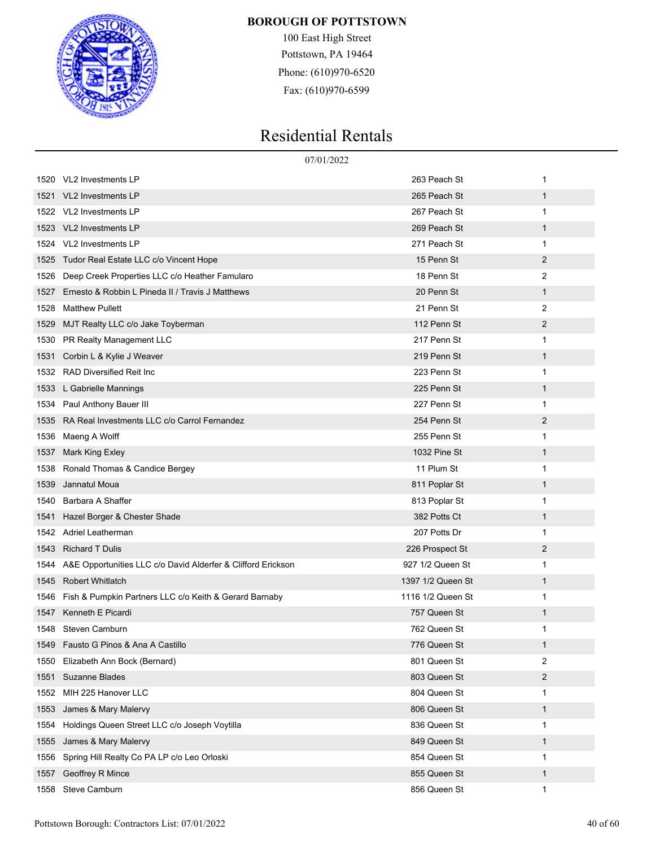

100 East High Street Pottstown, PA 19464 Phone: (610)970-6520 Fax: (610)970-6599

|      |                                                              | 07/01/2022        |              |
|------|--------------------------------------------------------------|-------------------|--------------|
|      | 1520 VL2 Investments LP                                      | 263 Peach St      | 1            |
| 1521 | VL2 Investments LP                                           | 265 Peach St      | 1            |
|      | 1522 VL2 Investments LP                                      | 267 Peach St      | 1            |
| 1523 | VL2 Investments LP                                           | 269 Peach St      | $\mathbf{1}$ |
| 1524 | VL2 Investments LP                                           | 271 Peach St      | 1            |
| 1525 | Tudor Real Estate LLC c/o Vincent Hope                       | 15 Penn St        | 2            |
| 1526 | Deep Creek Properties LLC c/o Heather Famularo               | 18 Penn St        | 2            |
| 1527 | Ernesto & Robbin L Pineda II / Travis J Matthews             | 20 Penn St        | $\mathbf{1}$ |
| 1528 | <b>Matthew Pullett</b>                                       | 21 Penn St        | 2            |
| 1529 | MJT Realty LLC c/o Jake Toyberman                            | 112 Penn St       | 2            |
| 1530 | PR Realty Management LLC                                     | 217 Penn St       | 1            |
| 1531 | Corbin L & Kylie J Weaver                                    | 219 Penn St       | $\mathbf{1}$ |
| 1532 | RAD Diversified Reit Inc                                     | 223 Penn St       | 1            |
| 1533 | L Gabrielle Mannings                                         | 225 Penn St       | $\mathbf{1}$ |
| 1534 | Paul Anthony Bauer III                                       | 227 Penn St       | 1            |
| 1535 | RA Real Investments LLC c/o Carrol Fernandez                 | 254 Penn St       | 2            |
| 1536 | Maeng A Wolff                                                | 255 Penn St       | 1            |
| 1537 | Mark King Exley                                              | 1032 Pine St      | 1            |
| 1538 | Ronald Thomas & Candice Bergey                               | 11 Plum St        | 1            |
| 1539 | Jannatul Moua                                                | 811 Poplar St     | $\mathbf{1}$ |
| 1540 | Barbara A Shaffer                                            | 813 Poplar St     | 1            |
| 1541 | Hazel Borger & Chester Shade                                 | 382 Potts Ct      | 1            |
| 1542 | Adriel Leatherman                                            | 207 Potts Dr      | 1            |
| 1543 | <b>Richard T Dulis</b>                                       | 226 Prospect St   | 2            |
| 1544 | A&E Opportunities LLC c/o David Alderfer & Clifford Erickson | 927 1/2 Queen St  | 1            |
| 1545 | <b>Robert Whitlatch</b>                                      | 1397 1/2 Queen St | 1            |
| 1546 | Fish & Pumpkin Partners LLC c/o Keith & Gerard Barnaby       | 1116 1/2 Queen St | 1            |
| 1547 | Kenneth E Picardi                                            | 757 Queen St      | 1            |
| 1548 | Steven Camburn                                               | 762 Queen St      | 1            |
| 1549 | Fausto G Pinos & Ana A Castillo                              | 776 Queen St      | 1            |
| 1550 | Elizabeth Ann Bock (Bernard)                                 | 801 Queen St      | 2            |
| 1551 | Suzanne Blades                                               | 803 Queen St      | 2            |
| 1552 | MIH 225 Hanover LLC                                          | 804 Queen St      | 1            |
| 1553 | James & Mary Malervy                                         | 806 Queen St      | 1            |
| 1554 | Holdings Queen Street LLC c/o Joseph Voytilla                | 836 Queen St      | 1            |
| 1555 | James & Mary Malervy                                         | 849 Queen St      | 1            |
| 1556 | Spring Hill Realty Co PA LP c/o Leo Orloski                  | 854 Queen St      | 1            |
| 1557 | Geoffrey R Mince                                             | 855 Queen St      | 1            |
| 1558 | Steve Camburn                                                | 856 Queen St      | 1            |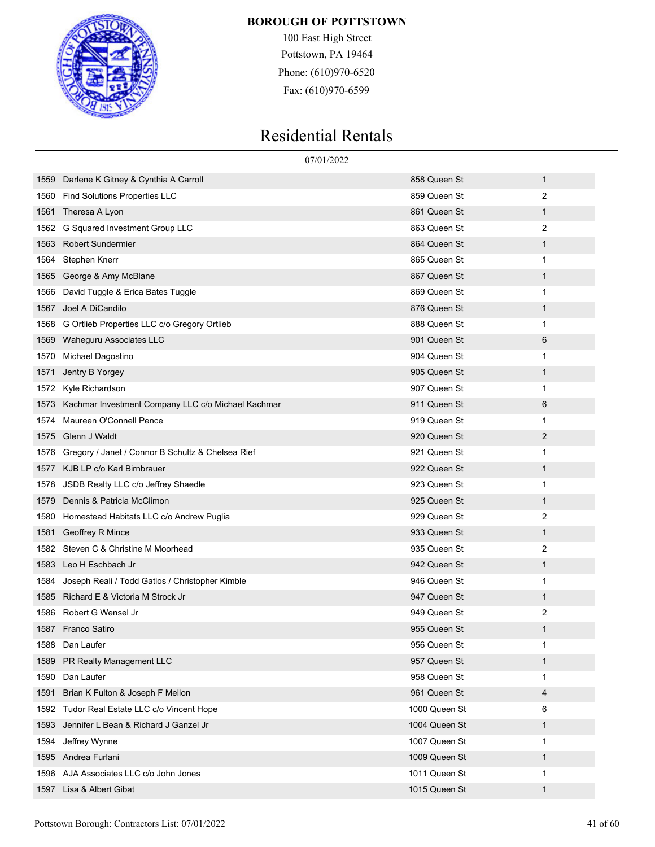

100 East High Street Pottstown, PA 19464 Phone: (610)970-6520 Fax: (610)970-6599

|      |                                                    | 07/01/2022    |             |
|------|----------------------------------------------------|---------------|-------------|
| 1559 | Darlene K Gitney & Cynthia A Carroll               | 858 Queen St  | 1           |
| 1560 | <b>Find Solutions Properties LLC</b>               | 859 Queen St  | 2           |
| 1561 | Theresa A Lyon                                     | 861 Queen St  | $\mathbf 1$ |
| 1562 | G Squared Investment Group LLC                     | 863 Queen St  | 2           |
| 1563 | <b>Robert Sundermier</b>                           | 864 Queen St  | 1           |
| 1564 | Stephen Knerr                                      | 865 Queen St  | 1           |
| 1565 | George & Amy McBlane                               | 867 Queen St  | 1           |
| 1566 | David Tuggle & Erica Bates Tuggle                  | 869 Queen St  | 1           |
| 1567 | Joel A DiCandilo                                   | 876 Queen St  | 1           |
| 1568 | G Ortlieb Properties LLC c/o Gregory Ortlieb       | 888 Queen St  | 1           |
| 1569 | Waheguru Associates LLC                            | 901 Queen St  | 6           |
| 1570 | Michael Dagostino                                  | 904 Queen St  | 1           |
| 1571 | Jentry B Yorgey                                    | 905 Queen St  | 1           |
| 1572 | Kyle Richardson                                    | 907 Queen St  | 1           |
| 1573 | Kachmar Investment Company LLC c/o Michael Kachmar | 911 Queen St  | 6           |
| 1574 | Maureen O'Connell Pence                            | 919 Queen St  | 1           |
| 1575 | Glenn J Waldt                                      | 920 Queen St  | 2           |
| 1576 | Gregory / Janet / Connor B Schultz & Chelsea Rief  | 921 Queen St  | 1           |
| 1577 | KJB LP c/o Karl Birnbrauer                         | 922 Queen St  | 1           |
| 1578 | JSDB Realty LLC c/o Jeffrey Shaedle                | 923 Queen St  | 1           |
| 1579 | Dennis & Patricia McClimon                         | 925 Queen St  | 1           |
| 1580 | Homestead Habitats LLC c/o Andrew Puglia           | 929 Queen St  | 2           |
| 1581 | Geoffrey R Mince                                   | 933 Queen St  | $\mathbf 1$ |
| 1582 | Steven C & Christine M Moorhead                    | 935 Queen St  | 2           |
| 1583 | Leo H Eschbach Jr                                  | 942 Queen St  | 1           |
| 1584 | Joseph Reali / Todd Gatlos / Christopher Kimble    | 946 Queen St  | 1           |
| 1585 | Richard E & Victoria M Strock Jr                   | 947 Queen St  | 1           |
| 1586 | Robert G Wensel Jr                                 | 949 Queen St  | 2           |
| 1587 | Franco Satiro                                      | 955 Queen St  | 1           |
| 1588 | Dan Laufer                                         | 956 Queen St  | 1           |
| 1589 | PR Realty Management LLC                           | 957 Queen St  | 1           |
| 1590 | Dan Laufer                                         | 958 Queen St  | 1           |
| 1591 | Brian K Fulton & Joseph F Mellon                   | 961 Queen St  | 4           |
| 1592 | Tudor Real Estate LLC c/o Vincent Hope             | 1000 Queen St | 6           |
| 1593 | Jennifer L Bean & Richard J Ganzel Jr              | 1004 Queen St | 1           |
| 1594 | Jeffrey Wynne                                      | 1007 Queen St | 1           |
| 1595 | Andrea Furlani                                     | 1009 Queen St | 1           |
| 1596 | AJA Associates LLC c/o John Jones                  | 1011 Queen St | 1           |
| 1597 | Lisa & Albert Gibat                                | 1015 Queen St | 1           |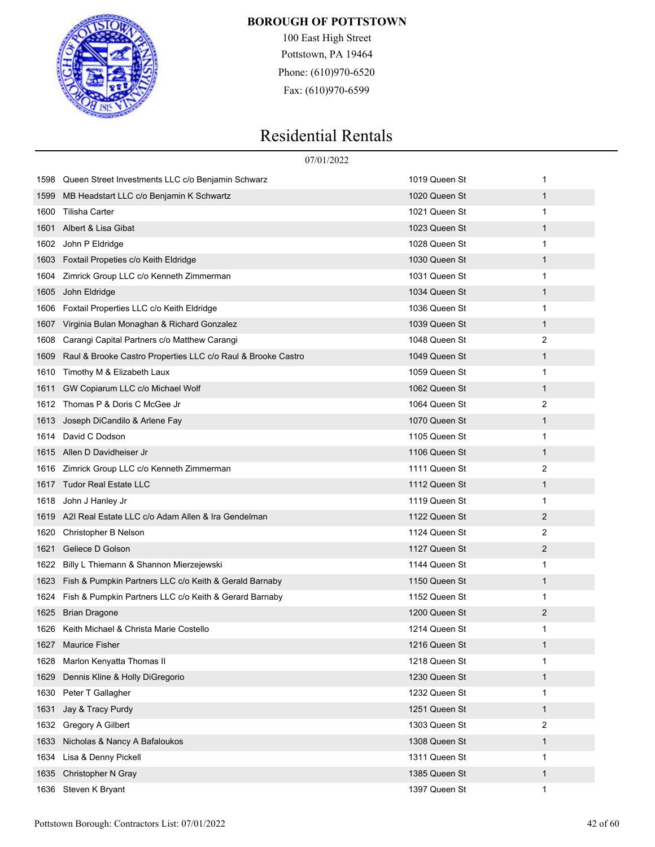

100 East High Street Pottstown, PA 19464 Phone: (610)970-6520 Fax: (610)970-6599

|      | 07/01/2022                                                   |               |                |
|------|--------------------------------------------------------------|---------------|----------------|
| 1598 | Queen Street Investments LLC c/o Benjamin Schwarz            | 1019 Queen St | 1              |
| 1599 | MB Headstart LLC c/o Benjamin K Schwartz                     | 1020 Queen St | $\mathbf{1}$   |
| 1600 | Tilisha Carter                                               | 1021 Queen St | 1              |
| 1601 | Albert & Lisa Gibat                                          | 1023 Queen St | 1              |
| 1602 | John P Eldridge                                              | 1028 Queen St | 1              |
| 1603 | Foxtail Propeties c/o Keith Eldridge                         | 1030 Queen St | $\mathbf 1$    |
| 1604 | Zimrick Group LLC c/o Kenneth Zimmerman                      | 1031 Queen St | 1              |
| 1605 | John Eldridge                                                | 1034 Queen St | 1              |
| 1606 | Foxtail Properties LLC c/o Keith Eldridge                    | 1036 Queen St | 1              |
| 1607 | Virginia Bulan Monaghan & Richard Gonzalez                   | 1039 Queen St | $\mathbf{1}$   |
| 1608 | Carangi Capital Partners c/o Matthew Carangi                 | 1048 Queen St | 2              |
| 1609 | Raul & Brooke Castro Properties LLC c/o Raul & Brooke Castro | 1049 Queen St | 1              |
| 1610 | Timothy M & Elizabeth Laux                                   | 1059 Queen St | 1              |
| 1611 | GW Copiarum LLC c/o Michael Wolf                             | 1062 Queen St | $\mathbf{1}$   |
| 1612 | Thomas P & Doris C McGee Jr                                  | 1064 Queen St | 2              |
| 1613 | Joseph DiCandilo & Arlene Fay                                | 1070 Queen St | 1              |
| 1614 | David C Dodson                                               | 1105 Queen St | 1              |
| 1615 | Allen D Davidheiser Jr                                       | 1106 Queen St | $\mathbf{1}$   |
| 1616 | Zimrick Group LLC c/o Kenneth Zimmerman                      | 1111 Queen St | 2              |
| 1617 | <b>Tudor Real Estate LLC</b>                                 | 1112 Queen St | 1              |
| 1618 | John J Hanley Jr                                             | 1119 Queen St | 1              |
| 1619 | A2I Real Estate LLC c/o Adam Allen & Ira Gendelman           | 1122 Queen St | $\overline{2}$ |
| 1620 | Christopher B Nelson                                         | 1124 Queen St | 2              |
| 1621 | Geliece D Golson                                             | 1127 Queen St | $\overline{2}$ |
| 1622 | Billy L Thiemann & Shannon Mierzejewski                      | 1144 Queen St | 1              |
| 1623 | Fish & Pumpkin Partners LLC c/o Keith & Gerald Barnaby       | 1150 Queen St | $\mathbf 1$    |
| 1624 | Fish & Pumpkin Partners LLC c/o Keith & Gerard Barnaby       | 1152 Queen St | 1              |
| 1625 | <b>Brian Dragone</b>                                         | 1200 Queen St | $\overline{2}$ |
| 1626 | Keith Michael & Christa Marie Costello                       | 1214 Queen St | 1              |
| 1627 | <b>Maurice Fisher</b>                                        | 1216 Queen St | 1              |
| 1628 | Marlon Kenyatta Thomas II                                    | 1218 Queen St | 1              |
| 1629 | Dennis Kline & Holly DiGregorio                              | 1230 Queen St | $\mathbf{1}$   |
| 1630 | Peter T Gallagher                                            | 1232 Queen St | 1              |
| 1631 | Jay & Tracy Purdy                                            | 1251 Queen St | $\mathbf{1}$   |
| 1632 | Gregory A Gilbert                                            | 1303 Queen St | 2              |
| 1633 | Nicholas & Nancy A Bafaloukos                                | 1308 Queen St | $\mathbf{1}$   |
| 1634 | Lisa & Denny Pickell                                         | 1311 Queen St | 1              |
| 1635 | Christopher N Gray                                           | 1385 Queen St | $\mathbf{1}$   |
| 1636 | Steven K Bryant                                              | 1397 Queen St | 1              |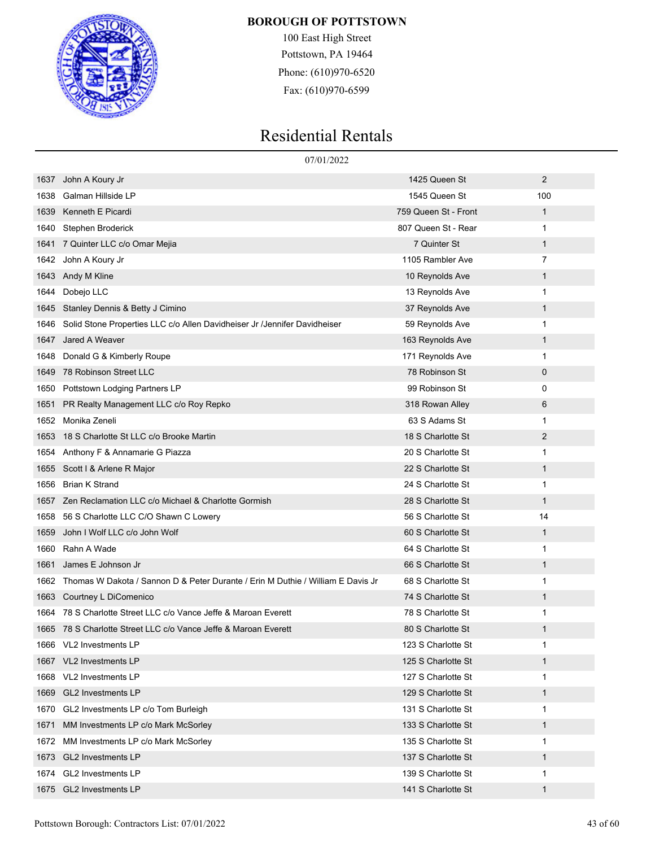

100 East High Street Pottstown, PA 19464 Phone: (610)970-6520 Fax: (610)970-6599

|      | 07/01/2022                                                                           |                      |                |
|------|--------------------------------------------------------------------------------------|----------------------|----------------|
| 1637 | John A Koury Jr                                                                      | 1425 Queen St        | 2              |
| 1638 | Galman Hillside LP                                                                   | 1545 Queen St        | 100            |
| 1639 | Kenneth E Picardi                                                                    | 759 Queen St - Front | $\mathbf 1$    |
| 1640 | Stephen Broderick                                                                    | 807 Queen St - Rear  | 1              |
| 1641 | 7 Quinter LLC c/o Omar Mejia                                                         | 7 Quinter St         | 1              |
|      | 1642 John A Koury Jr                                                                 | 1105 Rambler Ave     | $\overline{7}$ |
| 1643 | Andy M Kline                                                                         | 10 Reynolds Ave      | $\mathbf 1$    |
| 1644 | Dobejo LLC                                                                           | 13 Reynolds Ave      | 1              |
| 1645 | Stanley Dennis & Betty J Cimino                                                      | 37 Reynolds Ave      | 1              |
| 1646 | Solid Stone Properties LLC c/o Allen Davidheiser Jr /Jennifer Davidheiser            | 59 Reynolds Ave      | 1              |
| 1647 | Jared A Weaver                                                                       | 163 Reynolds Ave     | 1              |
| 1648 | Donald G & Kimberly Roupe                                                            | 171 Reynolds Ave     | 1              |
| 1649 | 78 Robinson Street LLC                                                               | 78 Robinson St       | 0              |
| 1650 | Pottstown Lodging Partners LP                                                        | 99 Robinson St       | 0              |
| 1651 | PR Realty Management LLC c/o Roy Repko                                               | 318 Rowan Alley      | 6              |
| 1652 | Monika Zeneli                                                                        | 63 S Adams St        | 1              |
| 1653 | 18 S Charlotte St LLC c/o Brooke Martin                                              | 18 S Charlotte St    | 2              |
| 1654 | Anthony F & Annamarie G Piazza                                                       | 20 S Charlotte St    | 1              |
| 1655 | Scott I & Arlene R Major                                                             | 22 S Charlotte St    | 1              |
| 1656 | <b>Brian K Strand</b>                                                                | 24 S Charlotte St    | 1              |
| 1657 | Zen Reclamation LLC c/o Michael & Charlotte Gormish                                  | 28 S Charlotte St    | 1              |
| 1658 | 56 S Charlotte LLC C/O Shawn C Lowery                                                | 56 S Charlotte St    | 14             |
| 1659 | John I Wolf LLC c/o John Wolf                                                        | 60 S Charlotte St    | 1              |
| 1660 | Rahn A Wade                                                                          | 64 S Charlotte St    | 1              |
| 1661 | James E Johnson Jr                                                                   | 66 S Charlotte St    | 1              |
|      | 1662 Thomas W Dakota / Sannon D & Peter Durante / Erin M Duthie / William E Davis Jr | 68 S Charlotte St    | 1              |
| 1663 | Courtney L DiComenico                                                                | 74 S Charlotte St    | 1              |
|      | 1664 78 S Charlotte Street LLC c/o Vance Jeffe & Maroan Everett                      | 78 S Charlotte St    | 1              |
|      | 1665   78 S Charlotte Street LLC c/o Vance Jeffe & Maroan Everett                    | 80 S Charlotte St    | 1              |
|      | 1666 VL2 Investments LP                                                              | 123 S Charlotte St   | 1              |
| 1667 | VL2 Investments LP                                                                   | 125 S Charlotte St   | 1              |
| 1668 | VL2 Investments LP                                                                   | 127 S Charlotte St   | 1              |
| 1669 | <b>GL2 Investments LP</b>                                                            | 129 S Charlotte St   | 1              |
| 1670 | GL2 Investments LP c/o Tom Burleigh                                                  | 131 S Charlotte St   | 1              |
| 1671 | MM Investments LP c/o Mark McSorley                                                  | 133 S Charlotte St   | 1              |
| 1672 | MM Investments LP c/o Mark McSorley                                                  | 135 S Charlotte St   | 1              |
| 1673 | GL2 Investments LP                                                                   | 137 S Charlotte St   | 1              |
| 1674 | GL2 Investments LP                                                                   | 139 S Charlotte St   | 1              |
| 1675 | <b>GL2 Investments LP</b>                                                            | 141 S Charlotte St   | 1              |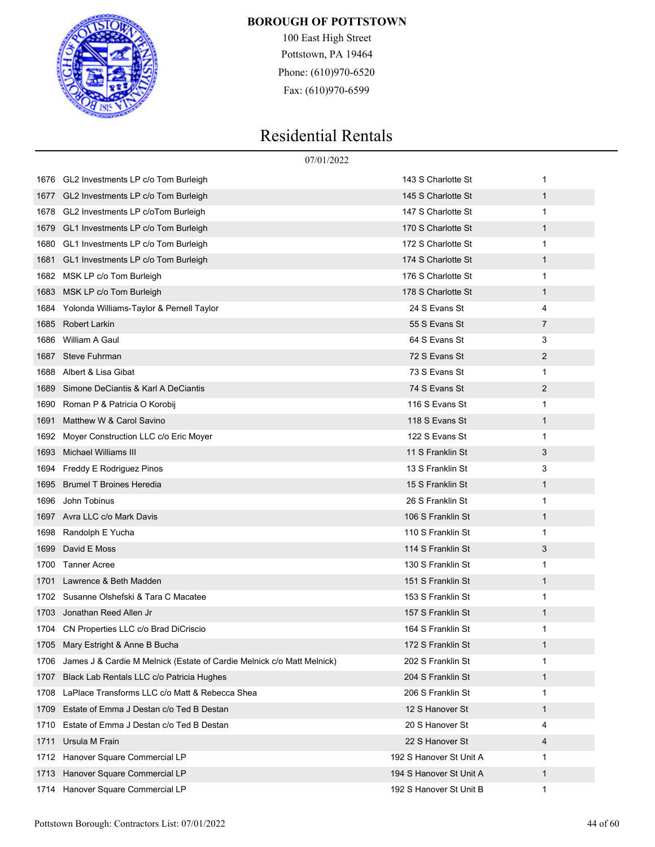

100 East High Street Pottstown, PA 19464 Phone: (610)970-6520 Fax: (610)970-6599

|      | 07/01/2022                                                             |                         |              |
|------|------------------------------------------------------------------------|-------------------------|--------------|
| 1676 | GL2 Investments LP c/o Tom Burleigh                                    | 143 S Charlotte St      | 1            |
| 1677 | GL2 Investments LP c/o Tom Burleigh                                    | 145 S Charlotte St      | 1            |
| 1678 | GL2 Investments LP c/oTom Burleigh                                     | 147 S Charlotte St      | 1            |
| 1679 | GL1 Investments LP c/o Tom Burleigh                                    | 170 S Charlotte St      | 1            |
| 1680 | GL1 Investments LP c/o Tom Burleigh                                    | 172 S Charlotte St      | 1            |
| 1681 | GL1 Investments LP c/o Tom Burleigh                                    | 174 S Charlotte St      | 1            |
| 1682 | MSK LP c/o Tom Burleigh                                                | 176 S Charlotte St      | 1            |
| 1683 | MSK LP c/o Tom Burleigh                                                | 178 S Charlotte St      | $\mathbf{1}$ |
| 1684 | Yolonda Williams-Taylor & Pernell Taylor                               | 24 S Evans St           | 4            |
| 1685 | Robert Larkin                                                          | 55 S Evans St           | 7            |
| 1686 | William A Gaul                                                         | 64 S Evans St           | 3            |
| 1687 | <b>Steve Fuhrman</b>                                                   | 72 S Evans St           | 2            |
| 1688 | Albert & Lisa Gibat                                                    | 73 S Evans St           | 1            |
| 1689 | Simone DeCiantis & Karl A DeCiantis                                    | 74 S Evans St           | 2            |
| 1690 | Roman P & Patricia O Korobij                                           | 116 S Evans St          | 1            |
| 1691 | Matthew W & Carol Savino                                               | 118 S Evans St          | $\mathbf{1}$ |
| 1692 | Moyer Construction LLC c/o Eric Moyer                                  | 122 S Evans St          | 1            |
| 1693 | Michael Williams III                                                   | 11 S Franklin St        | 3            |
| 1694 | Freddy E Rodriguez Pinos                                               | 13 S Franklin St        | 3            |
| 1695 | <b>Brumel T Broines Heredia</b>                                        | 15 S Franklin St        | $\mathbf{1}$ |
| 1696 | John Tobinus                                                           | 26 S Franklin St        | 1            |
| 1697 | Avra LLC c/o Mark Davis                                                | 106 S Franklin St       | 1            |
| 1698 | Randolph E Yucha                                                       | 110 S Franklin St       | 1            |
| 1699 | David E Moss                                                           | 114 S Franklin St       | 3            |
| 1700 | <b>Tanner Acree</b>                                                    | 130 S Franklin St       | 1            |
| 1701 | Lawrence & Beth Madden                                                 | 151 S Franklin St       | 1            |
| 1702 | Susanne Olshefski & Tara C Macatee                                     | 153 S Franklin St       | 1            |
| 1703 | Jonathan Reed Allen Jr                                                 | 157 S Franklin St       | 1            |
|      | 1704 CN Properties LLC c/o Brad DiCriscio                              | 164 S Franklin St       | 1            |
|      | 1705 Mary Estright & Anne B Bucha                                      | 172 S Franklin St       | 1            |
| 1706 | James J & Cardie M Melnick (Estate of Cardie Melnick c/o Matt Melnick) | 202 S Franklin St       | 1            |
| 1707 | Black Lab Rentals LLC c/o Patricia Hughes                              | 204 S Franklin St       | $\mathbf{1}$ |
| 1708 | LaPlace Transforms LLC c/o Matt & Rebecca Shea                         | 206 S Franklin St       | 1            |
| 1709 | Estate of Emma J Destan c/o Ted B Destan                               | 12 S Hanover St         | $\mathbf{1}$ |
| 1710 | Estate of Emma J Destan c/o Ted B Destan                               | 20 S Hanover St         | 4            |
| 1711 | Ursula M Frain                                                         | 22 S Hanover St         | 4            |
| 1712 | Hanover Square Commercial LP                                           | 192 S Hanover St Unit A | 1            |
| 1713 | Hanover Square Commercial LP                                           | 194 S Hanover St Unit A | 1            |
| 1714 | Hanover Square Commercial LP                                           | 192 S Hanover St Unit B | 1            |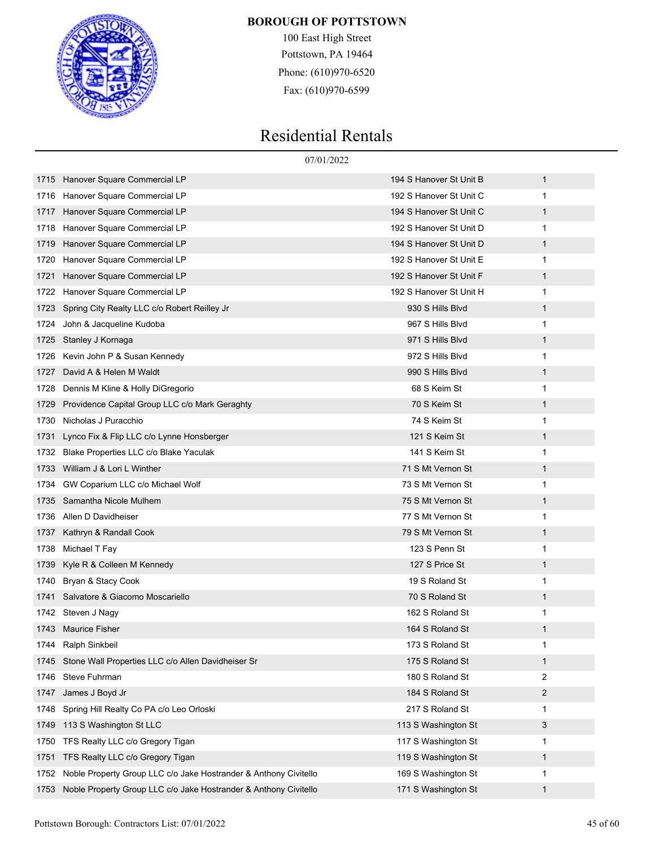

100 East High Street Pottstown, PA 19464 Phone: (610)970-6520 Fax: (610)970-6599

|      |                                                                  | 07/01/2022              |   |
|------|------------------------------------------------------------------|-------------------------|---|
| 1715 | Hanover Square Commercial LP                                     | 194 S Hanover St Unit B | 1 |
| 1716 | Hanover Square Commercial LP                                     | 192 S Hanover St Unit C | 1 |
| 1717 | Hanover Square Commercial LP                                     | 194 S Hanover St Unit C | 1 |
| 1718 | Hanover Square Commercial LP                                     | 192 S Hanover St Unit D | 1 |
| 1719 | Hanover Square Commercial LP                                     | 194 S Hanover St Unit D | 1 |
| 1720 | Hanover Square Commercial LP                                     | 192 S Hanover St Unit E | 1 |
| 1721 | Hanover Square Commercial LP                                     | 192 S Hanover St Unit F | 1 |
| 1722 | Hanover Square Commercial LP                                     | 192 S Hanover St Unit H | 1 |
| 1723 | Spring City Realty LLC c/o Robert Reilley Jr                     | 930 S Hills Blvd        | 1 |
| 1724 | John & Jacqueline Kudoba                                         | 967 S Hills Blvd        | 1 |
| 1725 | Stanley J Kornaga                                                | 971 S Hills Blvd        | 1 |
| 1726 | Kevin John P & Susan Kennedy                                     | 972 S Hills Blvd        | 1 |
| 1727 | David A & Helen M Waldt                                          | 990 S Hills Blvd        | 1 |
| 1728 | Dennis M Kline & Holly DiGregorio                                | 68 S Keim St            | 1 |
| 1729 | Providence Capital Group LLC c/o Mark Geraghty                   | 70 S Keim St            | 1 |
| 1730 | Nicholas J Puracchio                                             | 74 S Keim St            | 1 |
| 1731 | Lynco Fix & Flip LLC c/o Lynne Honsberger                        | 121 S Keim St           | 1 |
| 1732 | Blake Properties LLC c/o Blake Yaculak                           | 141 S Keim St           | 1 |
| 1733 | William J & Lori L Winther                                       | 71 S Mt Vernon St       | 1 |
| 1734 | GW Coparium LLC c/o Michael Wolf                                 | 73 S Mt Vernon St       | 1 |
| 1735 | Samantha Nicole Mulhem                                           | 75 S Mt Vernon St       | 1 |
| 1736 | Allen D Davidheiser                                              | 77 S Mt Vernon St       | 1 |
| 1737 | Kathryn & Randall Cook                                           | 79 S Mt Vernon St       | 1 |
| 1738 | Michael T Fay                                                    | 123 S Penn St           | 1 |
| 1739 | Kyle R & Colleen M Kennedy                                       | 127 S Price St          | 1 |
| 1740 | Bryan & Stacy Cook                                               | 19 S Roland St          | 1 |
| 1741 | Salvatore & Giacomo Moscariello                                  | 70 S Roland St          | 1 |
| 1742 | Steven J Nagy                                                    | 162 S Roland St         | 1 |
|      | 1743 Maurice Fisher                                              | 164 S Roland St         | 1 |
| 1744 | Ralph Sinkbeil                                                   | 173 S Roland St         | 1 |
| 1745 | Stone Wall Properties LLC c/o Allen Davidheiser Sr               | 175 S Roland St         | 1 |
| 1746 | Steve Fuhrman                                                    | 180 S Roland St         | 2 |
| 1747 | James J Boyd Jr                                                  | 184 S Roland St         | 2 |
| 1748 | Spring Hill Realty Co PA c/o Leo Orloski                         | 217 S Roland St         | 1 |
| 1749 | 113 S Washington St LLC                                          | 113 S Washington St     | 3 |
| 1750 | TFS Realty LLC c/o Gregory Tigan                                 | 117 S Washington St     | 1 |
| 1751 | TFS Realty LLC c/o Gregory Tigan                                 | 119 S Washington St     | 1 |
| 1752 | Noble Property Group LLC c/o Jake Hostrander & Anthony Civitello | 169 S Washington St     | 1 |
| 1753 | Noble Property Group LLC c/o Jake Hostrander & Anthony Civitello | 171 S Washington St     | 1 |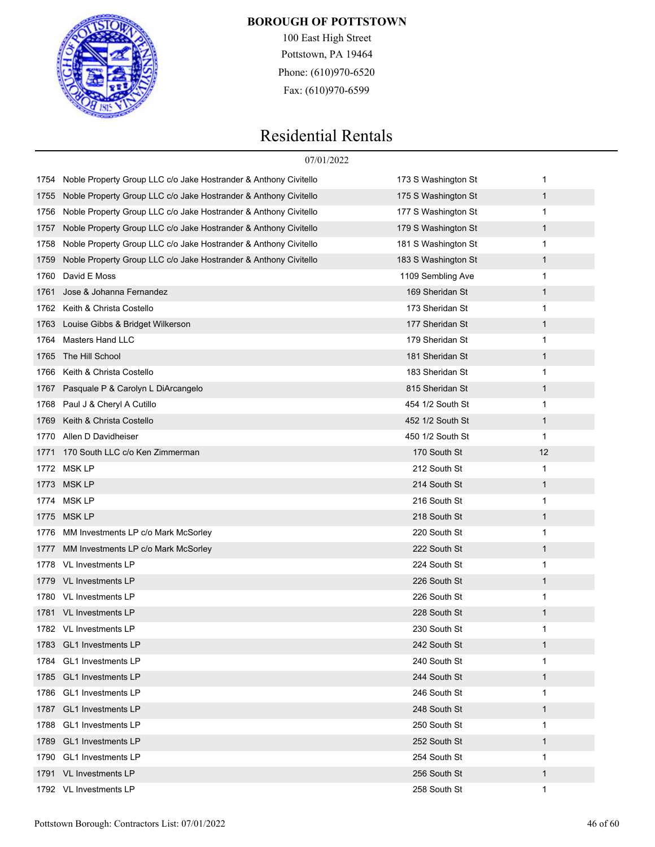

100 East High Street Pottstown, PA 19464 Phone: (610)970-6520 Fax: (610)970-6599

|      |                                                                  | 07/01/2022          |              |  |
|------|------------------------------------------------------------------|---------------------|--------------|--|
| 1754 | Noble Property Group LLC c/o Jake Hostrander & Anthony Civitello | 173 S Washington St | 1            |  |
| 1755 | Noble Property Group LLC c/o Jake Hostrander & Anthony Civitello | 175 S Washington St | $\mathbf{1}$ |  |
| 1756 | Noble Property Group LLC c/o Jake Hostrander & Anthony Civitello | 177 S Washington St | 1            |  |
| 1757 | Noble Property Group LLC c/o Jake Hostrander & Anthony Civitello | 179 S Washington St | $\mathbf{1}$ |  |
| 1758 | Noble Property Group LLC c/o Jake Hostrander & Anthony Civitello | 181 S Washington St | 1            |  |
| 1759 | Noble Property Group LLC c/o Jake Hostrander & Anthony Civitello | 183 S Washington St | $\mathbf{1}$ |  |
| 1760 | David E Moss                                                     | 1109 Sembling Ave   | 1            |  |
| 1761 | Jose & Johanna Fernandez                                         | 169 Sheridan St     | $\mathbf{1}$ |  |
| 1762 | Keith & Christa Costello                                         | 173 Sheridan St     | 1            |  |
| 1763 | Louise Gibbs & Bridget Wilkerson                                 | 177 Sheridan St     | $\mathbf{1}$ |  |
| 1764 | <b>Masters Hand LLC</b>                                          | 179 Sheridan St     | 1            |  |
| 1765 | The Hill School                                                  | 181 Sheridan St     | $\mathbf{1}$ |  |
| 1766 | Keith & Christa Costello                                         | 183 Sheridan St     | 1            |  |
| 1767 | Pasquale P & Carolyn L DiArcangelo                               | 815 Sheridan St     | $\mathbf{1}$ |  |
| 1768 | Paul J & Cheryl A Cutillo                                        | 454 1/2 South St    | 1            |  |
| 1769 | Keith & Christa Costello                                         | 452 1/2 South St    | $\mathbf{1}$ |  |
| 1770 | Allen D Davidheiser                                              | 450 1/2 South St    | 1            |  |
| 1771 | 170 South LLC c/o Ken Zimmerman                                  | 170 South St        | 12           |  |
|      | 1772 MSK LP                                                      | 212 South St        | 1            |  |
| 1773 | MSK LP                                                           | 214 South St        | $\mathbf{1}$ |  |
| 1774 | MSK LP                                                           | 216 South St        | 1            |  |
| 1775 | MSK LP                                                           | 218 South St        | 1            |  |
| 1776 | MM Investments LP c/o Mark McSorley                              | 220 South St        | 1            |  |
| 1777 | MM Investments LP c/o Mark McSorley                              | 222 South St        | $\mathbf{1}$ |  |
| 1778 | <b>VL Investments LP</b>                                         | 224 South St        | 1            |  |
| 1779 | <b>VL Investments LP</b>                                         | 226 South St        | 1            |  |
| 1780 | VL Investments LP                                                | 226 South St        | 1            |  |
|      | 1781 VL Investments LP                                           | 228 South St        | 1            |  |
|      | 1782 VL Investments LP                                           | 230 South St        | 1            |  |
| 1783 | <b>GL1</b> Investments LP                                        | 242 South St        | 1            |  |
| 1784 | <b>GL1</b> Investments LP                                        | 240 South St        | 1            |  |
| 1785 | <b>GL1</b> Investments LP                                        | 244 South St        | $\mathbf{1}$ |  |
| 1786 | <b>GL1</b> Investments LP                                        | 246 South St        | 1            |  |
| 1787 | <b>GL1</b> Investments LP                                        | 248 South St        | 1            |  |
| 1788 | <b>GL1</b> Investments LP                                        | 250 South St        | 1            |  |
| 1789 | <b>GL1</b> Investments LP                                        | 252 South St        | $\mathbf{1}$ |  |
| 1790 | <b>GL1</b> Investments LP                                        | 254 South St        | 1            |  |
| 1791 | VL Investments LP                                                | 256 South St        | 1            |  |
|      | 1792 VL Investments LP                                           | 258 South St        | 1            |  |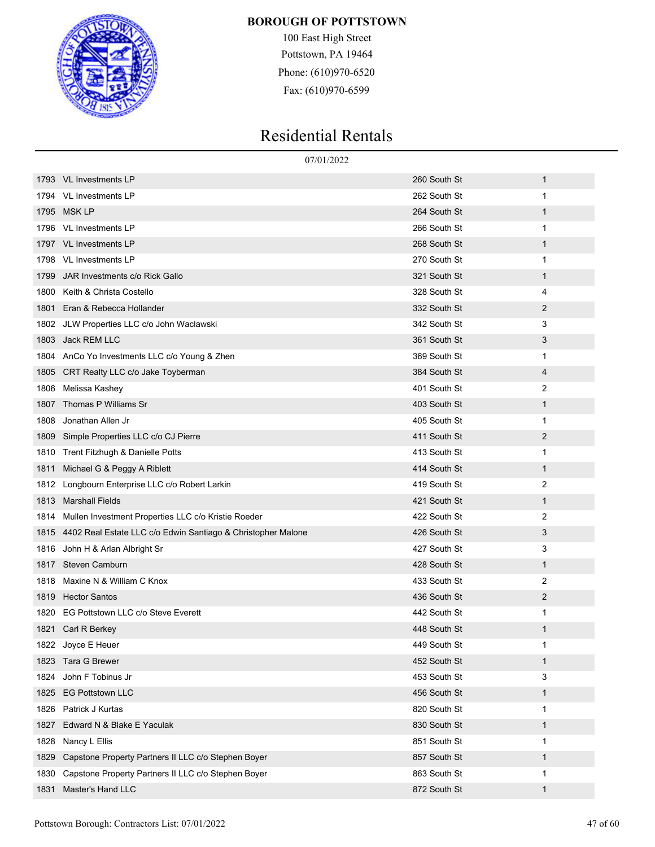

100 East High Street Pottstown, PA 19464 Phone: (610)970-6520 Fax: (610)970-6599

|      | 07/01/2022                                                   |              |              |
|------|--------------------------------------------------------------|--------------|--------------|
| 1793 | <b>VL Investments LP</b>                                     | 260 South St | 1            |
| 1794 | <b>VL Investments LP</b>                                     | 262 South St | 1            |
| 1795 | <b>MSK LP</b>                                                | 264 South St | 1            |
| 1796 | VL Investments LP                                            | 266 South St | 1            |
| 1797 | <b>VL Investments LP</b>                                     | 268 South St | $\mathbf{1}$ |
| 1798 | VL Investments LP                                            | 270 South St | 1            |
| 1799 | JAR Investments c/o Rick Gallo                               | 321 South St | $\mathbf{1}$ |
| 1800 | Keith & Christa Costello                                     | 328 South St | 4            |
| 1801 | Eran & Rebecca Hollander                                     | 332 South St | 2            |
| 1802 | JLW Properties LLC c/o John Waclawski                        | 342 South St | 3            |
| 1803 | Jack REM LLC                                                 | 361 South St | 3            |
| 1804 | AnCo Yo Investments LLC c/o Young & Zhen                     | 369 South St | 1            |
| 1805 | CRT Realty LLC c/o Jake Toyberman                            | 384 South St | 4            |
| 1806 | Melissa Kashey                                               | 401 South St | 2            |
| 1807 | Thomas P Williams Sr                                         | 403 South St | $\mathbf{1}$ |
| 1808 | Jonathan Allen Jr                                            | 405 South St | 1            |
| 1809 | Simple Properties LLC c/o CJ Pierre                          | 411 South St | 2            |
| 1810 | Trent Fitzhugh & Danielle Potts                              | 413 South St | 1            |
| 1811 | Michael G & Peggy A Riblett                                  | 414 South St | $\mathbf{1}$ |
| 1812 | Longbourn Enterprise LLC c/o Robert Larkin                   | 419 South St | 2            |
| 1813 | <b>Marshall Fields</b>                                       | 421 South St | $\mathbf{1}$ |
| 1814 | Mullen Investment Properties LLC c/o Kristie Roeder          | 422 South St | 2            |
| 1815 | 4402 Real Estate LLC c/o Edwin Santiago & Christopher Malone | 426 South St | 3            |
| 1816 | John H & Arlan Albright Sr                                   | 427 South St | 3            |
| 1817 | <b>Steven Camburn</b>                                        | 428 South St | $\mathbf{1}$ |
| 1818 | Maxine N & William C Knox                                    | 433 South St | 2            |
| 1819 | <b>Hector Santos</b>                                         | 436 South St | 2            |
| 1820 | EG Pottstown LLC c/o Steve Everett                           | 442 South St | 1            |
|      | 1821 Carl R Berkey                                           | 448 South St | 1            |
|      | 1822 Joyce E Heuer                                           | 449 South St | 1            |
| 1823 | Tara G Brewer                                                | 452 South St | $\mathbf{1}$ |
| 1824 | John F Tobinus Jr                                            | 453 South St | 3            |
| 1825 | <b>EG Pottstown LLC</b>                                      | 456 South St | $\mathbf{1}$ |
| 1826 | Patrick J Kurtas                                             | 820 South St | 1            |
| 1827 | Edward N & Blake E Yaculak                                   | 830 South St | $\mathbf{1}$ |
| 1828 | Nancy L Ellis                                                | 851 South St | 1            |
| 1829 | Capstone Property Partners II LLC c/o Stephen Boyer          | 857 South St | $\mathbf{1}$ |
| 1830 | Capstone Property Partners II LLC c/o Stephen Boyer          | 863 South St | 1            |
| 1831 | Master's Hand LLC                                            | 872 South St | $\mathbf{1}$ |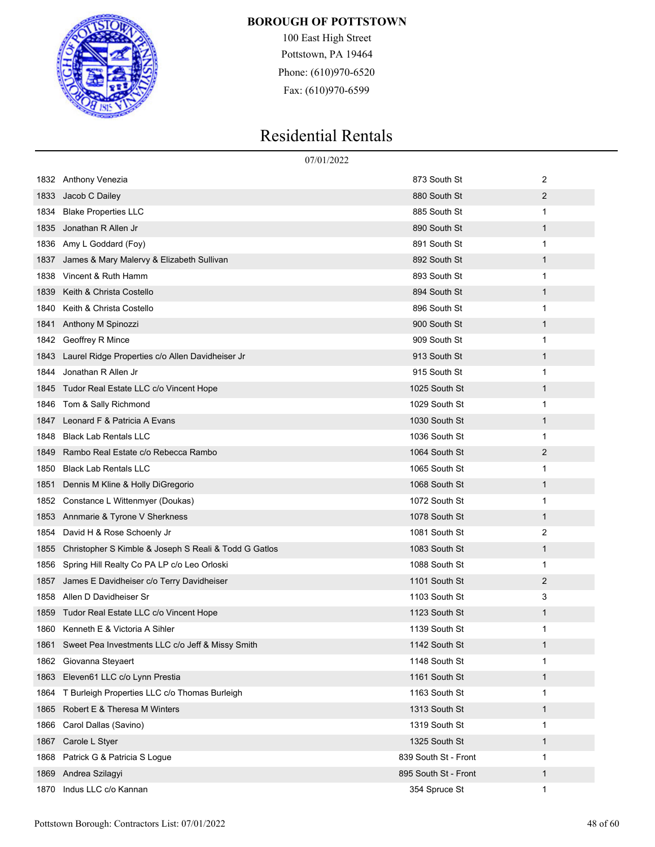

100 East High Street Pottstown, PA 19464 Phone: (610)970-6520 Fax: (610)970-6599

|      |                                                       | 07/01/2022                      |  |
|------|-------------------------------------------------------|---------------------------------|--|
|      | 1832 Anthony Venezia                                  | 2<br>873 South St               |  |
| 1833 | Jacob C Dailey                                        | 2<br>880 South St               |  |
| 1834 | <b>Blake Properties LLC</b>                           | 885 South St<br>1               |  |
| 1835 | Jonathan R Allen Jr                                   | 890 South St<br>1               |  |
| 1836 | Amy L Goddard (Foy)                                   | 891 South St<br>1               |  |
| 1837 | James & Mary Malervy & Elizabeth Sullivan             | 892 South St<br>1               |  |
| 1838 | Vincent & Ruth Hamm                                   | 893 South St<br>1               |  |
| 1839 | Keith & Christa Costello                              | 894 South St<br>1               |  |
| 1840 | Keith & Christa Costello                              | 896 South St<br>1               |  |
| 1841 | Anthony M Spinozzi                                    | 900 South St<br>1               |  |
| 1842 | Geoffrey R Mince                                      | 909 South St<br>1               |  |
| 1843 | Laurel Ridge Properties c/o Allen Davidheiser Jr      | 913 South St<br>1               |  |
| 1844 | Jonathan R Allen Jr                                   | 915 South St<br>1               |  |
| 1845 | Tudor Real Estate LLC c/o Vincent Hope                | 1025 South St<br>1              |  |
| 1846 | Tom & Sally Richmond                                  | 1029 South St<br>1              |  |
| 1847 | Leonard F & Patricia A Evans                          | 1030 South St<br>1              |  |
| 1848 | <b>Black Lab Rentals LLC</b>                          | 1036 South St<br>1              |  |
| 1849 | Rambo Real Estate c/o Rebecca Rambo                   | $\overline{c}$<br>1064 South St |  |
| 1850 | <b>Black Lab Rentals LLC</b>                          | 1065 South St<br>1              |  |
| 1851 | Dennis M Kline & Holly DiGregorio                     | 1068 South St<br>1              |  |
| 1852 | Constance L Wittenmyer (Doukas)                       | 1072 South St<br>1              |  |
| 1853 | Annmarie & Tyrone V Sherkness                         | 1078 South St<br>1              |  |
| 1854 | David H & Rose Schoenly Jr                            | 2<br>1081 South St              |  |
| 1855 | Christopher S Kimble & Joseph S Reali & Todd G Gatlos | $\mathbf{1}$<br>1083 South St   |  |
| 1856 | Spring Hill Realty Co PA LP c/o Leo Orloski           | 1088 South St<br>1              |  |
| 1857 | James E Davidheiser c/o Terry Davidheiser             | 2<br>1101 South St              |  |
| 1858 | Allen D Davidheiser Sr                                | 3<br>1103 South St              |  |
| 1859 | Tudor Real Estate LLC c/o Vincent Hope                | 1123 South St<br>$\mathbf 1$    |  |
|      | 1860 Kenneth E & Victoria A Sihler                    | 1139 South St<br>1              |  |
| 1861 | Sweet Pea Investments LLC c/o Jeff & Missy Smith      | 1142 South St<br>$\mathbf 1$    |  |
| 1862 | Giovanna Steyaert                                     | 1148 South St<br>1              |  |
| 1863 | Eleven61 LLC c/o Lynn Prestia                         | 1161 South St<br>1              |  |
| 1864 | T Burleigh Properties LLC c/o Thomas Burleigh         | 1163 South St<br>1              |  |
| 1865 | Robert E & Theresa M Winters                          | 1313 South St<br>1              |  |
| 1866 | Carol Dallas (Savino)                                 | 1319 South St<br>1              |  |
| 1867 | Carole L Styer                                        | 1325 South St<br>1              |  |
| 1868 | Patrick G & Patricia S Logue                          | 839 South St - Front<br>1       |  |
| 1869 | Andrea Szilagyi                                       | 895 South St - Front<br>1       |  |
| 1870 | Indus LLC c/o Kannan                                  | 354 Spruce St<br>1              |  |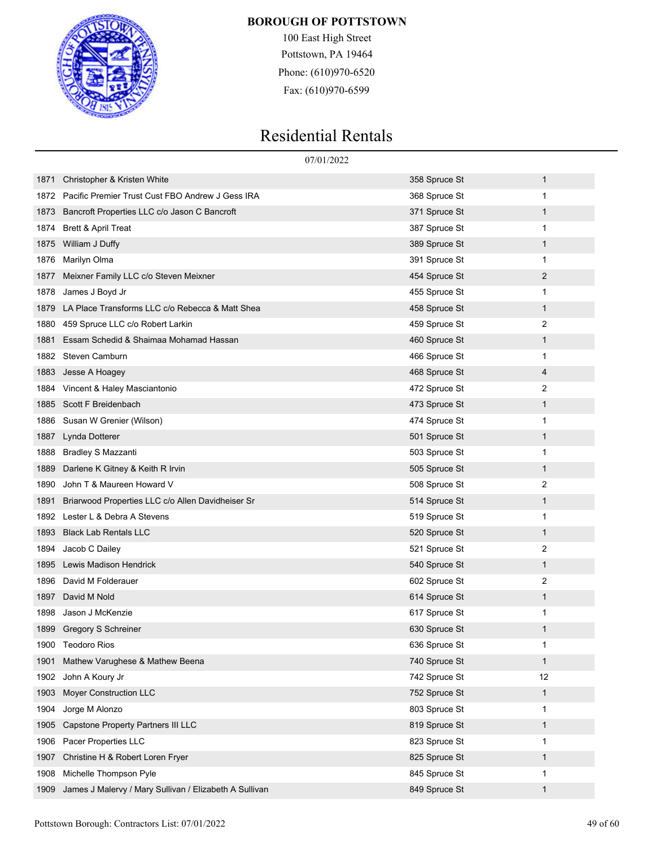

100 East High Street Pottstown, PA 19464 Phone: (610)970-6520 Fax: (610)970-6599

|      |                                                        | 07/01/2022    |              |
|------|--------------------------------------------------------|---------------|--------------|
| 1871 | Christopher & Kristen White                            | 358 Spruce St | 1            |
| 1872 | Pacific Premier Trust Cust FBO Andrew J Gess IRA       | 368 Spruce St | 1            |
| 1873 | Bancroft Properties LLC c/o Jason C Bancroft           | 371 Spruce St | 1            |
| 1874 | Brett & April Treat                                    | 387 Spruce St | 1            |
| 1875 | William J Duffy                                        | 389 Spruce St | 1            |
| 1876 | Marilyn Olma                                           | 391 Spruce St | 1            |
| 1877 | Meixner Family LLC c/o Steven Meixner                  | 454 Spruce St | 2            |
| 1878 | James J Boyd Jr                                        | 455 Spruce St | 1            |
| 1879 | LA Place Transforms LLC c/o Rebecca & Matt Shea        | 458 Spruce St | 1            |
| 1880 | 459 Spruce LLC c/o Robert Larkin                       | 459 Spruce St | 2            |
| 1881 | Essam Schedid & Shaimaa Mohamad Hassan                 | 460 Spruce St | 1            |
| 1882 | Steven Camburn                                         | 466 Spruce St | 1            |
| 1883 | Jesse A Hoagey                                         | 468 Spruce St | 4            |
| 1884 | Vincent & Haley Masciantonio                           | 472 Spruce St | 2            |
| 1885 | Scott F Breidenbach                                    | 473 Spruce St | 1            |
| 1886 | Susan W Grenier (Wilson)                               | 474 Spruce St | 1            |
| 1887 | Lynda Dotterer                                         | 501 Spruce St | 1            |
| 1888 | <b>Bradley S Mazzanti</b>                              | 503 Spruce St | 1            |
| 1889 | Darlene K Gitney & Keith R Irvin                       | 505 Spruce St | $\mathbf{1}$ |
| 1890 | John T & Maureen Howard V                              | 508 Spruce St | 2            |
| 1891 | Briarwood Properties LLC c/o Allen Davidheiser Sr      | 514 Spruce St | 1            |
| 1892 | Lester L & Debra A Stevens                             | 519 Spruce St | 1            |
| 1893 | <b>Black Lab Rentals LLC</b>                           | 520 Spruce St | $\mathbf{1}$ |
| 1894 | Jacob C Dailey                                         | 521 Spruce St | 2            |
| 1895 | Lewis Madison Hendrick                                 | 540 Spruce St | $\mathbf{1}$ |
| 1896 | David M Folderauer                                     | 602 Spruce St | 2            |
| 1897 | David M Nold                                           | 614 Spruce St | 1            |
| 1898 | Jason J McKenzie                                       | 617 Spruce St | 1            |
|      | 1899 Gregory S Schreiner                               | 630 Spruce St | 1            |
|      | 1900 Teodoro Rios                                      | 636 Spruce St | 1            |
| 1901 | Mathew Varughese & Mathew Beena                        | 740 Spruce St | $\mathbf{1}$ |
| 1902 | John A Koury Jr                                        | 742 Spruce St | 12           |
| 1903 | <b>Moyer Construction LLC</b>                          | 752 Spruce St | $\mathbf{1}$ |
| 1904 | Jorge M Alonzo                                         | 803 Spruce St | 1            |
| 1905 | Capstone Property Partners III LLC                     | 819 Spruce St | $\mathbf{1}$ |
| 1906 | Pacer Properties LLC                                   | 823 Spruce St | 1            |
| 1907 | Christine H & Robert Loren Fryer                       | 825 Spruce St | $\mathbf{1}$ |
| 1908 | Michelle Thompson Pyle                                 | 845 Spruce St | 1            |
| 1909 | James J Malervy / Mary Sullivan / Elizabeth A Sullivan | 849 Spruce St | 1            |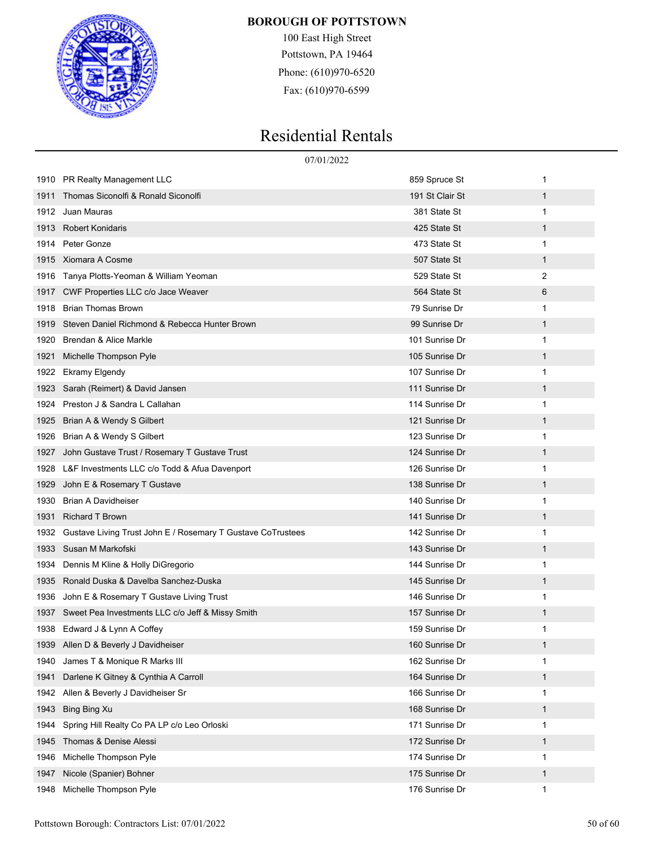

100 East High Street Pottstown, PA 19464 Phone: (610)970-6520 Fax: (610)970-6599

|      | 07/01/2022                                                  |                 |              |  |
|------|-------------------------------------------------------------|-----------------|--------------|--|
| 1910 | PR Realty Management LLC                                    | 859 Spruce St   | 1            |  |
| 1911 | Thomas Siconolfi & Ronald Siconolfi                         | 191 St Clair St | $\mathbf 1$  |  |
| 1912 | Juan Mauras                                                 | 381 State St    | $\mathbf{1}$ |  |
| 1913 | <b>Robert Konidaris</b>                                     | 425 State St    | $\mathbf{1}$ |  |
| 1914 | Peter Gonze                                                 | 473 State St    | 1            |  |
| 1915 | Xiomara A Cosme                                             | 507 State St    | $\mathbf 1$  |  |
| 1916 | Tanya Plotts-Yeoman & William Yeoman                        | 529 State St    | 2            |  |
| 1917 | CWF Properties LLC c/o Jace Weaver                          | 564 State St    | 6            |  |
| 1918 | <b>Brian Thomas Brown</b>                                   | 79 Sunrise Dr   | 1            |  |
| 1919 | Steven Daniel Richmond & Rebecca Hunter Brown               | 99 Sunrise Dr   | 1            |  |
| 1920 | Brendan & Alice Markle                                      | 101 Sunrise Dr  | 1            |  |
| 1921 | Michelle Thompson Pyle                                      | 105 Sunrise Dr  | $\mathbf{1}$ |  |
| 1922 | <b>Ekramy Elgendy</b>                                       | 107 Sunrise Dr  | 1            |  |
| 1923 | Sarah (Reimert) & David Jansen                              | 111 Sunrise Dr  | 1            |  |
| 1924 | Preston J & Sandra L Callahan                               | 114 Sunrise Dr  | 1            |  |
| 1925 | Brian A & Wendy S Gilbert                                   | 121 Sunrise Dr  | $\mathbf{1}$ |  |
| 1926 | Brian A & Wendy S Gilbert                                   | 123 Sunrise Dr  | 1            |  |
| 1927 | John Gustave Trust / Rosemary T Gustave Trust               | 124 Sunrise Dr  | 1            |  |
| 1928 | L&F Investments LLC c/o Todd & Afua Davenport               | 126 Sunrise Dr  | 1            |  |
| 1929 | John E & Rosemary T Gustave                                 | 138 Sunrise Dr  | $\mathbf{1}$ |  |
| 1930 | <b>Brian A Davidheiser</b>                                  | 140 Sunrise Dr  | 1            |  |
| 1931 | <b>Richard T Brown</b>                                      | 141 Sunrise Dr  | 1            |  |
| 1932 | Gustave Living Trust John E / Rosemary T Gustave CoTrustees | 142 Sunrise Dr  | 1            |  |
| 1933 | Susan M Markofski                                           | 143 Sunrise Dr  | $\mathbf{1}$ |  |
| 1934 | Dennis M Kline & Holly DiGregorio                           | 144 Sunrise Dr  | 1            |  |
| 1935 | Ronald Duska & Davelba Sanchez-Duska                        | 145 Sunrise Dr  | $\mathbf{1}$ |  |
| 1936 | John E & Rosemary T Gustave Living Trust                    | 146 Sunrise Dr  | 1            |  |
| 1937 | Sweet Pea Investments LLC c/o Jeff & Missy Smith            | 157 Sunrise Dr  | 1            |  |
| 1938 | Edward J & Lynn A Coffey                                    | 159 Sunrise Dr  | 1            |  |
|      | 1939 Allen D & Beverly J Davidheiser                        | 160 Sunrise Dr  | 1            |  |
| 1940 | James T & Monique R Marks III                               | 162 Sunrise Dr  | 1            |  |
| 1941 | Darlene K Gitney & Cynthia A Carroll                        | 164 Sunrise Dr  | $\mathbf{1}$ |  |
| 1942 | Allen & Beverly J Davidheiser Sr                            | 166 Sunrise Dr  | 1            |  |
| 1943 | Bing Bing Xu                                                | 168 Sunrise Dr  | $\mathbf{1}$ |  |
| 1944 | Spring Hill Realty Co PA LP c/o Leo Orloski                 | 171 Sunrise Dr  | 1            |  |
| 1945 | Thomas & Denise Alessi                                      | 172 Sunrise Dr  | $\mathbf{1}$ |  |
| 1946 | Michelle Thompson Pyle                                      | 174 Sunrise Dr  | 1            |  |
| 1947 | Nicole (Spanier) Bohner                                     | 175 Sunrise Dr  | $\mathbf{1}$ |  |
| 1948 | Michelle Thompson Pyle                                      | 176 Sunrise Dr  | 1            |  |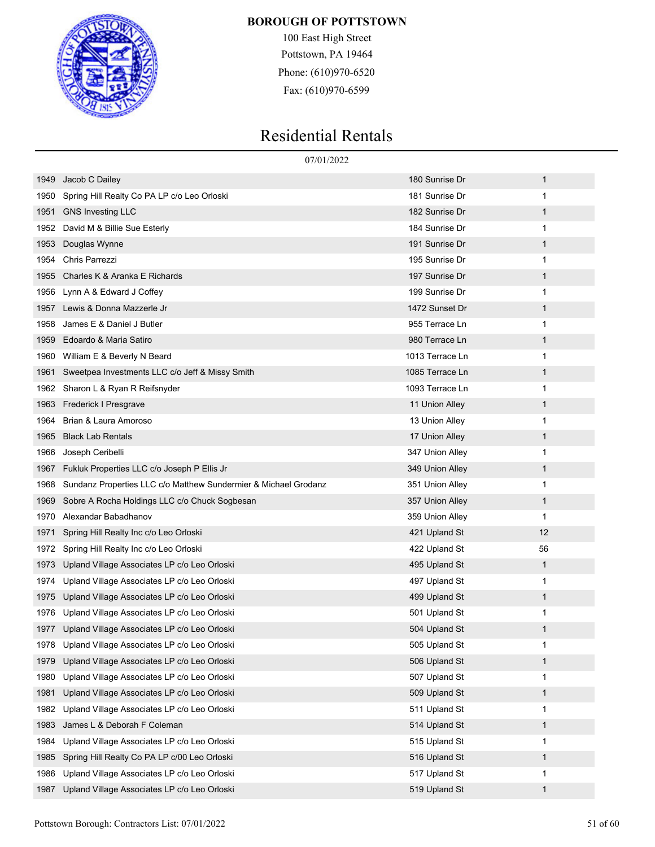

100 East High Street Pottstown, PA 19464 Phone: (610)970-6520 Fax: (610)970-6599

|      |                                                                 | 07/01/2022      |              |  |
|------|-----------------------------------------------------------------|-----------------|--------------|--|
| 1949 | Jacob C Dailey                                                  | 180 Sunrise Dr  | $\mathbf{1}$ |  |
| 1950 | Spring Hill Realty Co PA LP c/o Leo Orloski                     | 181 Sunrise Dr  | 1            |  |
| 1951 | <b>GNS Investing LLC</b>                                        | 182 Sunrise Dr  | $\mathbf{1}$ |  |
| 1952 | David M & Billie Sue Esterly                                    | 184 Sunrise Dr  | 1            |  |
| 1953 | Douglas Wynne                                                   | 191 Sunrise Dr  | 1            |  |
| 1954 | <b>Chris Parrezzi</b>                                           | 195 Sunrise Dr  | 1            |  |
| 1955 | Charles K & Aranka E Richards                                   | 197 Sunrise Dr  | $\mathbf{1}$ |  |
| 1956 | Lynn A & Edward J Coffey                                        | 199 Sunrise Dr  | 1            |  |
| 1957 | Lewis & Donna Mazzerle Jr                                       | 1472 Sunset Dr  | 1            |  |
| 1958 | James E & Daniel J Butler                                       | 955 Terrace Ln  | 1            |  |
| 1959 | Edoardo & Maria Satiro                                          | 980 Terrace Ln  | $\mathbf{1}$ |  |
| 1960 | William E & Beverly N Beard                                     | 1013 Terrace Ln | 1            |  |
| 1961 | Sweetpea Investments LLC c/o Jeff & Missy Smith                 | 1085 Terrace Ln | 1            |  |
| 1962 | Sharon L & Ryan R Reifsnyder                                    | 1093 Terrace Ln | 1            |  |
| 1963 | Frederick I Presgrave                                           | 11 Union Alley  | $\mathbf{1}$ |  |
| 1964 | Brian & Laura Amoroso                                           | 13 Union Alley  | 1            |  |
| 1965 | <b>Black Lab Rentals</b>                                        | 17 Union Alley  | 1            |  |
| 1966 | Joseph Ceribelli                                                | 347 Union Alley | 1            |  |
| 1967 | Fukluk Properties LLC c/o Joseph P Ellis Jr                     | 349 Union Alley | $\mathbf{1}$ |  |
| 1968 | Sundanz Properties LLC c/o Matthew Sundermier & Michael Grodanz | 351 Union Alley | 1            |  |
| 1969 | Sobre A Rocha Holdings LLC c/o Chuck Sogbesan                   | 357 Union Alley | 1            |  |
| 1970 | Alexandar Babadhanov                                            | 359 Union Alley | 1            |  |
| 1971 | Spring Hill Realty Inc c/o Leo Orloski                          | 421 Upland St   | 12           |  |
| 1972 | Spring Hill Realty Inc c/o Leo Orloski                          | 422 Upland St   | 56           |  |
| 1973 | Upland Village Associates LP c/o Leo Orloski                    | 495 Upland St   | 1            |  |
| 1974 | Upland Village Associates LP c/o Leo Orloski                    | 497 Upland St   | 1            |  |
| 1975 | Upland Village Associates LP c/o Leo Orloski                    | 499 Upland St   | 1            |  |
| 1976 | Upland Village Associates LP c/o Leo Orloski                    | 501 Upland St   | 1            |  |
| 1977 | Upland Village Associates LP c/o Leo Orloski                    | 504 Upland St   | 1            |  |
| 1978 | Upland Village Associates LP c/o Leo Orloski                    | 505 Upland St   | 1            |  |
| 1979 | Upland Village Associates LP c/o Leo Orloski                    | 506 Upland St   | 1            |  |
| 1980 | Upland Village Associates LP c/o Leo Orloski                    | 507 Upland St   | 1            |  |
| 1981 | Upland Village Associates LP c/o Leo Orloski                    | 509 Upland St   | 1            |  |
| 1982 | Upland Village Associates LP c/o Leo Orloski                    | 511 Upland St   | 1            |  |
| 1983 | James L & Deborah F Coleman                                     | 514 Upland St   | 1            |  |
| 1984 | Upland Village Associates LP c/o Leo Orloski                    | 515 Upland St   | 1            |  |
| 1985 | Spring Hill Realty Co PA LP c/00 Leo Orloski                    | 516 Upland St   | 1            |  |
| 1986 | Upland Village Associates LP c/o Leo Orloski                    | 517 Upland St   | 1            |  |
| 1987 | Upland Village Associates LP c/o Leo Orloski                    | 519 Upland St   | 1            |  |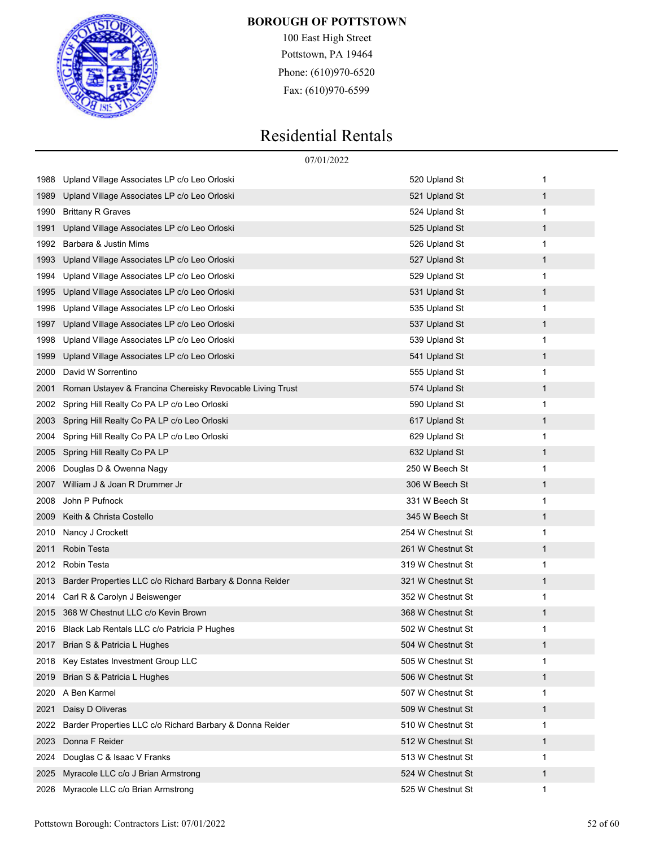

100 East High Street Pottstown, PA 19464 Phone: (610)970-6520 Fax: (610)970-6599

|      |                                                           | 07/01/2022        |              |
|------|-----------------------------------------------------------|-------------------|--------------|
| 1988 | Upland Village Associates LP c/o Leo Orloski              | 520 Upland St     | 1            |
| 1989 | Upland Village Associates LP c/o Leo Orloski              | 521 Upland St     | $\mathbf{1}$ |
| 1990 | Brittany R Graves                                         | 524 Upland St     | 1            |
| 1991 | Upland Village Associates LP c/o Leo Orloski              | 525 Upland St     | $\mathbf{1}$ |
| 1992 | Barbara & Justin Mims                                     | 526 Upland St     | 1            |
| 1993 | Upland Village Associates LP c/o Leo Orloski              | 527 Upland St     | $\mathbf{1}$ |
| 1994 | Upland Village Associates LP c/o Leo Orloski              | 529 Upland St     | 1            |
| 1995 | Upland Village Associates LP c/o Leo Orloski              | 531 Upland St     | $\mathbf{1}$ |
| 1996 | Upland Village Associates LP c/o Leo Orloski              | 535 Upland St     | 1            |
| 1997 | Upland Village Associates LP c/o Leo Orloski              | 537 Upland St     | $\mathbf{1}$ |
| 1998 | Upland Village Associates LP c/o Leo Orloski              | 539 Upland St     | 1            |
| 1999 | Upland Village Associates LP c/o Leo Orloski              | 541 Upland St     | $\mathbf{1}$ |
| 2000 | David W Sorrentino                                        | 555 Upland St     | 1            |
| 2001 | Roman Ustayev & Francina Chereisky Revocable Living Trust | 574 Upland St     | $\mathbf{1}$ |
| 2002 | Spring Hill Realty Co PA LP c/o Leo Orloski               | 590 Upland St     | 1            |
| 2003 | Spring Hill Realty Co PA LP c/o Leo Orloski               | 617 Upland St     | $\mathbf{1}$ |
| 2004 | Spring Hill Realty Co PA LP c/o Leo Orloski               | 629 Upland St     | 1            |
| 2005 | Spring Hill Realty Co PA LP                               | 632 Upland St     | $\mathbf{1}$ |
| 2006 | Douglas D & Owenna Nagy                                   | 250 W Beech St    | 1            |
| 2007 | William J & Joan R Drummer Jr                             | 306 W Beech St    | $\mathbf{1}$ |
| 2008 | John P Pufnock                                            | 331 W Beech St    | 1            |
| 2009 | Keith & Christa Costello                                  | 345 W Beech St    | $\mathbf{1}$ |
| 2010 | Nancy J Crockett                                          | 254 W Chestnut St | 1            |
| 2011 | Robin Testa                                               | 261 W Chestnut St | $\mathbf{1}$ |
| 2012 | Robin Testa                                               | 319 W Chestnut St | 1            |
| 2013 | Barder Properties LLC c/o Richard Barbary & Donna Reider  | 321 W Chestnut St | $\mathbf{1}$ |
| 2014 | Carl R & Carolyn J Beiswenger                             | 352 W Chestnut St | 1            |
| 2015 | 368 W Chestnut LLC c/o Kevin Brown                        | 368 W Chestnut St | 1            |
| 2016 | Black Lab Rentals LLC c/o Patricia P Hughes               | 502 W Chestnut St |              |
| 2017 | Brian S & Patricia L Hughes                               | 504 W Chestnut St | $\mathbf 1$  |
| 2018 | Key Estates Investment Group LLC                          | 505 W Chestnut St | 1            |
| 2019 | Brian S & Patricia L Hughes                               | 506 W Chestnut St | 1            |
| 2020 | A Ben Karmel                                              | 507 W Chestnut St | 1            |
| 2021 | Daisy D Oliveras                                          | 509 W Chestnut St | 1            |
| 2022 | Barder Properties LLC c/o Richard Barbary & Donna Reider  | 510 W Chestnut St | 1            |
| 2023 | Donna F Reider                                            | 512 W Chestnut St | 1            |
| 2024 | Douglas C & Isaac V Franks                                | 513 W Chestnut St | 1            |
| 2025 | Myracole LLC c/o J Brian Armstrong                        | 524 W Chestnut St | 1            |
| 2026 | Myracole LLC c/o Brian Armstrong                          | 525 W Chestnut St | 1            |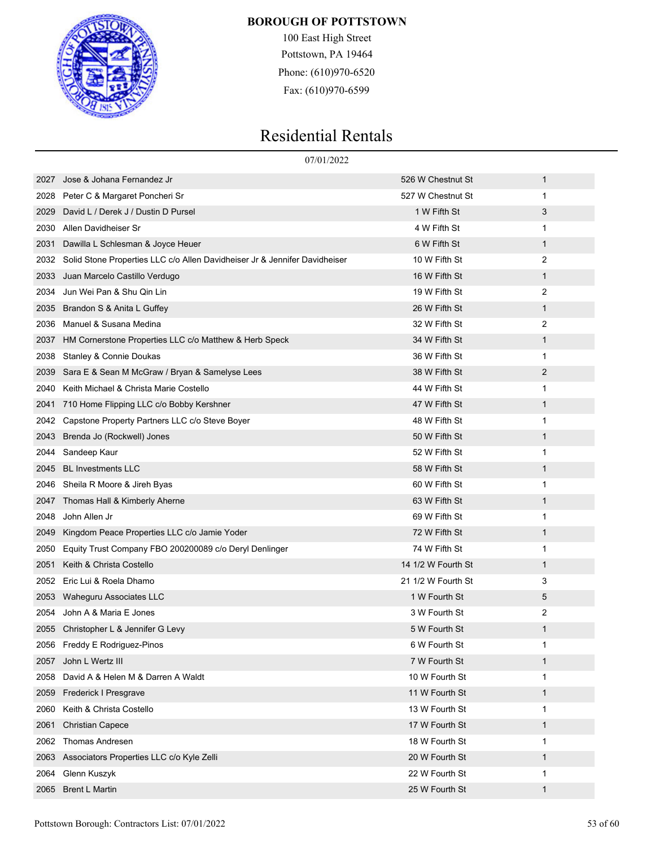

100 East High Street Pottstown, PA 19464 Phone: (610)970-6520 Fax: (610)970-6599

|      | 07/01/2022                                                                 |                    |              |
|------|----------------------------------------------------------------------------|--------------------|--------------|
| 2027 | Jose & Johana Fernandez Jr                                                 | 526 W Chestnut St  | $\mathbf 1$  |
| 2028 | Peter C & Margaret Poncheri Sr                                             | 527 W Chestnut St  | 1            |
| 2029 | David L / Derek J / Dustin D Pursel                                        | 1 W Fifth St       | 3            |
| 2030 | Allen Davidheiser Sr                                                       | 4 W Fifth St       | 1            |
| 2031 | Dawilla L Schlesman & Joyce Heuer                                          | 6 W Fifth St       | $\mathbf{1}$ |
| 2032 | Solid Stone Properties LLC c/o Allen Davidheiser Jr & Jennifer Davidheiser | 10 W Fifth St      | 2            |
| 2033 | Juan Marcelo Castillo Verdugo                                              | 16 W Fifth St      | $\mathbf 1$  |
| 2034 | Jun Wei Pan & Shu Qin Lin                                                  | 19 W Fifth St      | 2            |
| 2035 | Brandon S & Anita L Guffey                                                 | 26 W Fifth St      | $\mathbf{1}$ |
| 2036 | Manuel & Susana Medina                                                     | 32 W Fifth St      | 2            |
| 2037 | HM Cornerstone Properties LLC c/o Matthew & Herb Speck                     | 34 W Fifth St      | $\mathbf 1$  |
| 2038 | Stanley & Connie Doukas                                                    | 36 W Fifth St      | 1            |
| 2039 | Sara E & Sean M McGraw / Bryan & Samelyse Lees                             | 38 W Fifth St      | 2            |
| 2040 | Keith Michael & Christa Marie Costello                                     | 44 W Fifth St      | 1            |
| 2041 | 710 Home Flipping LLC c/o Bobby Kershner                                   | 47 W Fifth St      | $\mathbf 1$  |
| 2042 | Capstone Property Partners LLC c/o Steve Boyer                             | 48 W Fifth St      | 1            |
| 2043 | Brenda Jo (Rockwell) Jones                                                 | 50 W Fifth St      | $\mathbf 1$  |
| 2044 | Sandeep Kaur                                                               | 52 W Fifth St      | 1            |
| 2045 | <b>BL Investments LLC</b>                                                  | 58 W Fifth St      | $\mathbf 1$  |
| 2046 | Sheila R Moore & Jireh Byas                                                | 60 W Fifth St      | 1            |
| 2047 | Thomas Hall & Kimberly Aherne                                              | 63 W Fifth St      | $\mathbf 1$  |
| 2048 | John Allen Jr                                                              | 69 W Fifth St      | 1            |
| 2049 | Kingdom Peace Properties LLC c/o Jamie Yoder                               | 72 W Fifth St      | $\mathbf{1}$ |
| 2050 | Equity Trust Company FBO 200200089 c/o Deryl Denlinger                     | 74 W Fifth St      | 1            |
| 2051 | Keith & Christa Costello                                                   | 14 1/2 W Fourth St | $\mathbf{1}$ |
| 2052 | Eric Lui & Roela Dhamo                                                     | 21 1/2 W Fourth St | 3            |
| 2053 | Waheguru Associates LLC                                                    | 1 W Fourth St      | 5            |
| 2054 | John A & Maria E Jones                                                     | 3 W Fourth St      | 2            |
|      | 2055 Christopher L & Jennifer G Levy                                       | 5 W Fourth St      | 1            |
|      | 2056 Freddy E Rodriguez-Pinos                                              | 6 W Fourth St      | 1            |
| 2057 | John L Wertz III                                                           | 7 W Fourth St      | $\mathbf{1}$ |
| 2058 | David A & Helen M & Darren A Waldt                                         | 10 W Fourth St     | 1            |
| 2059 | Frederick I Presgrave                                                      | 11 W Fourth St     | $\mathbf{1}$ |
| 2060 | Keith & Christa Costello                                                   | 13 W Fourth St     | 1            |
| 2061 | <b>Christian Capece</b>                                                    | 17 W Fourth St     | $\mathbf{1}$ |
| 2062 | Thomas Andresen                                                            | 18 W Fourth St     | 1            |
| 2063 | Associators Properties LLC c/o Kyle Zelli                                  | 20 W Fourth St     | $\mathbf{1}$ |
| 2064 | Glenn Kuszyk                                                               | 22 W Fourth St     | 1            |
| 2065 | <b>Brent L Martin</b>                                                      | 25 W Fourth St     | $\mathbf{1}$ |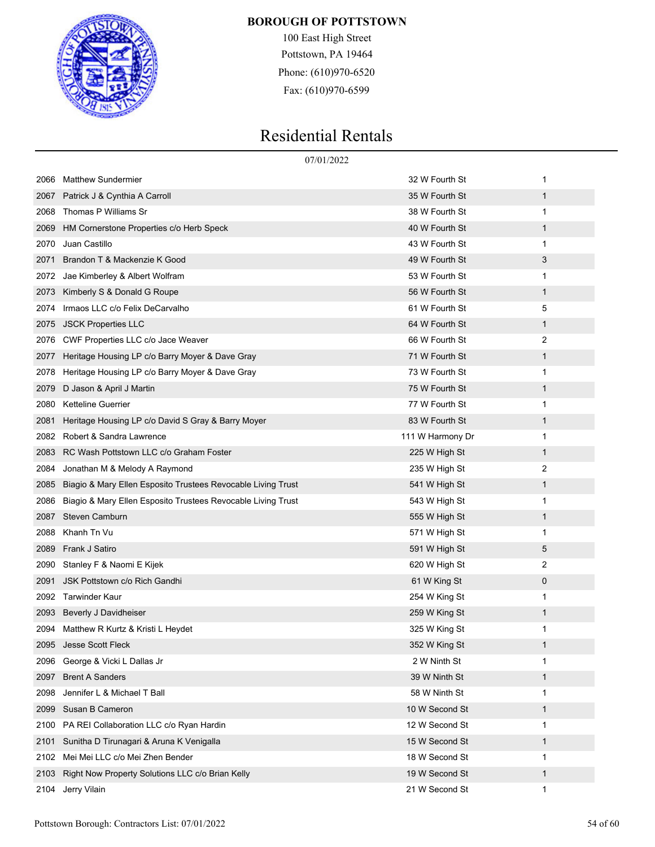

100 East High Street Pottstown, PA 19464 Phone: (610)970-6520 Fax: (610)970-6599

|      | 07/01/2022                                                   |                  |   |  |
|------|--------------------------------------------------------------|------------------|---|--|
| 2066 | <b>Matthew Sundermier</b>                                    | 32 W Fourth St   | 1 |  |
| 2067 | Patrick J & Cynthia A Carroll                                | 35 W Fourth St   | 1 |  |
| 2068 | Thomas P Williams Sr                                         | 38 W Fourth St   | 1 |  |
| 2069 | HM Cornerstone Properties c/o Herb Speck                     | 40 W Fourth St   | 1 |  |
| 2070 | Juan Castillo                                                | 43 W Fourth St   | 1 |  |
| 2071 | Brandon T & Mackenzie K Good                                 | 49 W Fourth St   | 3 |  |
| 2072 | Jae Kimberley & Albert Wolfram                               | 53 W Fourth St   | 1 |  |
| 2073 | Kimberly S & Donald G Roupe                                  | 56 W Fourth St   | 1 |  |
| 2074 | Irmaos LLC c/o Felix DeCarvalho                              | 61 W Fourth St   | 5 |  |
| 2075 | <b>JSCK Properties LLC</b>                                   | 64 W Fourth St   | 1 |  |
| 2076 | CWF Properties LLC c/o Jace Weaver                           | 66 W Fourth St   | 2 |  |
| 2077 | Heritage Housing LP c/o Barry Moyer & Dave Gray              | 71 W Fourth St   | 1 |  |
| 2078 | Heritage Housing LP c/o Barry Moyer & Dave Gray              | 73 W Fourth St   | 1 |  |
| 2079 | D Jason & April J Martin                                     | 75 W Fourth St   | 1 |  |
| 2080 | <b>Ketteline Guerrier</b>                                    | 77 W Fourth St   | 1 |  |
| 2081 | Heritage Housing LP c/o David S Gray & Barry Moyer           | 83 W Fourth St   | 1 |  |
| 2082 | Robert & Sandra Lawrence                                     | 111 W Harmony Dr | 1 |  |
| 2083 | RC Wash Pottstown LLC c/o Graham Foster                      | 225 W High St    | 1 |  |
| 2084 | Jonathan M & Melody A Raymond                                | 235 W High St    | 2 |  |
| 2085 | Biagio & Mary Ellen Esposito Trustees Revocable Living Trust | 541 W High St    | 1 |  |
| 2086 | Biagio & Mary Ellen Esposito Trustees Revocable Living Trust | 543 W High St    | 1 |  |
| 2087 | <b>Steven Camburn</b>                                        | 555 W High St    | 1 |  |
| 2088 | Khanh Tn Vu                                                  | 571 W High St    | 1 |  |
| 2089 | Frank J Satiro                                               | 591 W High St    | 5 |  |
| 2090 | Stanley F & Naomi E Kijek                                    | 620 W High St    | 2 |  |
| 2091 | JSK Pottstown c/o Rich Gandhi                                | 61 W King St     | 0 |  |
| 2092 | Tarwinder Kaur                                               | 254 W King St    | 1 |  |
| 2093 | Beverly J Davidheiser                                        | 259 W King St    | 1 |  |
|      | 2094 Matthew R Kurtz & Kristi L Heydet                       | 325 W King St    | 1 |  |
| 2095 | Jesse Scott Fleck                                            | 352 W King St    | 1 |  |
| 2096 | George & Vicki L Dallas Jr                                   | 2 W Ninth St     | 1 |  |
| 2097 | <b>Brent A Sanders</b>                                       | 39 W Ninth St    | 1 |  |
| 2098 | Jennifer L & Michael T Ball                                  | 58 W Ninth St    | 1 |  |
| 2099 | Susan B Cameron                                              | 10 W Second St   | 1 |  |
| 2100 | PA REI Collaboration LLC c/o Ryan Hardin                     | 12 W Second St   | 1 |  |
| 2101 | Sunitha D Tirunagari & Aruna K Venigalla                     | 15 W Second St   | 1 |  |
| 2102 | Mei Mei LLC c/o Mei Zhen Bender                              | 18 W Second St   | 1 |  |
| 2103 | Right Now Property Solutions LLC c/o Brian Kelly             | 19 W Second St   | 1 |  |
| 2104 | Jerry Vilain                                                 | 21 W Second St   | 1 |  |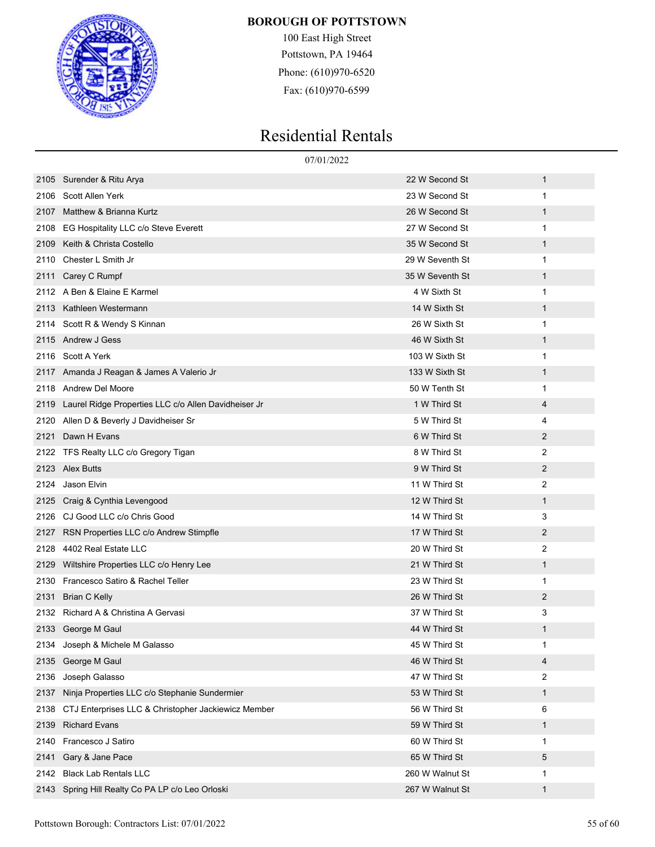

100 East High Street Pottstown, PA 19464 Phone: (610)970-6520 Fax: (610)970-6599

|      |                                                      | 07/01/2022      |                |
|------|------------------------------------------------------|-----------------|----------------|
| 2105 | Surender & Ritu Arya                                 | 22 W Second St  | 1              |
| 2106 | Scott Allen Yerk                                     | 23 W Second St  | 1              |
| 2107 | Matthew & Brianna Kurtz                              | 26 W Second St  | 1              |
| 2108 | EG Hospitality LLC c/o Steve Everett                 | 27 W Second St  | 1              |
| 2109 | Keith & Christa Costello                             | 35 W Second St  | 1              |
| 2110 | Chester L Smith Jr                                   | 29 W Seventh St | 1              |
| 2111 | Carey C Rumpf                                        | 35 W Seventh St | 1              |
| 2112 | A Ben & Elaine E Karmel                              | 4 W Sixth St    | 1              |
| 2113 | Kathleen Westermann                                  | 14 W Sixth St   | 1              |
| 2114 | Scott R & Wendy S Kinnan                             | 26 W Sixth St   | 1              |
| 2115 | Andrew J Gess                                        | 46 W Sixth St   | 1              |
| 2116 | Scott A Yerk                                         | 103 W Sixth St  | 1              |
| 2117 | Amanda J Reagan & James A Valerio Jr                 | 133 W Sixth St  | 1              |
| 2118 | <b>Andrew Del Moore</b>                              | 50 W Tenth St   | 1              |
| 2119 | Laurel Ridge Properties LLC c/o Allen Davidheiser Jr | 1 W Third St    | 4              |
| 2120 | Allen D & Beverly J Davidheiser Sr                   | 5 W Third St    | 4              |
| 2121 | Dawn H Evans                                         | 6 W Third St    | $\overline{2}$ |
| 2122 | TFS Realty LLC c/o Gregory Tigan                     | 8 W Third St    | 2              |
| 2123 | <b>Alex Butts</b>                                    | 9 W Third St    | $\overline{2}$ |
| 2124 | Jason Elvin                                          | 11 W Third St   | 2              |
| 2125 | Craig & Cynthia Levengood                            | 12 W Third St   | 1              |
| 2126 | CJ Good LLC c/o Chris Good                           | 14 W Third St   | 3              |
| 2127 | RSN Properties LLC c/o Andrew Stimpfle               | 17 W Third St   | $\overline{2}$ |
| 2128 | 4402 Real Estate LLC                                 | 20 W Third St   | 2              |
| 2129 | Wiltshire Properties LLC c/o Henry Lee               | 21 W Third St   | 1              |
| 2130 | Francesco Satiro & Rachel Teller                     | 23 W Third St   | 1              |
| 2131 | <b>Brian C Kelly</b>                                 | 26 W Third St   | $\overline{2}$ |
|      | 2132 Richard A & Christina A Gervasi                 | 37 W Third St   | 3              |
|      | 2133 George M Gaul                                   | 44 W Third St   | $\mathbf 1$    |
| 2134 | Joseph & Michele M Galasso                           | 45 W Third St   | 1              |
| 2135 | George M Gaul                                        | 46 W Third St   | 4              |
| 2136 | Joseph Galasso                                       | 47 W Third St   | 2              |
| 2137 | Ninja Properties LLC c/o Stephanie Sundermier        | 53 W Third St   | 1              |
| 2138 | CTJ Enterprises LLC & Christopher Jackiewicz Member  | 56 W Third St   | 6              |
| 2139 | <b>Richard Evans</b>                                 | 59 W Third St   | 1              |
| 2140 | Francesco J Satiro                                   | 60 W Third St   | 1              |
| 2141 | Gary & Jane Pace                                     | 65 W Third St   | 5              |
| 2142 | <b>Black Lab Rentals LLC</b>                         | 260 W Walnut St | 1              |
|      | 2143 Spring Hill Realty Co PA LP c/o Leo Orloski     | 267 W Walnut St | 1              |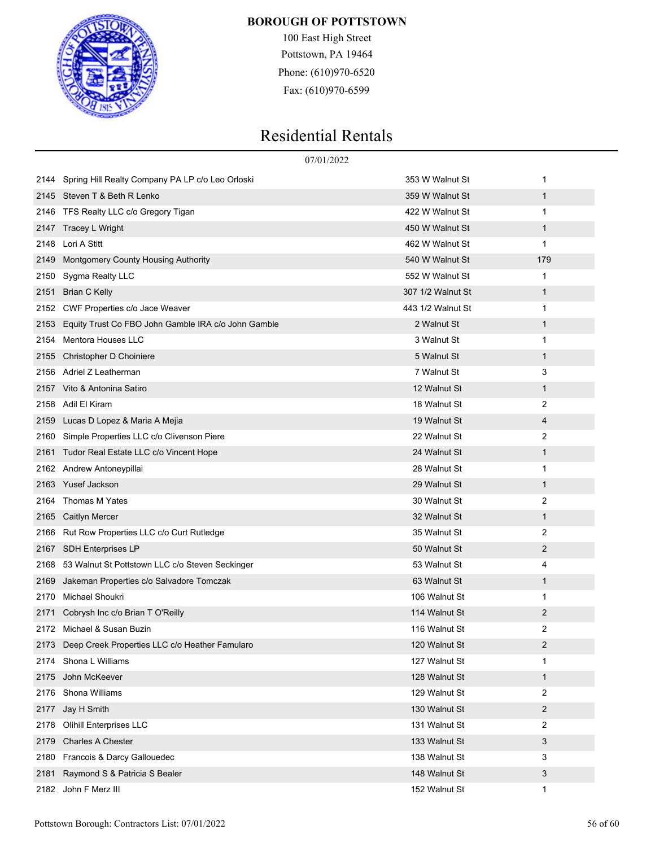

100 East High Street Pottstown, PA 19464 Phone: (610)970-6520 Fax: (610)970-6599

|      |                                                     | 07/01/2022        |                |
|------|-----------------------------------------------------|-------------------|----------------|
| 2144 | Spring Hill Realty Company PA LP c/o Leo Orloski    | 353 W Walnut St   | 1              |
|      | 2145 Steven T & Beth R Lenko                        | 359 W Walnut St   | $\mathbf{1}$   |
| 2146 | TFS Realty LLC c/o Gregory Tigan                    | 422 W Walnut St   | 1              |
| 2147 | Tracey L Wright                                     | 450 W Walnut St   | $\mathbf{1}$   |
| 2148 | Lori A Stitt                                        | 462 W Walnut St   | 1              |
| 2149 | <b>Montgomery County Housing Authority</b>          | 540 W Walnut St   | 179            |
| 2150 | Sygma Realty LLC                                    | 552 W Walnut St   | 1              |
| 2151 | <b>Brian C Kelly</b>                                | 307 1/2 Walnut St | $\mathbf{1}$   |
| 2152 | CWF Properties c/o Jace Weaver                      | 443 1/2 Walnut St | 1              |
| 2153 | Equity Trust Co FBO John Gamble IRA c/o John Gamble | 2 Walnut St       | $\mathbf{1}$   |
| 2154 | Mentora Houses LLC                                  | 3 Walnut St       | 1              |
| 2155 | Christopher D Choiniere                             | 5 Walnut St       | $\mathbf{1}$   |
| 2156 | Adriel Z Leatherman                                 | 7 Walnut St       | 3              |
| 2157 | Vito & Antonina Satiro                              | 12 Walnut St      | $\mathbf{1}$   |
| 2158 | Adil El Kiram                                       | 18 Walnut St      | 2              |
| 2159 | Lucas D Lopez & Maria A Mejia                       | 19 Walnut St      | 4              |
| 2160 | Simple Properties LLC c/o Clivenson Piere           | 22 Walnut St      | 2              |
| 2161 | Tudor Real Estate LLC c/o Vincent Hope              | 24 Walnut St      | $\mathbf{1}$   |
| 2162 | Andrew Antoneypillai                                | 28 Walnut St      | 1              |
| 2163 | Yusef Jackson                                       | 29 Walnut St      | $\mathbf{1}$   |
| 2164 | Thomas M Yates                                      | 30 Walnut St      | 2              |
| 2165 | <b>Caitlyn Mercer</b>                               | 32 Walnut St      | $\mathbf{1}$   |
| 2166 | Rut Row Properties LLC c/o Curt Rutledge            | 35 Walnut St      | 2              |
| 2167 | <b>SDH Enterprises LP</b>                           | 50 Walnut St      | 2              |
| 2168 | 53 Walnut St Pottstown LLC c/o Steven Seckinger     | 53 Walnut St      | 4              |
| 2169 | Jakeman Properties c/o Salvadore Tomczak            | 63 Walnut St      | $\mathbf{1}$   |
| 2170 | Michael Shoukri                                     | 106 Walnut St     | 1              |
| 2171 | Cobrysh Inc c/o Brian T O'Reilly                    | 114 Walnut St     | 2              |
| 2172 | Michael & Susan Buzin                               | 116 Walnut St     | $\mathfrak{p}$ |
|      | 2173 Deep Creek Properties LLC c/o Heather Famularo | 120 Walnut St     | 2              |
| 2174 | Shona L Williams                                    | 127 Walnut St     | 1              |
| 2175 | John McKeever                                       | 128 Walnut St     | $\mathbf{1}$   |
| 2176 | Shona Williams                                      | 129 Walnut St     | 2              |
| 2177 | Jay H Smith                                         | 130 Walnut St     | $\overline{c}$ |
| 2178 | <b>Olihill Enterprises LLC</b>                      | 131 Walnut St     | 2              |
| 2179 | <b>Charles A Chester</b>                            | 133 Walnut St     | 3              |
| 2180 | Francois & Darcy Gallouedec                         | 138 Walnut St     | 3              |
| 2181 | Raymond S & Patricia S Bealer                       | 148 Walnut St     | 3              |
| 2182 | John F Merz III                                     | 152 Walnut St     | 1              |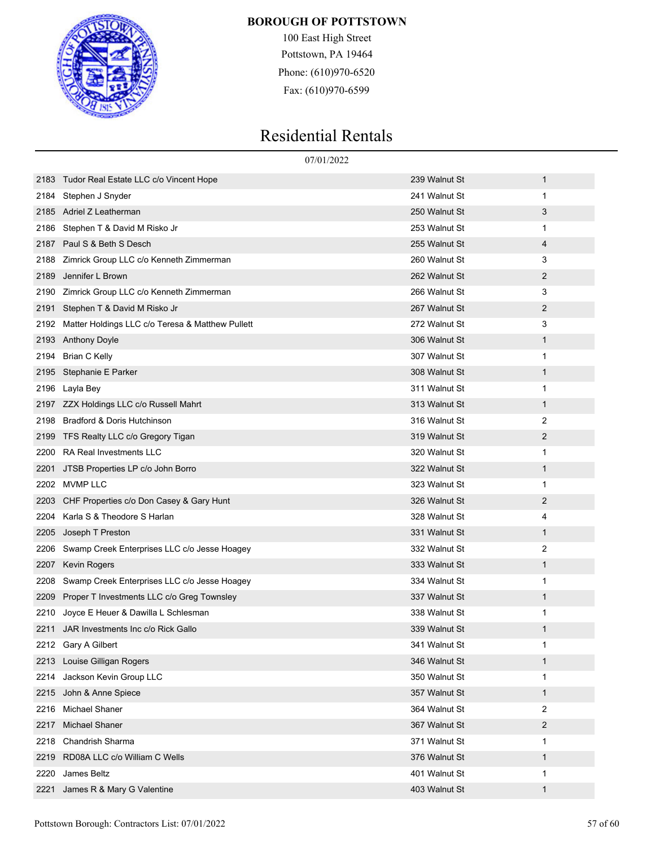

100 East High Street Pottstown, PA 19464 Phone: (610)970-6520 Fax: (610)970-6599

|      |                                                  | 07/01/2022    |                |
|------|--------------------------------------------------|---------------|----------------|
| 2183 | Tudor Real Estate LLC c/o Vincent Hope           | 239 Walnut St | $\mathbf{1}$   |
| 2184 | Stephen J Snyder                                 | 241 Walnut St | 1              |
| 2185 | Adriel Z Leatherman                              | 250 Walnut St | 3              |
| 2186 | Stephen T & David M Risko Jr                     | 253 Walnut St | 1              |
| 2187 | Paul S & Beth S Desch                            | 255 Walnut St | 4              |
| 2188 | Zimrick Group LLC c/o Kenneth Zimmerman          | 260 Walnut St | 3              |
| 2189 | Jennifer L Brown                                 | 262 Walnut St | 2              |
| 2190 | Zimrick Group LLC c/o Kenneth Zimmerman          | 266 Walnut St | 3              |
| 2191 | Stephen T & David M Risko Jr                     | 267 Walnut St | 2              |
| 2192 | Matter Holdings LLC c/o Teresa & Matthew Pullett | 272 Walnut St | 3              |
| 2193 | <b>Anthony Doyle</b>                             | 306 Walnut St | $\mathbf{1}$   |
| 2194 | <b>Brian C Kelly</b>                             | 307 Walnut St | 1              |
| 2195 | Stephanie E Parker                               | 308 Walnut St | $\mathbf{1}$   |
| 2196 | Layla Bey                                        | 311 Walnut St | 1              |
| 2197 | ZZX Holdings LLC c/o Russell Mahrt               | 313 Walnut St | $\mathbf{1}$   |
| 2198 | Bradford & Doris Hutchinson                      | 316 Walnut St | 2              |
| 2199 | TFS Realty LLC c/o Gregory Tigan                 | 319 Walnut St | 2              |
| 2200 | <b>RA Real Investments LLC</b>                   | 320 Walnut St | 1              |
| 2201 | JTSB Properties LP c/o John Borro                | 322 Walnut St | $\mathbf{1}$   |
| 2202 | <b>MVMP LLC</b>                                  | 323 Walnut St | 1              |
| 2203 | CHF Properties c/o Don Casey & Gary Hunt         | 326 Walnut St | 2              |
| 2204 | Karla S & Theodore S Harlan                      | 328 Walnut St | 4              |
| 2205 | Joseph T Preston                                 | 331 Walnut St | $\mathbf{1}$   |
| 2206 | Swamp Creek Enterprises LLC c/o Jesse Hoagey     | 332 Walnut St | 2              |
| 2207 | <b>Kevin Rogers</b>                              | 333 Walnut St | $\mathbf{1}$   |
| 2208 | Swamp Creek Enterprises LLC c/o Jesse Hoagey     | 334 Walnut St | 1              |
| 2209 | Proper T Investments LLC c/o Greg Townsley       | 337 Walnut St | $\mathbf{1}$   |
| 2210 | Joyce E Heuer & Dawilla L Schlesman              | 338 Walnut St | 1              |
|      | 2211 JAR Investments Inc c/o Rick Gallo          | 339 Walnut St |                |
| 2212 | Gary A Gilbert                                   | 341 Walnut St | 1              |
| 2213 | Louise Gilligan Rogers                           | 346 Walnut St | $\mathbf{1}$   |
| 2214 | Jackson Kevin Group LLC                          | 350 Walnut St | 1              |
| 2215 | John & Anne Spiece                               | 357 Walnut St | $\mathbf{1}$   |
| 2216 | <b>Michael Shaner</b>                            | 364 Walnut St | 2              |
| 2217 | <b>Michael Shaner</b>                            | 367 Walnut St | $\overline{c}$ |
| 2218 | <b>Chandrish Sharma</b>                          | 371 Walnut St | 1              |
| 2219 | RD08A LLC c/o William C Wells                    | 376 Walnut St | $\mathbf{1}$   |
| 2220 | James Beltz                                      | 401 Walnut St | 1              |
| 2221 | James R & Mary G Valentine                       | 403 Walnut St | $\mathbf{1}$   |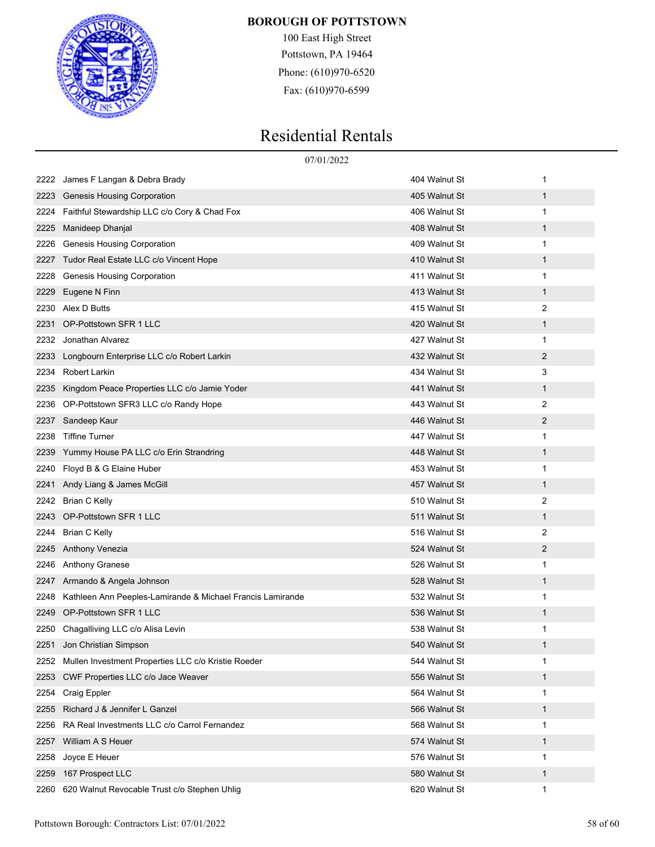

100 East High Street Pottstown, PA 19464 Phone: (610)970-6520 Fax: (610)970-6599

|      | 07/01/2022                                                 |               |              |
|------|------------------------------------------------------------|---------------|--------------|
| 2222 | James F Langan & Debra Brady                               | 404 Walnut St | 1            |
| 2223 | <b>Genesis Housing Corporation</b>                         | 405 Walnut St | $\mathbf 1$  |
| 2224 | Faithful Stewardship LLC c/o Cory & Chad Fox               | 406 Walnut St | $\mathbf{1}$ |
| 2225 | Manideep Dhanjal                                           | 408 Walnut St | $\mathbf{1}$ |
| 2226 | Genesis Housing Corporation                                | 409 Walnut St | 1            |
| 2227 | Tudor Real Estate LLC c/o Vincent Hope                     | 410 Walnut St | 1            |
| 2228 | <b>Genesis Housing Corporation</b>                         | 411 Walnut St | $\mathbf{1}$ |
| 2229 | Eugene N Finn                                              | 413 Walnut St | $\mathbf{1}$ |
| 2230 | Alex D Butts                                               | 415 Walnut St | 2            |
| 2231 | OP-Pottstown SFR 1 LLC                                     | 420 Walnut St | $\mathbf 1$  |
| 2232 | Jonathan Alvarez                                           | 427 Walnut St | 1            |
| 2233 | Longbourn Enterprise LLC c/o Robert Larkin                 | 432 Walnut St | 2            |
| 2234 | <b>Robert Larkin</b>                                       | 434 Walnut St | 3            |
| 2235 | Kingdom Peace Properties LLC c/o Jamie Yoder               | 441 Walnut St | $\mathbf 1$  |
| 2236 | OP-Pottstown SFR3 LLC c/o Randy Hope                       | 443 Walnut St | 2            |
| 2237 | Sandeep Kaur                                               | 446 Walnut St | 2            |
| 2238 | <b>Tiffine Turner</b>                                      | 447 Walnut St | $\mathbf{1}$ |
| 2239 | Yummy House PA LLC c/o Erin Strandring                     | 448 Walnut St | $\mathbf 1$  |
| 2240 | Floyd B & G Elaine Huber                                   | 453 Walnut St | 1            |
| 2241 | Andy Liang & James McGill                                  | 457 Walnut St | $\mathbf{1}$ |
| 2242 | <b>Brian C Kelly</b>                                       | 510 Walnut St | 2            |
| 2243 | OP-Pottstown SFR 1 LLC                                     | 511 Walnut St | $\mathbf 1$  |
| 2244 | <b>Brian C Kelly</b>                                       | 516 Walnut St | 2            |
| 2245 | Anthony Venezia                                            | 524 Walnut St | 2            |
| 2246 | Anthony Granese                                            | 526 Walnut St | 1            |
| 2247 | Armando & Angela Johnson                                   | 528 Walnut St | $\mathbf 1$  |
| 2248 | Kathleen Ann Peeples-Lamirande & Michael Francis Lamirande | 532 Walnut St | $\mathbf{1}$ |
| 2249 | OP-Pottstown SFR 1 LLC                                     | 536 Walnut St | 1            |
|      | 2250 Chagalliving LLC c/o Alisa Levin                      | 538 Walnut St | 1            |
| 2251 | Jon Christian Simpson                                      | 540 Walnut St | 1            |
| 2252 | Mullen Investment Properties LLC c/o Kristie Roeder        | 544 Walnut St | $\mathbf{1}$ |
| 2253 | CWF Properties LLC c/o Jace Weaver                         | 556 Walnut St | $\mathbf 1$  |
| 2254 | Craig Eppler                                               | 564 Walnut St | $\mathbf{1}$ |
| 2255 | Richard J & Jennifer L Ganzel                              | 566 Walnut St | $\mathbf 1$  |
| 2256 | RA Real Investments LLC c/o Carrol Fernandez               | 568 Walnut St | 1            |
| 2257 | William A S Heuer                                          | 574 Walnut St | $\mathbf 1$  |
| 2258 | Joyce E Heuer                                              | 576 Walnut St | $\mathbf{1}$ |
| 2259 | 167 Prospect LLC                                           | 580 Walnut St | $\mathbf 1$  |
| 2260 | 620 Walnut Revocable Trust c/o Stephen Uhlig               | 620 Walnut St | 1            |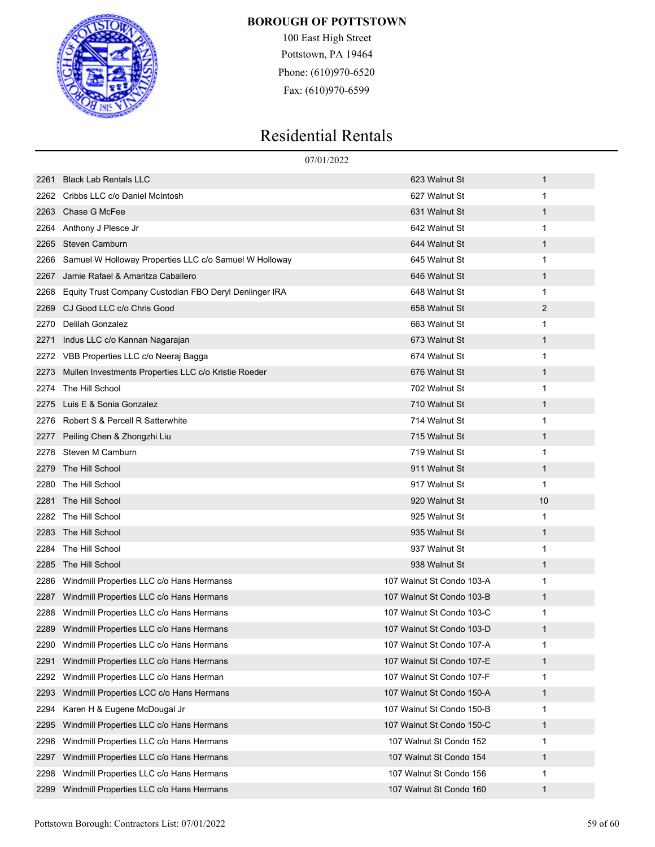

100 East High Street Pottstown, PA 19464 Phone: (610)970-6520 Fax: (610)970-6599

|      |                                                        | 07/01/2022                |    |
|------|--------------------------------------------------------|---------------------------|----|
| 2261 | <b>Black Lab Rentals LLC</b>                           | 623 Walnut St             | 1  |
| 2262 | Cribbs LLC c/o Daniel McIntosh                         | 627 Walnut St             | 1  |
| 2263 | Chase G McFee                                          | 631 Walnut St             | 1  |
| 2264 | Anthony J Plesce Jr                                    | 642 Walnut St             | 1  |
| 2265 | Steven Camburn                                         | 644 Walnut St             | 1  |
| 2266 | Samuel W Holloway Properties LLC c/o Samuel W Holloway | 645 Walnut St             | 1  |
| 2267 | Jamie Rafael & Amaritza Caballero                      | 646 Walnut St             | 1  |
| 2268 | Equity Trust Company Custodian FBO Deryl Denlinger IRA | 648 Walnut St             | 1  |
| 2269 | CJ Good LLC c/o Chris Good                             | 658 Walnut St             | 2  |
| 2270 | Delilah Gonzalez                                       | 663 Walnut St             | 1  |
| 2271 | Indus LLC c/o Kannan Nagarajan                         | 673 Walnut St             | 1  |
| 2272 | VBB Properties LLC c/o Neeraj Bagga                    | 674 Walnut St             | 1  |
| 2273 | Mullen Investments Properties LLC c/o Kristie Roeder   | 676 Walnut St             | 1  |
| 2274 | The Hill School                                        | 702 Walnut St             | 1  |
| 2275 | Luis E & Sonia Gonzalez                                | 710 Walnut St             | 1  |
| 2276 | Robert S & Percell R Satterwhite                       | 714 Walnut St             | 1  |
| 2277 | Peiling Chen & Zhongzhi Liu                            | 715 Walnut St             | 1  |
| 2278 | Steven M Camburn                                       | 719 Walnut St             | 1  |
| 2279 | The Hill School                                        | 911 Walnut St             | 1  |
| 2280 | The Hill School                                        | 917 Walnut St             | 1  |
| 2281 | The Hill School                                        | 920 Walnut St             | 10 |
| 2282 | The Hill School                                        | 925 Walnut St             | 1  |
| 2283 | The Hill School                                        | 935 Walnut St             | 1  |
| 2284 | The Hill School                                        | 937 Walnut St             | 1  |
| 2285 | The Hill School                                        | 938 Walnut St             | 1  |
| 2286 | Windmill Properties LLC c/o Hans Hermanss              | 107 Walnut St Condo 103-A | 1  |
| 2287 | Windmill Properties LLC c/o Hans Hermans               | 107 Walnut St Condo 103-B | 1  |
| 2288 | Windmill Properties LLC c/o Hans Hermans               | 107 Walnut St Condo 103-C | 1  |
| 2289 | Windmill Properties LLC c/o Hans Hermans               | 107 Walnut St Condo 103-D | 1  |
| 2290 | Windmill Properties LLC c/o Hans Hermans               | 107 Walnut St Condo 107-A | 1  |
| 2291 | Windmill Properties LLC c/o Hans Hermans               | 107 Walnut St Condo 107-E | 1  |
| 2292 | Windmill Properties LLC c/o Hans Herman                | 107 Walnut St Condo 107-F | 1  |
| 2293 | Windmill Properties LCC c/o Hans Hermans               | 107 Walnut St Condo 150-A | 1  |
| 2294 | Karen H & Eugene McDougal Jr                           | 107 Walnut St Condo 150-B | 1  |
| 2295 | Windmill Properties LLC c/o Hans Hermans               | 107 Walnut St Condo 150-C | 1  |
| 2296 | Windmill Properties LLC c/o Hans Hermans               | 107 Walnut St Condo 152   | 1  |
| 2297 | Windmill Properties LLC c/o Hans Hermans               | 107 Walnut St Condo 154   | 1  |
| 2298 | Windmill Properties LLC c/o Hans Hermans               | 107 Walnut St Condo 156   | 1  |
| 2299 | Windmill Properties LLC c/o Hans Hermans               | 107 Walnut St Condo 160   | 1  |